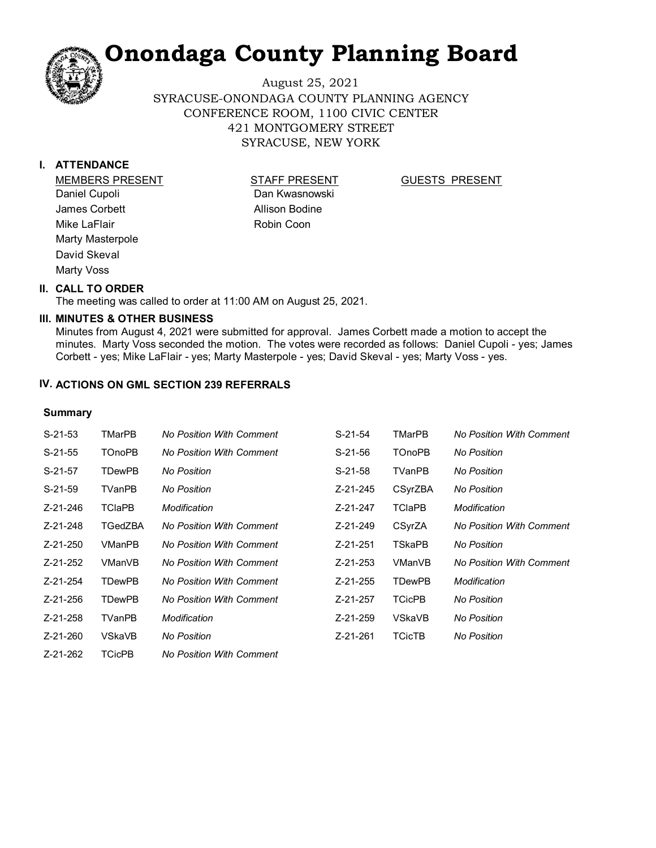August 25, 2021 SYRACUSE-ONONDAGA COUNTY PLANNING AGENCY CONFERENCE ROOM, 1100 CIVIC CENTER 421 MONTGOMERY STREET SYRACUSE, NEW YORK

#### **I. ATTENDANCE**

MEMBERS PRESENT STAFF PRESENT Daniel Cupoli James Corbett Mike LaFlair Marty Masterpole David Skeval Marty Voss

Dan Kwasnowski Allison Bodine Robin Coon

#### GUESTS PRESENT

#### **II. CALL TO ORDER**

The meeting was called to order at 11:00 AM on August 25, 2021.

#### **MINUTES & OTHER BUSINESS III.**

Minutes from August 4, 2021 were submitted for approval. James Corbett made a motion to accept the minutes. Marty Voss seconded the motion. The votes were recorded as follows: Daniel Cupoli - yes; James Corbett - yes; Mike LaFlair - yes; Marty Masterpole - yes; David Skeval - yes; Marty Voss - yes.

#### **IV. ACTIONS ON GML SECTION 239 REFERRALS**

#### **Summary**

| $S-21-53$ | TMarPB        | No Position With Comment        | $S-21-54$ | TMarPB        | <b>No Position With Comment</b> |
|-----------|---------------|---------------------------------|-----------|---------------|---------------------------------|
| $S-21-55$ | <b>TOnoPB</b> | No Position With Comment        | $S-21-56$ | <b>TOnoPB</b> | No Position                     |
| $S-21-57$ | <b>TDewPB</b> | No Position                     | $S-21-58$ | TVanPB        | No Position                     |
| $S-21-59$ | TVanPB        | No Position                     | Z-21-245  | CSyrZBA       | No Position                     |
| Z-21-246  | <b>TCIaPB</b> | Modification                    | Z-21-247  | <b>TCIaPB</b> | Modification                    |
| Z-21-248  | TGedZBA       | No Position With Comment        | Z-21-249  | CSyrZA        | <b>No Position With Comment</b> |
| Z-21-250  | VManPB        | No Position With Comment        | Z-21-251  | TSkaPB        | No Position                     |
| Z-21-252  | VManVB        | No Position With Comment        | Z-21-253  | VManVB        | <b>No Position With Comment</b> |
| Z-21-254  | <b>TDewPB</b> | No Position With Comment        | Z-21-255  | <b>TDewPB</b> | Modification                    |
| Z-21-256  | <b>TDewPB</b> | <b>No Position With Comment</b> | Z-21-257  | <b>TCicPB</b> | No Position                     |
| Z-21-258  | <b>TVanPB</b> | Modification                    | Z-21-259  | VSkaVB        | No Position                     |
| Z-21-260  | VSkaVB        | No Position                     | Z-21-261  | <b>TCicTB</b> | No Position                     |
| Z-21-262  | <b>TCicPB</b> | <b>No Position With Comment</b> |           |               |                                 |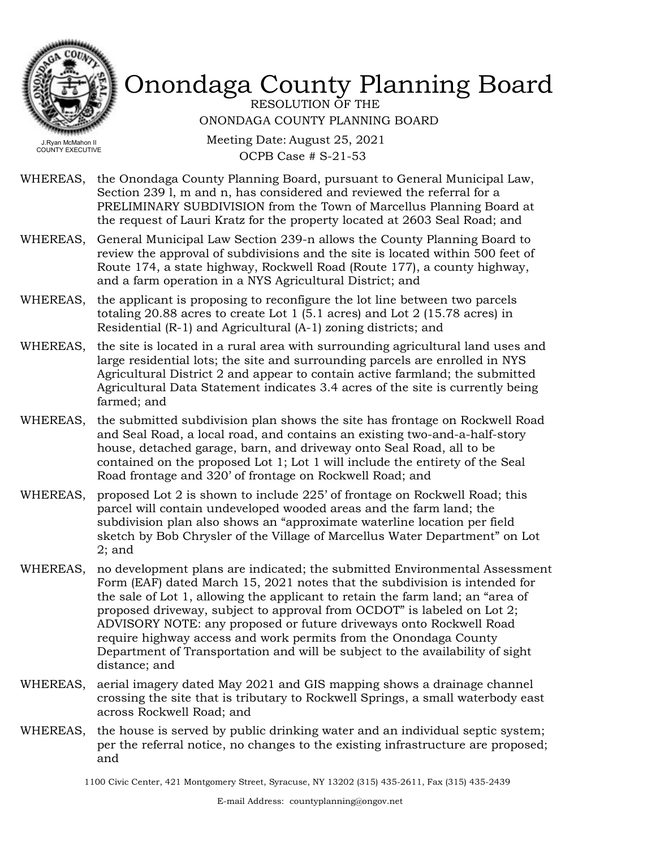

RESOLUTION OF THE ONONDAGA COUNTY PLANNING BOARD

Meeting Date: August 25, 2021 OCPB Case # S-21-53

- WHEREAS, the Onondaga County Planning Board, pursuant to General Municipal Law, Section 239 l, m and n, has considered and reviewed the referral for a PRELIMINARY SUBDIVISION from the Town of Marcellus Planning Board at the request of Lauri Kratz for the property located at 2603 Seal Road; and
- WHEREAS, General Municipal Law Section 239-n allows the County Planning Board to review the approval of subdivisions and the site is located within 500 feet of Route 174, a state highway, Rockwell Road (Route 177), a county highway, and a farm operation in a NYS Agricultural District; and
- WHEREAS, the applicant is proposing to reconfigure the lot line between two parcels totaling 20.88 acres to create Lot 1 (5.1 acres) and Lot 2 (15.78 acres) in Residential (R-1) and Agricultural (A-1) zoning districts; and
- WHEREAS, the site is located in a rural area with surrounding agricultural land uses and large residential lots; the site and surrounding parcels are enrolled in NYS Agricultural District 2 and appear to contain active farmland; the submitted Agricultural Data Statement indicates 3.4 acres of the site is currently being farmed; and
- the submitted subdivision plan shows the site has frontage on Rockwell Road and Seal Road, a local road, and contains an existing two-and-a-half-story house, detached garage, barn, and driveway onto Seal Road, all to be contained on the proposed Lot 1; Lot 1 will include the entirety of the Seal Road frontage and 320' of frontage on Rockwell Road; and WHEREAS,
- WHEREAS, proposed Lot 2 is shown to include 225' of frontage on Rockwell Road; this parcel will contain undeveloped wooded areas and the farm land; the subdivision plan also shows an "approximate waterline location per field sketch by Bob Chrysler of the Village of Marcellus Water Department" on Lot 2; and
- WHEREAS, no development plans are indicated; the submitted Environmental Assessment Form (EAF) dated March 15, 2021 notes that the subdivision is intended for the sale of Lot 1, allowing the applicant to retain the farm land; an "area of proposed driveway, subject to approval from OCDOT" is labeled on Lot 2; ADVISORY NOTE: any proposed or future driveways onto Rockwell Road require highway access and work permits from the Onondaga County Department of Transportation and will be subject to the availability of sight distance; and
- WHEREAS, aerial imagery dated May 2021 and GIS mapping shows a drainage channel crossing the site that is tributary to Rockwell Springs, a small waterbody east across Rockwell Road; and
- WHEREAS, the house is served by public drinking water and an individual septic system; per the referral notice, no changes to the existing infrastructure are proposed; and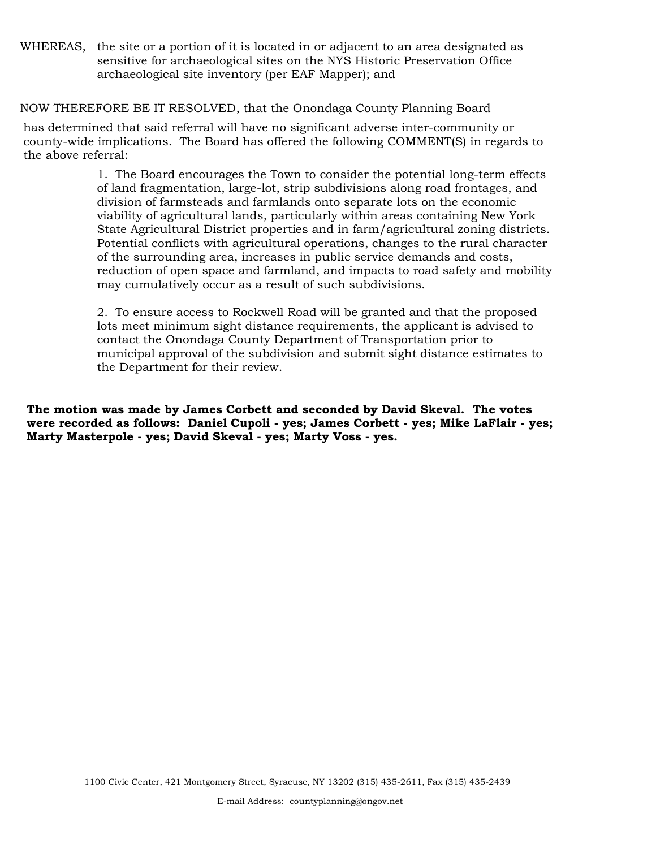WHEREAS, the site or a portion of it is located in or adjacent to an area designated as sensitive for archaeological sites on the NYS Historic Preservation Office archaeological site inventory (per EAF Mapper); and

#### NOW THEREFORE BE IT RESOLVED, that the Onondaga County Planning Board

has determined that said referral will have no significant adverse inter-community or county-wide implications. The Board has offered the following COMMENT(S) in regards to the above referral:

> 1. The Board encourages the Town to consider the potential long-term effects of land fragmentation, large-lot, strip subdivisions along road frontages, and division of farmsteads and farmlands onto separate lots on the economic viability of agricultural lands, particularly within areas containing New York State Agricultural District properties and in farm/agricultural zoning districts. Potential conflicts with agricultural operations, changes to the rural character of the surrounding area, increases in public service demands and costs, reduction of open space and farmland, and impacts to road safety and mobility may cumulatively occur as a result of such subdivisions.

2. To ensure access to Rockwell Road will be granted and that the proposed lots meet minimum sight distance requirements, the applicant is advised to contact the Onondaga County Department of Transportation prior to municipal approval of the subdivision and submit sight distance estimates to the Department for their review.

**The motion was made by James Corbett and seconded by David Skeval. The votes were recorded as follows: Daniel Cupoli - yes; James Corbett - yes; Mike LaFlair - yes; Marty Masterpole - yes; David Skeval - yes; Marty Voss - yes.**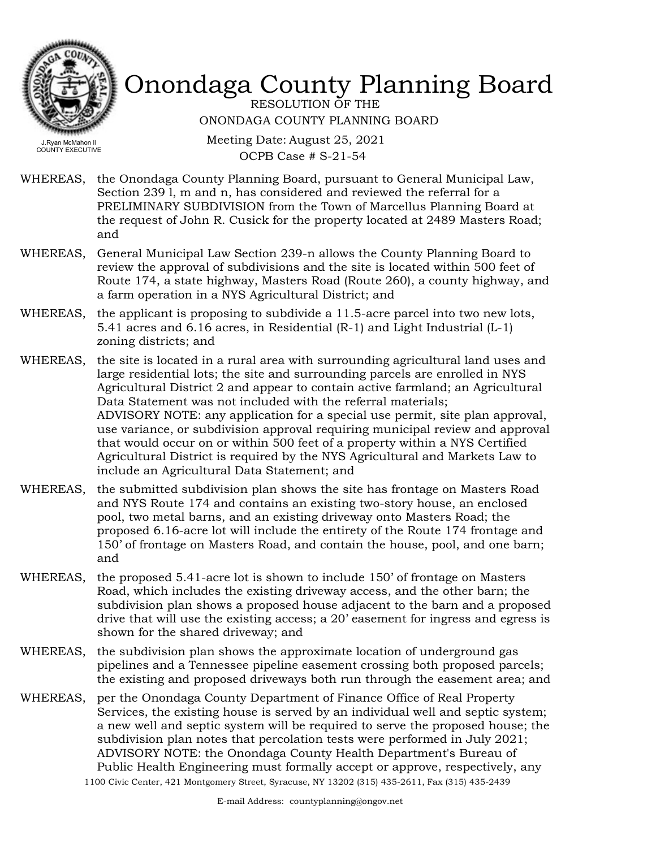

RESOLUTION OF THE ONONDAGA COUNTY PLANNING BOARD

Meeting Date: August 25, 2021 OCPB Case # S-21-54

- WHEREAS, the Onondaga County Planning Board, pursuant to General Municipal Law, Section 239 l, m and n, has considered and reviewed the referral for a PRELIMINARY SUBDIVISION from the Town of Marcellus Planning Board at the request of John R. Cusick for the property located at 2489 Masters Road; and
- WHEREAS, General Municipal Law Section 239-n allows the County Planning Board to review the approval of subdivisions and the site is located within 500 feet of Route 174, a state highway, Masters Road (Route 260), a county highway, and a farm operation in a NYS Agricultural District; and
- the applicant is proposing to subdivide a 11.5-acre parcel into two new lots, 5.41 acres and 6.16 acres, in Residential (R-1) and Light Industrial (L-1) zoning districts; and WHEREAS,
- the site is located in a rural area with surrounding agricultural land uses and large residential lots; the site and surrounding parcels are enrolled in NYS Agricultural District 2 and appear to contain active farmland; an Agricultural Data Statement was not included with the referral materials; ADVISORY NOTE: any application for a special use permit, site plan approval, use variance, or subdivision approval requiring municipal review and approval that would occur on or within 500 feet of a property within a NYS Certified Agricultural District is required by the NYS Agricultural and Markets Law to include an Agricultural Data Statement; and WHEREAS,
- the submitted subdivision plan shows the site has frontage on Masters Road and NYS Route 174 and contains an existing two-story house, an enclosed pool, two metal barns, and an existing driveway onto Masters Road; the proposed 6.16-acre lot will include the entirety of the Route 174 frontage and 150' of frontage on Masters Road, and contain the house, pool, and one barn; and WHEREAS,
- WHEREAS, the proposed 5.41-acre lot is shown to include 150' of frontage on Masters Road, which includes the existing driveway access, and the other barn; the subdivision plan shows a proposed house adjacent to the barn and a proposed drive that will use the existing access; a 20' easement for ingress and egress is shown for the shared driveway; and
- WHEREAS, the subdivision plan shows the approximate location of underground gas pipelines and a Tennessee pipeline easement crossing both proposed parcels; the existing and proposed driveways both run through the easement area; and
- per the Onondaga County Department of Finance Office of Real Property Services, the existing house is served by an individual well and septic system; a new well and septic system will be required to serve the proposed house; the subdivision plan notes that percolation tests were performed in July 2021; ADVISORY NOTE: the Onondaga County Health Department's Bureau of Public Health Engineering must formally accept or approve, respectively, any WHEREAS, 1100 Civic Center, 421 Montgomery Street, Syracuse, NY 13202 (315) 435-2611, Fax (315) 435-2439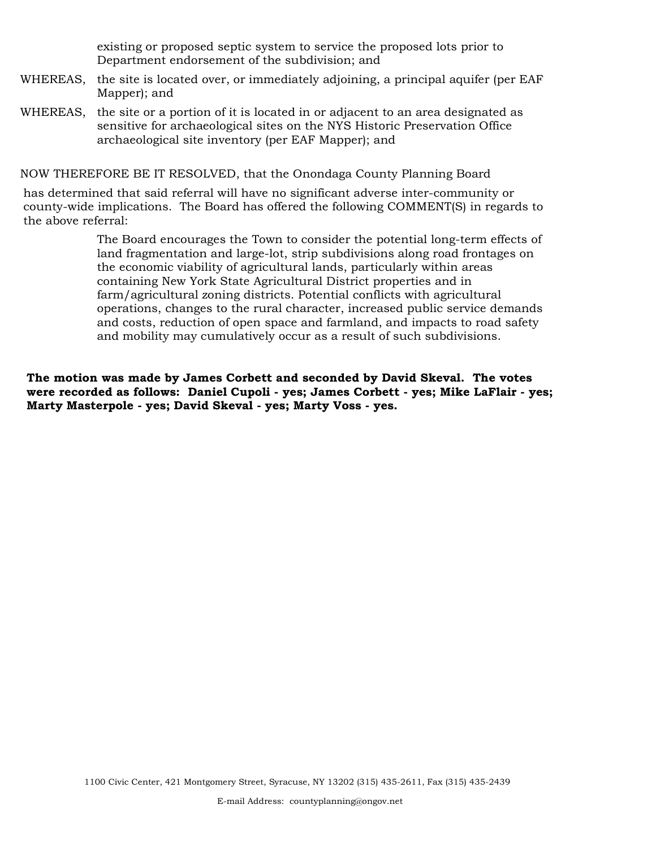existing or proposed septic system to service the proposed lots prior to Department endorsement of the subdivision; and

- WHEREAS, the site is located over, or immediately adjoining, a principal aquifer (per EAF Mapper); and
- WHEREAS, the site or a portion of it is located in or adjacent to an area designated as sensitive for archaeological sites on the NYS Historic Preservation Office archaeological site inventory (per EAF Mapper); and

NOW THEREFORE BE IT RESOLVED, that the Onondaga County Planning Board

has determined that said referral will have no significant adverse inter-community or county-wide implications. The Board has offered the following COMMENT(S) in regards to the above referral:

> The Board encourages the Town to consider the potential long-term effects of land fragmentation and large-lot, strip subdivisions along road frontages on the economic viability of agricultural lands, particularly within areas containing New York State Agricultural District properties and in farm/agricultural zoning districts. Potential conflicts with agricultural operations, changes to the rural character, increased public service demands and costs, reduction of open space and farmland, and impacts to road safety and mobility may cumulatively occur as a result of such subdivisions.

**The motion was made by James Corbett and seconded by David Skeval. The votes were recorded as follows: Daniel Cupoli - yes; James Corbett - yes; Mike LaFlair - yes; Marty Masterpole - yes; David Skeval - yes; Marty Voss - yes.**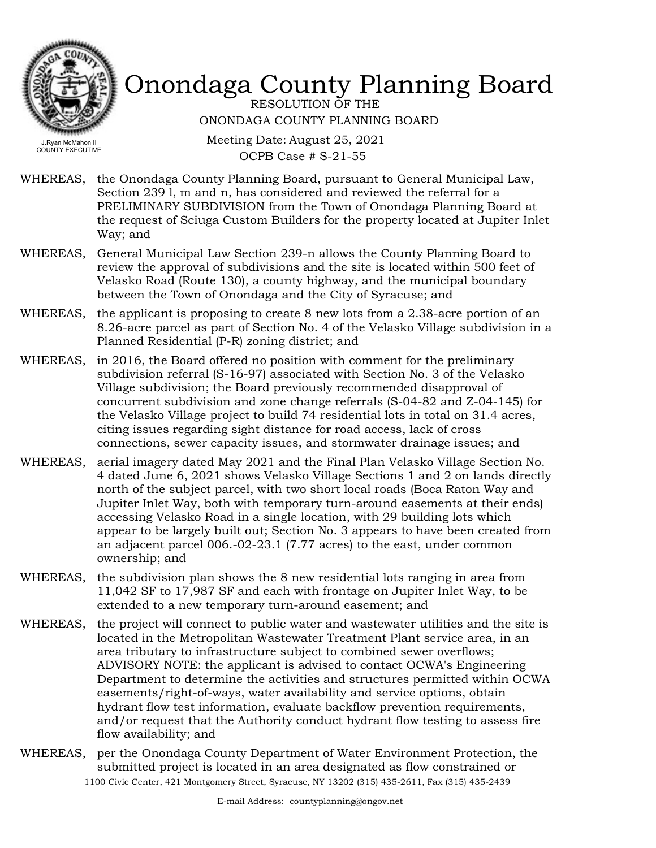

RESOLUTION OF THE ONONDAGA COUNTY PLANNING BOARD

Meeting Date: August 25, 2021 OCPB Case # S-21-55

- WHEREAS, the Onondaga County Planning Board, pursuant to General Municipal Law, Section 239 l, m and n, has considered and reviewed the referral for a PRELIMINARY SUBDIVISION from the Town of Onondaga Planning Board at the request of Sciuga Custom Builders for the property located at Jupiter Inlet Way; and
- WHEREAS, General Municipal Law Section 239-n allows the County Planning Board to review the approval of subdivisions and the site is located within 500 feet of Velasko Road (Route 130), a county highway, and the municipal boundary between the Town of Onondaga and the City of Syracuse; and
- the applicant is proposing to create 8 new lots from a 2.38-acre portion of an 8.26-acre parcel as part of Section No. 4 of the Velasko Village subdivision in a Planned Residential (P-R) zoning district; and WHEREAS,
- in 2016, the Board offered no position with comment for the preliminary subdivision referral (S-16-97) associated with Section No. 3 of the Velasko Village subdivision; the Board previously recommended disapproval of concurrent subdivision and zone change referrals (S-04-82 and Z-04-145) for the Velasko Village project to build 74 residential lots in total on 31.4 acres, citing issues regarding sight distance for road access, lack of cross connections, sewer capacity issues, and stormwater drainage issues; and WHEREAS,
- WHEREAS, aerial imagery dated May 2021 and the Final Plan Velasko Village Section No. 4 dated June 6, 2021 shows Velasko Village Sections 1 and 2 on lands directly north of the subject parcel, with two short local roads (Boca Raton Way and Jupiter Inlet Way, both with temporary turn-around easements at their ends) accessing Velasko Road in a single location, with 29 building lots which appear to be largely built out; Section No. 3 appears to have been created from an adjacent parcel 006.-02-23.1 (7.77 acres) to the east, under common ownership; and
- WHEREAS, the subdivision plan shows the 8 new residential lots ranging in area from 11,042 SF to 17,987 SF and each with frontage on Jupiter Inlet Way, to be extended to a new temporary turn-around easement; and
- the project will connect to public water and wastewater utilities and the site is located in the Metropolitan Wastewater Treatment Plant service area, in an area tributary to infrastructure subject to combined sewer overflows; ADVISORY NOTE: the applicant is advised to contact OCWA's Engineering Department to determine the activities and structures permitted within OCWA easements/right-of-ways, water availability and service options, obtain hydrant flow test information, evaluate backflow prevention requirements, and/or request that the Authority conduct hydrant flow testing to assess fire flow availability; and WHEREAS,
- WHEREAS, per the Onondaga County Department of Water Environment Protection, the submitted project is located in an area designated as flow constrained or 1100 Civic Center, 421 Montgomery Street, Syracuse, NY 13202 (315) 435-2611, Fax (315) 435-2439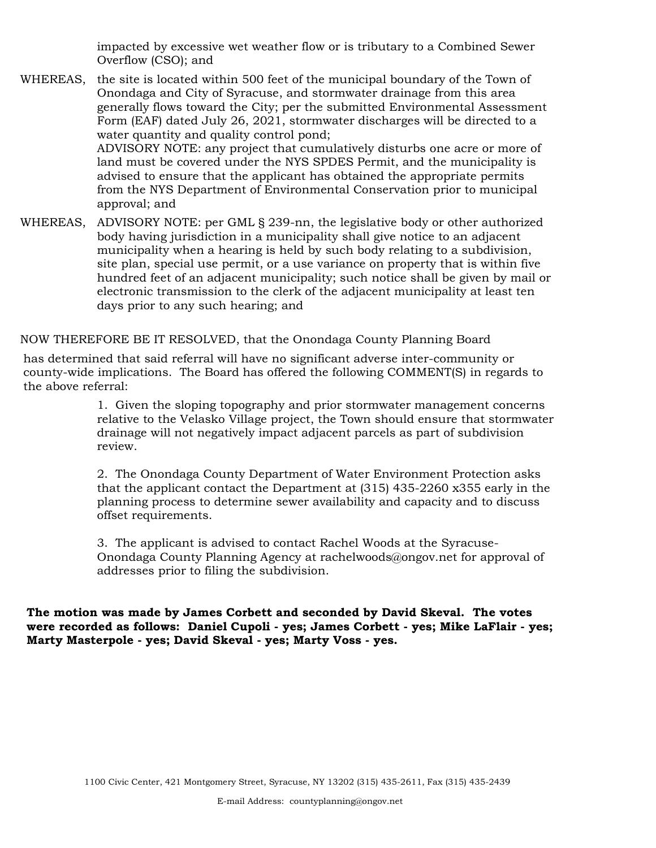impacted by excessive wet weather flow or is tributary to a Combined Sewer Overflow (CSO); and

- WHEREAS, the site is located within 500 feet of the municipal boundary of the Town of Onondaga and City of Syracuse, and stormwater drainage from this area generally flows toward the City; per the submitted Environmental Assessment Form (EAF) dated July 26, 2021, stormwater discharges will be directed to a water quantity and quality control pond; ADVISORY NOTE: any project that cumulatively disturbs one acre or more of land must be covered under the NYS SPDES Permit, and the municipality is advised to ensure that the applicant has obtained the appropriate permits from the NYS Department of Environmental Conservation prior to municipal approval; and
- WHEREAS, ADVISORY NOTE: per GML § 239-nn, the legislative body or other authorized body having jurisdiction in a municipality shall give notice to an adjacent municipality when a hearing is held by such body relating to a subdivision, site plan, special use permit, or a use variance on property that is within five hundred feet of an adjacent municipality; such notice shall be given by mail or electronic transmission to the clerk of the adjacent municipality at least ten days prior to any such hearing; and

#### NOW THEREFORE BE IT RESOLVED, that the Onondaga County Planning Board

has determined that said referral will have no significant adverse inter-community or county-wide implications. The Board has offered the following COMMENT(S) in regards to the above referral:

> 1. Given the sloping topography and prior stormwater management concerns relative to the Velasko Village project, the Town should ensure that stormwater drainage will not negatively impact adjacent parcels as part of subdivision review.

2. The Onondaga County Department of Water Environment Protection asks that the applicant contact the Department at (315) 435-2260 x355 early in the planning process to determine sewer availability and capacity and to discuss offset requirements.

3. The applicant is advised to contact Rachel Woods at the Syracuse-Onondaga County Planning Agency at rachelwoods@ongov.net for approval of addresses prior to filing the subdivision.

**The motion was made by James Corbett and seconded by David Skeval. The votes were recorded as follows: Daniel Cupoli - yes; James Corbett - yes; Mike LaFlair - yes; Marty Masterpole - yes; David Skeval - yes; Marty Voss - yes.**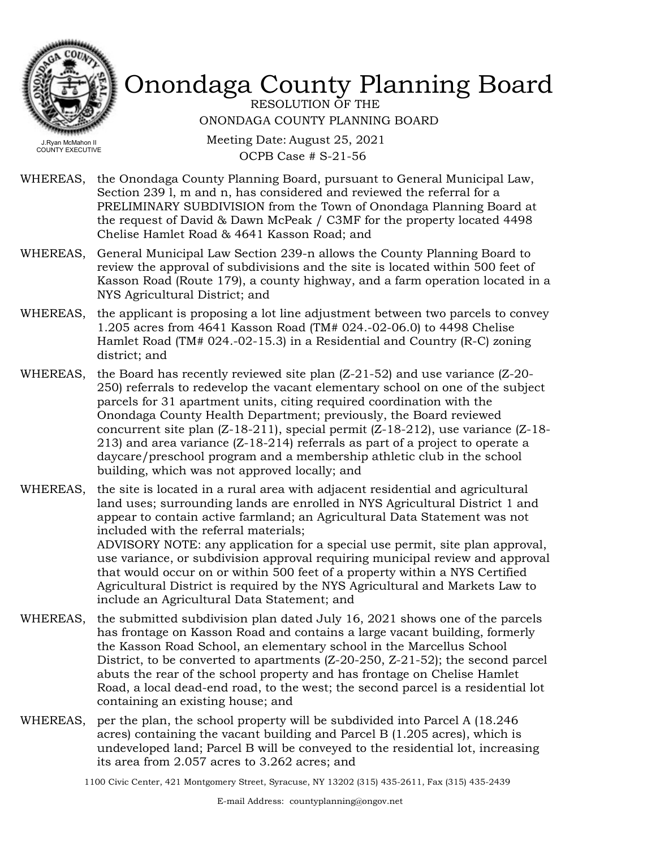

RESOLUTION OF THE ONONDAGA COUNTY PLANNING BOARD

Meeting Date: August 25, 2021 OCPB Case # S-21-56

- WHEREAS, the Onondaga County Planning Board, pursuant to General Municipal Law, Section 239 l, m and n, has considered and reviewed the referral for a PRELIMINARY SUBDIVISION from the Town of Onondaga Planning Board at the request of David & Dawn McPeak / C3MF for the property located 4498 Chelise Hamlet Road & 4641 Kasson Road; and
- WHEREAS, General Municipal Law Section 239-n allows the County Planning Board to review the approval of subdivisions and the site is located within 500 feet of Kasson Road (Route 179), a county highway, and a farm operation located in a NYS Agricultural District; and
- the applicant is proposing a lot line adjustment between two parcels to convey 1.205 acres from 4641 Kasson Road (TM# 024.-02-06.0) to 4498 Chelise Hamlet Road (TM# 024.-02-15.3) in a Residential and Country (R-C) zoning district; and WHEREAS,
- WHEREAS, the Board has recently reviewed site plan (Z-21-52) and use variance (Z-20-250) referrals to redevelop the vacant elementary school on one of the subject parcels for 31 apartment units, citing required coordination with the Onondaga County Health Department; previously, the Board reviewed concurrent site plan (Z-18-211), special permit (Z-18-212), use variance (Z-18- 213) and area variance (Z-18-214) referrals as part of a project to operate a daycare/preschool program and a membership athletic club in the school building, which was not approved locally; and
- the site is located in a rural area with adjacent residential and agricultural land uses; surrounding lands are enrolled in NYS Agricultural District 1 and appear to contain active farmland; an Agricultural Data Statement was not included with the referral materials; WHEREAS,

ADVISORY NOTE: any application for a special use permit, site plan approval, use variance, or subdivision approval requiring municipal review and approval that would occur on or within 500 feet of a property within a NYS Certified Agricultural District is required by the NYS Agricultural and Markets Law to include an Agricultural Data Statement; and

- WHEREAS, the submitted subdivision plan dated July 16, 2021 shows one of the parcels has frontage on Kasson Road and contains a large vacant building, formerly the Kasson Road School, an elementary school in the Marcellus School District, to be converted to apartments (Z-20-250, Z-21-52); the second parcel abuts the rear of the school property and has frontage on Chelise Hamlet Road, a local dead-end road, to the west; the second parcel is a residential lot containing an existing house; and
- WHEREAS, per the plan, the school property will be subdivided into Parcel A (18.246 acres) containing the vacant building and Parcel B (1.205 acres), which is undeveloped land; Parcel B will be conveyed to the residential lot, increasing its area from 2.057 acres to 3.262 acres; and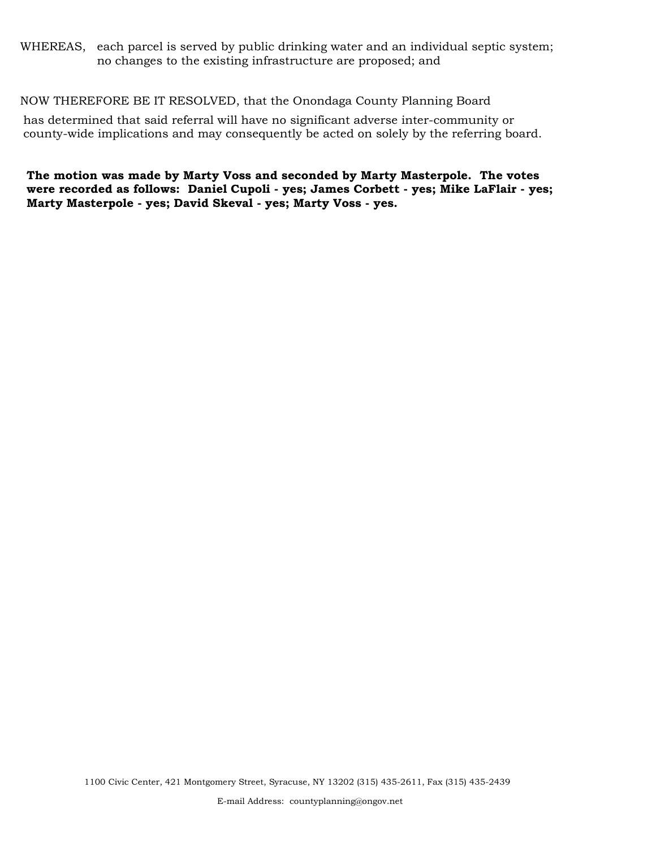#### WHEREAS, each parcel is served by public drinking water and an individual septic system; no changes to the existing infrastructure are proposed; and

#### NOW THEREFORE BE IT RESOLVED, that the Onondaga County Planning Board

has determined that said referral will have no significant adverse inter-community or county-wide implications and may consequently be acted on solely by the referring board.

**The motion was made by Marty Voss and seconded by Marty Masterpole. The votes were recorded as follows: Daniel Cupoli - yes; James Corbett - yes; Mike LaFlair - yes; Marty Masterpole - yes; David Skeval - yes; Marty Voss - yes.**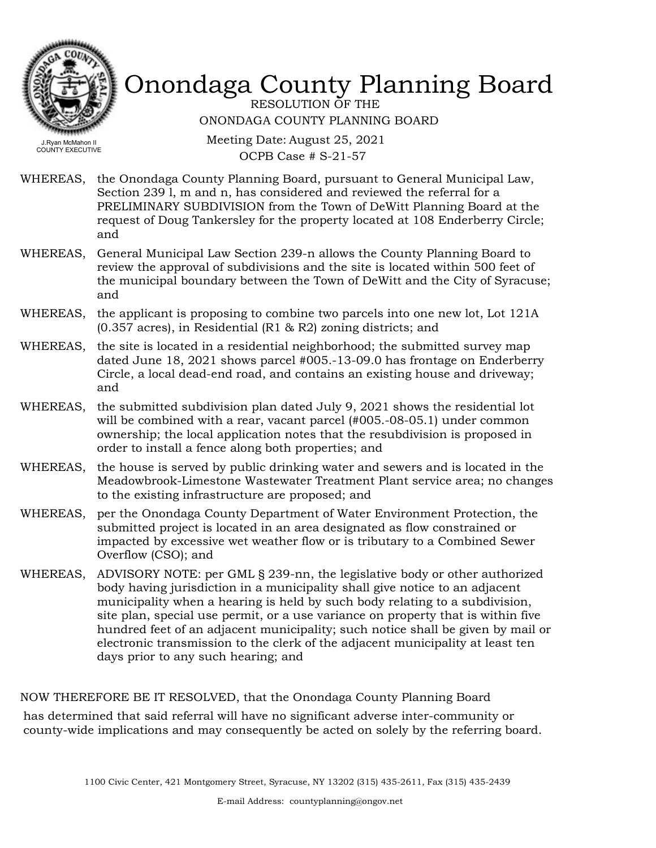

RESOLUTION OF THE ONONDAGA COUNTY PLANNING BOARD

Meeting Date: August 25, 2021 OCPB Case # S-21-57

- WHEREAS, the Onondaga County Planning Board, pursuant to General Municipal Law, Section 239 l, m and n, has considered and reviewed the referral for a PRELIMINARY SUBDIVISION from the Town of DeWitt Planning Board at the request of Doug Tankersley for the property located at 108 Enderberry Circle; and
- WHEREAS, General Municipal Law Section 239-n allows the County Planning Board to review the approval of subdivisions and the site is located within 500 feet of the municipal boundary between the Town of DeWitt and the City of Syracuse; and
- WHEREAS, the applicant is proposing to combine two parcels into one new lot, Lot 121A (0.357 acres), in Residential (R1 & R2) zoning districts; and
- WHEREAS, the site is located in a residential neighborhood; the submitted survey map dated June 18, 2021 shows parcel #005.-13-09.0 has frontage on Enderberry Circle, a local dead-end road, and contains an existing house and driveway; and
- WHEREAS, the submitted subdivision plan dated July 9, 2021 shows the residential lot will be combined with a rear, vacant parcel (#005.-08-05.1) under common ownership; the local application notes that the resubdivision is proposed in order to install a fence along both properties; and
- WHEREAS, the house is served by public drinking water and sewers and is located in the Meadowbrook-Limestone Wastewater Treatment Plant service area; no changes to the existing infrastructure are proposed; and
- per the Onondaga County Department of Water Environment Protection, the submitted project is located in an area designated as flow constrained or impacted by excessive wet weather flow or is tributary to a Combined Sewer Overflow (CSO); and WHEREAS,
- WHEREAS, ADVISORY NOTE: per GML § 239-nn, the legislative body or other authorized body having jurisdiction in a municipality shall give notice to an adjacent municipality when a hearing is held by such body relating to a subdivision, site plan, special use permit, or a use variance on property that is within five hundred feet of an adjacent municipality; such notice shall be given by mail or electronic transmission to the clerk of the adjacent municipality at least ten days prior to any such hearing; and

NOW THEREFORE BE IT RESOLVED, that the Onondaga County Planning Board

has determined that said referral will have no significant adverse inter-community or county-wide implications and may consequently be acted on solely by the referring board.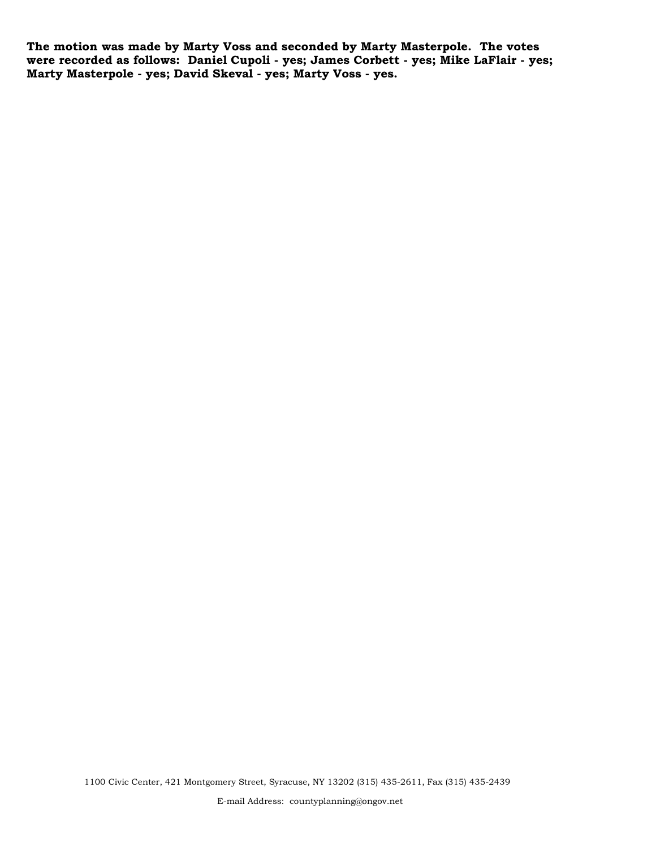**The motion was made by Marty Voss and seconded by Marty Masterpole. The votes were recorded as follows: Daniel Cupoli - yes; James Corbett - yes; Mike LaFlair - yes; Marty Masterpole - yes; David Skeval - yes; Marty Voss - yes.**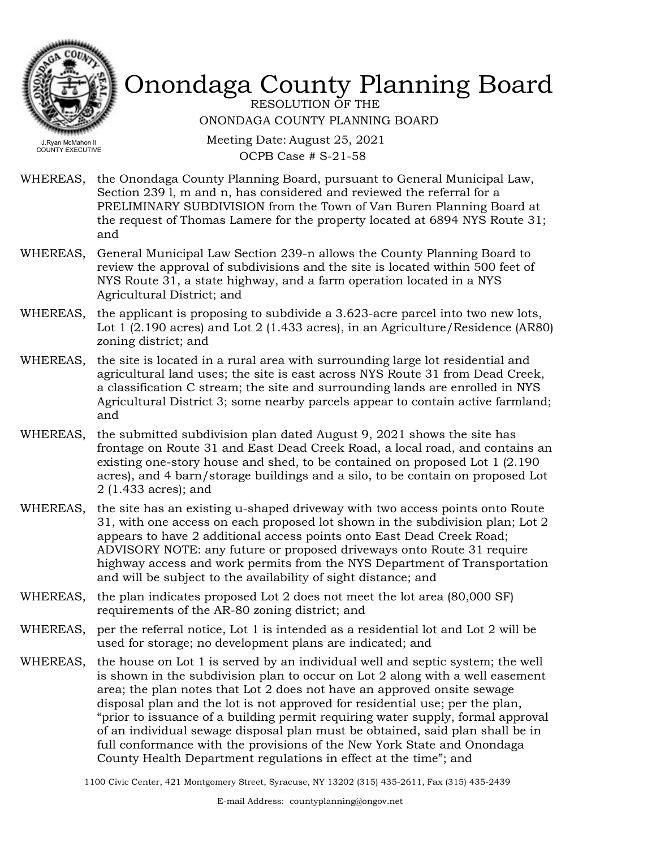

RESOLUTION OF THE ONONDAGA COUNTY PLANNING BOARD

Meeting Date: August 25, 2021 OCPB Case # S-21-58

- WHEREAS, the Onondaga County Planning Board, pursuant to General Municipal Law, Section 239 l, m and n, has considered and reviewed the referral for a PRELIMINARY SUBDIVISION from the Town of Van Buren Planning Board at the request of Thomas Lamere for the property located at 6894 NYS Route 31; and
- WHEREAS, General Municipal Law Section 239-n allows the County Planning Board to review the approval of subdivisions and the site is located within 500 feet of NYS Route 31, a state highway, and a farm operation located in a NYS Agricultural District; and
- WHEREAS, the applicant is proposing to subdivide a 3.623-acre parcel into two new lots, Lot 1 (2.190 acres) and Lot 2 (1.433 acres), in an Agriculture/Residence (AR80) zoning district; and
- WHEREAS, the site is located in a rural area with surrounding large lot residential and agricultural land uses; the site is east across NYS Route 31 from Dead Creek, a classification C stream; the site and surrounding lands are enrolled in NYS Agricultural District 3; some nearby parcels appear to contain active farmland; and
- WHEREAS, the submitted subdivision plan dated August 9, 2021 shows the site has frontage on Route 31 and East Dead Creek Road, a local road, and contains an existing one-story house and shed, to be contained on proposed Lot 1 (2.190 acres), and 4 barn/storage buildings and a silo, to be contain on proposed Lot 2 (1.433 acres); and
- WHEREAS, the site has an existing u-shaped driveway with two access points onto Route 31, with one access on each proposed lot shown in the subdivision plan; Lot 2 appears to have 2 additional access points onto East Dead Creek Road; ADVISORY NOTE: any future or proposed driveways onto Route 31 require highway access and work permits from the NYS Department of Transportation and will be subject to the availability of sight distance; and
- WHEREAS, the plan indicates proposed Lot 2 does not meet the lot area (80,000 SF) requirements of the AR-80 zoning district; and
- WHEREAS, per the referral notice, Lot 1 is intended as a residential lot and Lot 2 will be used for storage; no development plans are indicated; and
- WHEREAS, the house on Lot 1 is served by an individual well and septic system; the well is shown in the subdivision plan to occur on Lot 2 along with a well easement area; the plan notes that Lot 2 does not have an approved onsite sewage disposal plan and the lot is not approved for residential use; per the plan, "prior to issuance of a building permit requiring water supply, formal approval of an individual sewage disposal plan must be obtained, said plan shall be in full conformance with the provisions of the New York State and Onondaga County Health Department regulations in effect at the time"; and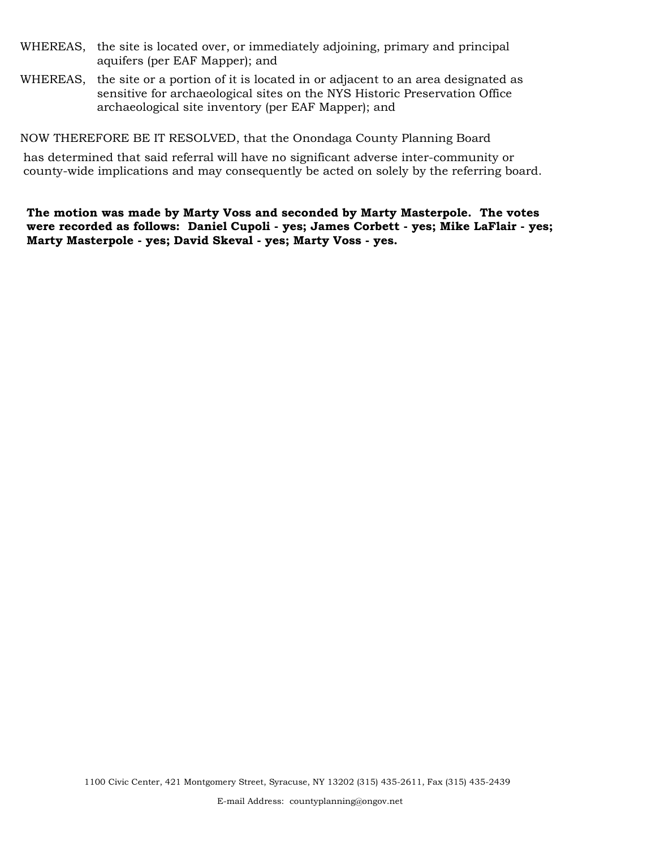- WHEREAS, the site is located over, or immediately adjoining, primary and principal aquifers (per EAF Mapper); and
- WHEREAS, the site or a portion of it is located in or adjacent to an area designated as sensitive for archaeological sites on the NYS Historic Preservation Office archaeological site inventory (per EAF Mapper); and

NOW THEREFORE BE IT RESOLVED, that the Onondaga County Planning Board

has determined that said referral will have no significant adverse inter-community or county-wide implications and may consequently be acted on solely by the referring board.

**The motion was made by Marty Voss and seconded by Marty Masterpole. The votes were recorded as follows: Daniel Cupoli - yes; James Corbett - yes; Mike LaFlair - yes; Marty Masterpole - yes; David Skeval - yes; Marty Voss - yes.**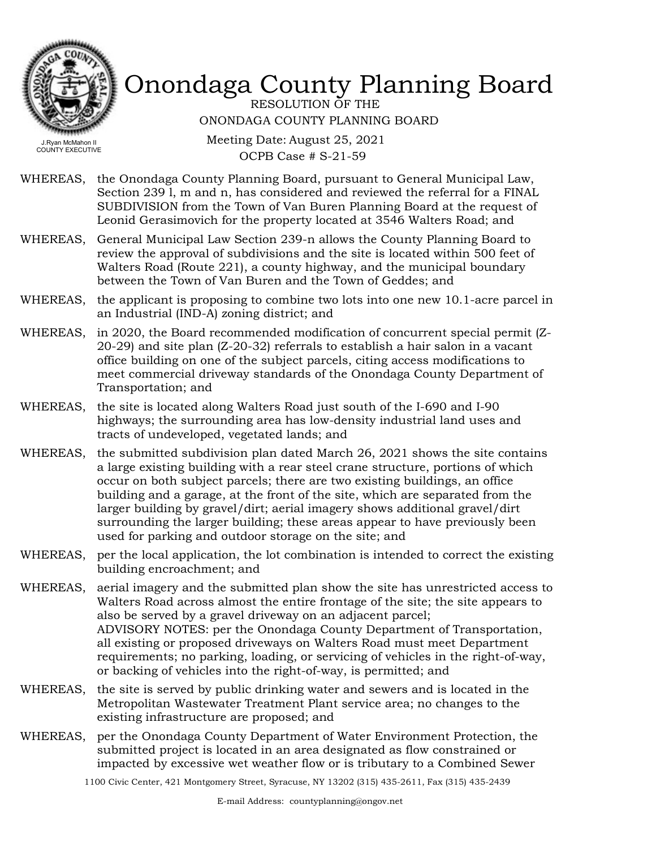

RESOLUTION OF THE ONONDAGA COUNTY PLANNING BOARD

Meeting Date: August 25, 2021 OCPB Case # S-21-59

- WHEREAS, the Onondaga County Planning Board, pursuant to General Municipal Law, Section 239 l, m and n, has considered and reviewed the referral for a FINAL SUBDIVISION from the Town of Van Buren Planning Board at the request of Leonid Gerasimovich for the property located at 3546 Walters Road; and
- General Municipal Law Section 239-n allows the County Planning Board to review the approval of subdivisions and the site is located within 500 feet of Walters Road (Route 221), a county highway, and the municipal boundary between the Town of Van Buren and the Town of Geddes; and WHEREAS,
- WHEREAS, the applicant is proposing to combine two lots into one new 10.1-acre parcel in an Industrial (IND-A) zoning district; and
- WHEREAS, in 2020, the Board recommended modification of concurrent special permit (Z-20-29) and site plan (Z-20-32) referrals to establish a hair salon in a vacant office building on one of the subject parcels, citing access modifications to meet commercial driveway standards of the Onondaga County Department of Transportation; and
- WHEREAS, the site is located along Walters Road just south of the I-690 and I-90 highways; the surrounding area has low-density industrial land uses and tracts of undeveloped, vegetated lands; and
- WHEREAS, the submitted subdivision plan dated March 26, 2021 shows the site contains a large existing building with a rear steel crane structure, portions of which occur on both subject parcels; there are two existing buildings, an office building and a garage, at the front of the site, which are separated from the larger building by gravel/dirt; aerial imagery shows additional gravel/dirt surrounding the larger building; these areas appear to have previously been used for parking and outdoor storage on the site; and
- WHEREAS, per the local application, the lot combination is intended to correct the existing building encroachment; and
- aerial imagery and the submitted plan show the site has unrestricted access to Walters Road across almost the entire frontage of the site; the site appears to also be served by a gravel driveway on an adjacent parcel; ADVISORY NOTES: per the Onondaga County Department of Transportation, all existing or proposed driveways on Walters Road must meet Department requirements; no parking, loading, or servicing of vehicles in the right-of-way, or backing of vehicles into the right-of-way, is permitted; and WHEREAS,
- WHEREAS, the site is served by public drinking water and sewers and is located in the Metropolitan Wastewater Treatment Plant service area; no changes to the existing infrastructure are proposed; and
- WHEREAS, per the Onondaga County Department of Water Environment Protection, the submitted project is located in an area designated as flow constrained or impacted by excessive wet weather flow or is tributary to a Combined Sewer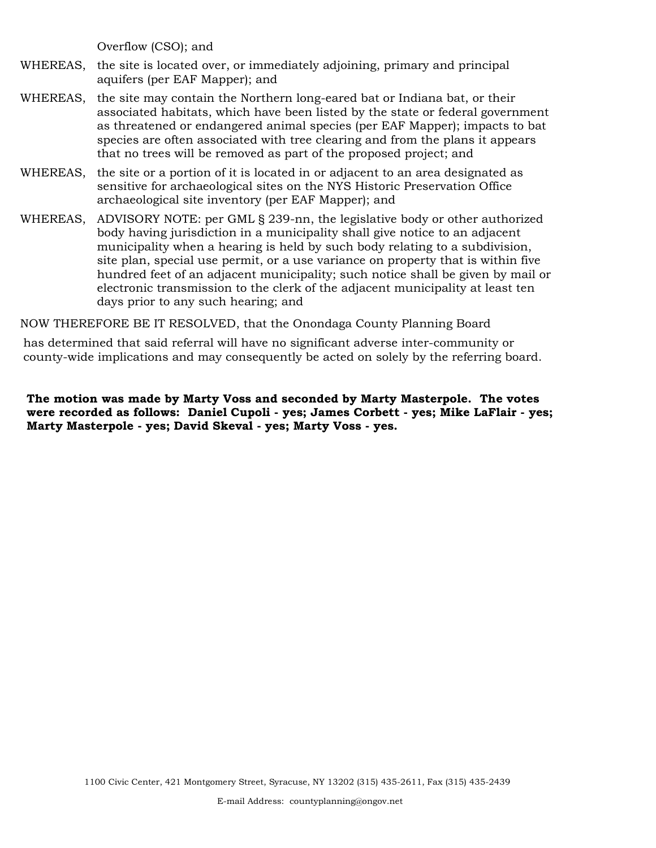Overflow (CSO); and

- WHEREAS, the site is located over, or immediately adjoining, primary and principal aquifers (per EAF Mapper); and
- WHEREAS, the site may contain the Northern long-eared bat or Indiana bat, or their associated habitats, which have been listed by the state or federal government as threatened or endangered animal species (per EAF Mapper); impacts to bat species are often associated with tree clearing and from the plans it appears that no trees will be removed as part of the proposed project; and
- WHEREAS, the site or a portion of it is located in or adjacent to an area designated as sensitive for archaeological sites on the NYS Historic Preservation Office archaeological site inventory (per EAF Mapper); and
- WHEREAS, ADVISORY NOTE: per GML § 239-nn, the legislative body or other authorized body having jurisdiction in a municipality shall give notice to an adjacent municipality when a hearing is held by such body relating to a subdivision, site plan, special use permit, or a use variance on property that is within five hundred feet of an adjacent municipality; such notice shall be given by mail or electronic transmission to the clerk of the adjacent municipality at least ten days prior to any such hearing; and

NOW THEREFORE BE IT RESOLVED, that the Onondaga County Planning Board

has determined that said referral will have no significant adverse inter-community or county-wide implications and may consequently be acted on solely by the referring board.

**The motion was made by Marty Voss and seconded by Marty Masterpole. The votes were recorded as follows: Daniel Cupoli - yes; James Corbett - yes; Mike LaFlair - yes; Marty Masterpole - yes; David Skeval - yes; Marty Voss - yes.**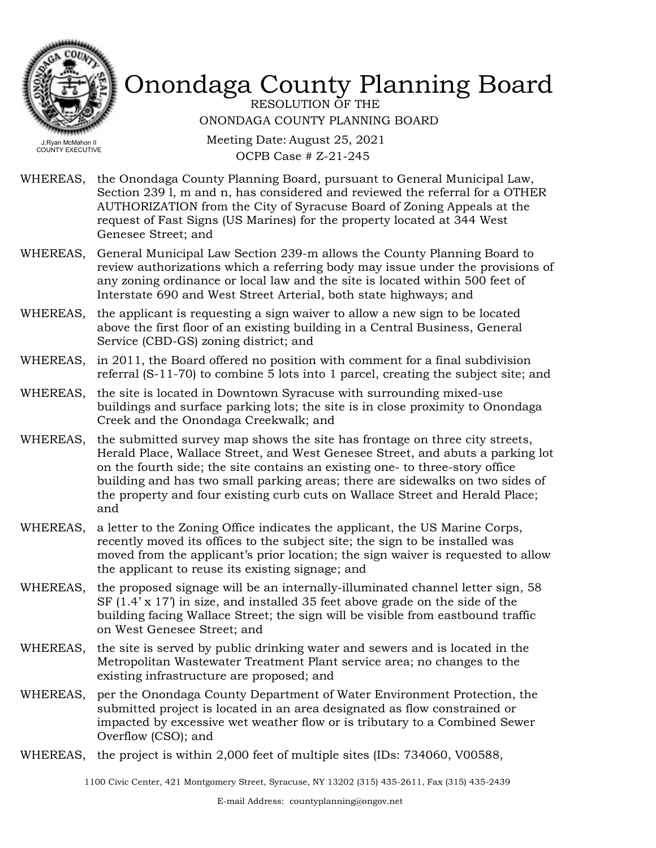

RESOLUTION OF THE ONONDAGA COUNTY PLANNING BOARD

Meeting Date: August 25, 2021 OCPB Case # Z-21-245

- WHEREAS, the Onondaga County Planning Board, pursuant to General Municipal Law, Section 239 l, m and n, has considered and reviewed the referral for a OTHER AUTHORIZATION from the City of Syracuse Board of Zoning Appeals at the request of Fast Signs (US Marines) for the property located at 344 West Genesee Street; and
- WHEREAS, General Municipal Law Section 239-m allows the County Planning Board to review authorizations which a referring body may issue under the provisions of any zoning ordinance or local law and the site is located within 500 feet of Interstate 690 and West Street Arterial, both state highways; and
- the applicant is requesting a sign waiver to allow a new sign to be located above the first floor of an existing building in a Central Business, General Service (CBD-GS) zoning district; and WHEREAS,
- WHEREAS, in 2011, the Board offered no position with comment for a final subdivision referral (S-11-70) to combine 5 lots into 1 parcel, creating the subject site; and
- WHEREAS, the site is located in Downtown Syracuse with surrounding mixed-use buildings and surface parking lots; the site is in close proximity to Onondaga Creek and the Onondaga Creekwalk; and
- WHEREAS, the submitted survey map shows the site has frontage on three city streets, Herald Place, Wallace Street, and West Genesee Street, and abuts a parking lot on the fourth side; the site contains an existing one- to three-story office building and has two small parking areas; there are sidewalks on two sides of the property and four existing curb cuts on Wallace Street and Herald Place; and
- WHEREAS, a letter to the Zoning Office indicates the applicant, the US Marine Corps, recently moved its offices to the subject site; the sign to be installed was moved from the applicant's prior location; the sign waiver is requested to allow the applicant to reuse its existing signage; and
- WHEREAS, the proposed signage will be an internally-illuminated channel letter sign, 58 SF (1.4' x 17') in size, and installed 35 feet above grade on the side of the building facing Wallace Street; the sign will be visible from eastbound traffic on West Genesee Street; and
- WHEREAS, the site is served by public drinking water and sewers and is located in the Metropolitan Wastewater Treatment Plant service area; no changes to the existing infrastructure are proposed; and
- WHEREAS, per the Onondaga County Department of Water Environment Protection, the submitted project is located in an area designated as flow constrained or impacted by excessive wet weather flow or is tributary to a Combined Sewer Overflow (CSO); and
- WHEREAS, the project is within 2,000 feet of multiple sites (IDs: 734060, V00588,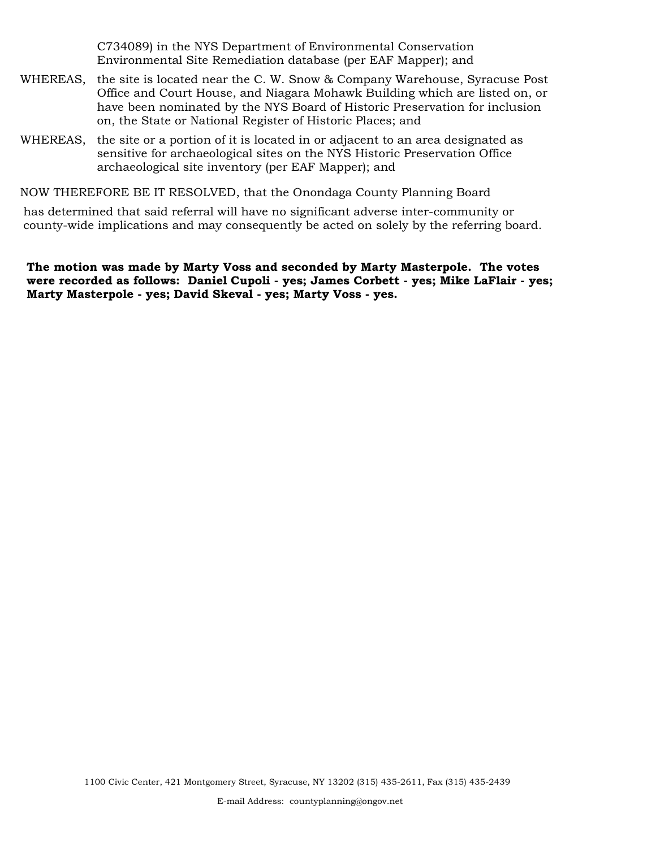C734089) in the NYS Department of Environmental Conservation Environmental Site Remediation database (per EAF Mapper); and

- WHEREAS, the site is located near the C. W. Snow & Company Warehouse, Syracuse Post Office and Court House, and Niagara Mohawk Building which are listed on, or have been nominated by the NYS Board of Historic Preservation for inclusion on, the State or National Register of Historic Places; and
- WHEREAS, the site or a portion of it is located in or adjacent to an area designated as sensitive for archaeological sites on the NYS Historic Preservation Office archaeological site inventory (per EAF Mapper); and

NOW THEREFORE BE IT RESOLVED, that the Onondaga County Planning Board

has determined that said referral will have no significant adverse inter-community or county-wide implications and may consequently be acted on solely by the referring board.

**The motion was made by Marty Voss and seconded by Marty Masterpole. The votes were recorded as follows: Daniel Cupoli - yes; James Corbett - yes; Mike LaFlair - yes; Marty Masterpole - yes; David Skeval - yes; Marty Voss - yes.**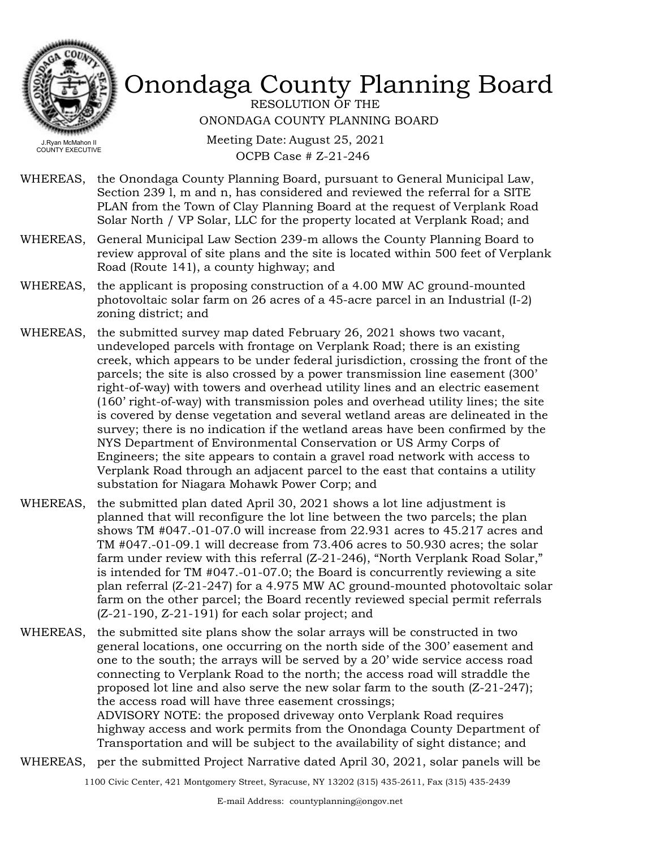

RESOLUTION OF THE ONONDAGA COUNTY PLANNING BOARD

Meeting Date: August 25, 2021 OCPB Case # Z-21-246

- WHEREAS, the Onondaga County Planning Board, pursuant to General Municipal Law, Section 239 l, m and n, has considered and reviewed the referral for a SITE PLAN from the Town of Clay Planning Board at the request of Verplank Road Solar North / VP Solar, LLC for the property located at Verplank Road; and
- General Municipal Law Section 239-m allows the County Planning Board to review approval of site plans and the site is located within 500 feet of Verplank Road (Route 141), a county highway; and WHEREAS,
- WHEREAS, the applicant is proposing construction of a 4.00 MW AC ground-mounted photovoltaic solar farm on 26 acres of a 45-acre parcel in an Industrial (I-2) zoning district; and
- the submitted survey map dated February 26, 2021 shows two vacant, undeveloped parcels with frontage on Verplank Road; there is an existing creek, which appears to be under federal jurisdiction, crossing the front of the parcels; the site is also crossed by a power transmission line easement (300' right-of-way) with towers and overhead utility lines and an electric easement (160' right-of-way) with transmission poles and overhead utility lines; the site is covered by dense vegetation and several wetland areas are delineated in the survey; there is no indication if the wetland areas have been confirmed by the NYS Department of Environmental Conservation or US Army Corps of Engineers; the site appears to contain a gravel road network with access to Verplank Road through an adjacent parcel to the east that contains a utility substation for Niagara Mohawk Power Corp; and WHEREAS,
- WHEREAS, the submitted plan dated April 30, 2021 shows a lot line adjustment is planned that will reconfigure the lot line between the two parcels; the plan shows TM #047.-01-07.0 will increase from 22.931 acres to 45.217 acres and TM #047.-01-09.1 will decrease from 73.406 acres to 50.930 acres; the solar farm under review with this referral (Z-21-246), "North Verplank Road Solar," is intended for TM #047.-01-07.0; the Board is concurrently reviewing a site plan referral (Z-21-247) for a 4.975 MW AC ground-mounted photovoltaic solar farm on the other parcel; the Board recently reviewed special permit referrals (Z-21-190, Z-21-191) for each solar project; and
- WHEREAS, the submitted site plans show the solar arrays will be constructed in two general locations, one occurring on the north side of the 300' easement and one to the south; the arrays will be served by a 20' wide service access road connecting to Verplank Road to the north; the access road will straddle the proposed lot line and also serve the new solar farm to the south (Z-21-247); the access road will have three easement crossings; ADVISORY NOTE: the proposed driveway onto Verplank Road requires highway access and work permits from the Onondaga County Department of Transportation and will be subject to the availability of sight distance; and
- WHEREAS, per the submitted Project Narrative dated April 30, 2021, solar panels will be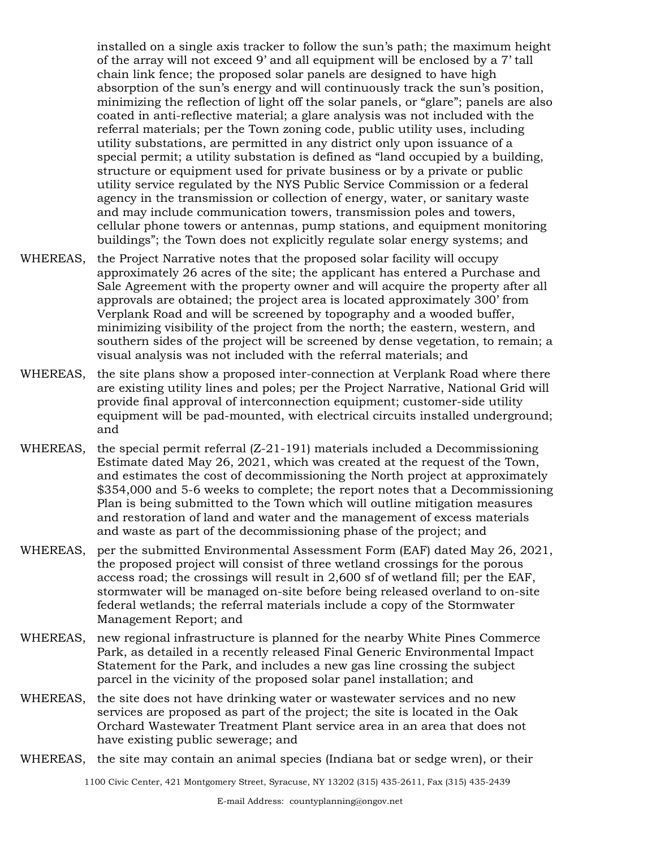installed on a single axis tracker to follow the sun's path; the maximum height of the array will not exceed 9' and all equipment will be enclosed by a 7' tall chain link fence; the proposed solar panels are designed to have high absorption of the sun's energy and will continuously track the sun's position, minimizing the reflection of light off the solar panels, or "glare"; panels are also coated in anti-reflective material; a glare analysis was not included with the referral materials; per the Town zoning code, public utility uses, including utility substations, are permitted in any district only upon issuance of a special permit; a utility substation is defined as "land occupied by a building, structure or equipment used for private business or by a private or public utility service regulated by the NYS Public Service Commission or a federal agency in the transmission or collection of energy, water, or sanitary waste and may include communication towers, transmission poles and towers, cellular phone towers or antennas, pump stations, and equipment monitoring buildings"; the Town does not explicitly regulate solar energy systems; and

- the Project Narrative notes that the proposed solar facility will occupy approximately 26 acres of the site; the applicant has entered a Purchase and Sale Agreement with the property owner and will acquire the property after all approvals are obtained; the project area is located approximately 300' from Verplank Road and will be screened by topography and a wooded buffer, minimizing visibility of the project from the north; the eastern, western, and southern sides of the project will be screened by dense vegetation, to remain; a visual analysis was not included with the referral materials; and WHEREAS,
- WHEREAS, the site plans show a proposed inter-connection at Verplank Road where there are existing utility lines and poles; per the Project Narrative, National Grid will provide final approval of interconnection equipment; customer-side utility equipment will be pad-mounted, with electrical circuits installed underground; and
- WHEREAS, the special permit referral (Z-21-191) materials included a Decommissioning Estimate dated May 26, 2021, which was created at the request of the Town, and estimates the cost of decommissioning the North project at approximately \$354,000 and 5-6 weeks to complete; the report notes that a Decommissioning Plan is being submitted to the Town which will outline mitigation measures and restoration of land and water and the management of excess materials and waste as part of the decommissioning phase of the project; and
- WHEREAS, per the submitted Environmental Assessment Form (EAF) dated May 26, 2021, the proposed project will consist of three wetland crossings for the porous access road; the crossings will result in 2,600 sf of wetland fill; per the EAF, stormwater will be managed on-site before being released overland to on-site federal wetlands; the referral materials include a copy of the Stormwater Management Report; and
- WHEREAS, new regional infrastructure is planned for the nearby White Pines Commerce Park, as detailed in a recently released Final Generic Environmental Impact Statement for the Park, and includes a new gas line crossing the subject parcel in the vicinity of the proposed solar panel installation; and
- WHEREAS, the site does not have drinking water or wastewater services and no new services are proposed as part of the project; the site is located in the Oak Orchard Wastewater Treatment Plant service area in an area that does not have existing public sewerage; and
- WHEREAS, the site may contain an animal species (Indiana bat or sedge wren), or their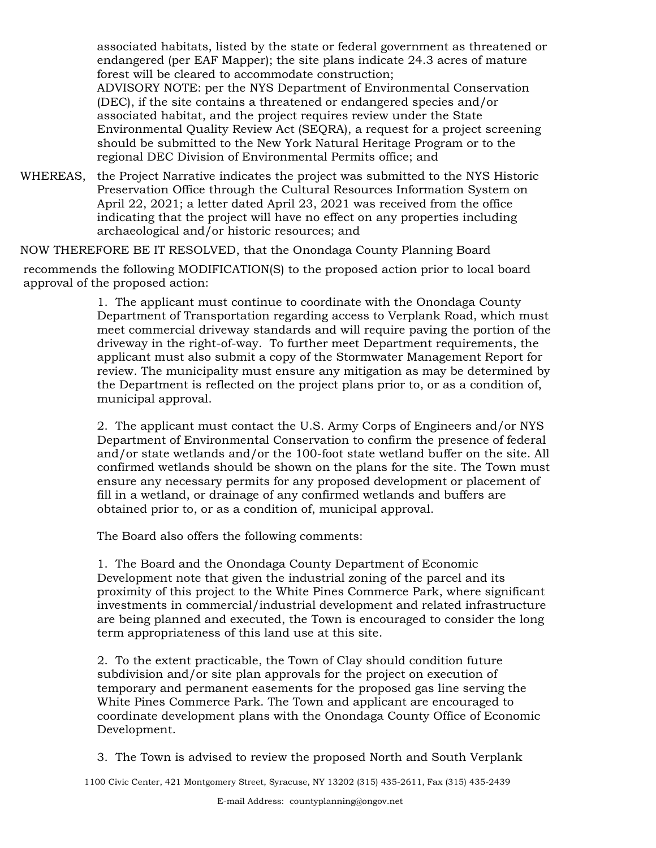associated habitats, listed by the state or federal government as threatened or endangered (per EAF Mapper); the site plans indicate 24.3 acres of mature forest will be cleared to accommodate construction; ADVISORY NOTE: per the NYS Department of Environmental Conservation (DEC), if the site contains a threatened or endangered species and/or associated habitat, and the project requires review under the State

Environmental Quality Review Act (SEQRA), a request for a project screening should be submitted to the New York Natural Heritage Program or to the regional DEC Division of Environmental Permits office; and

WHEREAS, the Project Narrative indicates the project was submitted to the NYS Historic Preservation Office through the Cultural Resources Information System on April 22, 2021; a letter dated April 23, 2021 was received from the office indicating that the project will have no effect on any properties including archaeological and/or historic resources; and

NOW THEREFORE BE IT RESOLVED, that the Onondaga County Planning Board

recommends the following MODIFICATION(S) to the proposed action prior to local board approval of the proposed action:

> 1. The applicant must continue to coordinate with the Onondaga County Department of Transportation regarding access to Verplank Road, which must meet commercial driveway standards and will require paving the portion of the driveway in the right-of-way. To further meet Department requirements, the applicant must also submit a copy of the Stormwater Management Report for review. The municipality must ensure any mitigation as may be determined by the Department is reflected on the project plans prior to, or as a condition of, municipal approval.

> 2. The applicant must contact the U.S. Army Corps of Engineers and/or NYS Department of Environmental Conservation to confirm the presence of federal and/or state wetlands and/or the 100-foot state wetland buffer on the site. All confirmed wetlands should be shown on the plans for the site. The Town must ensure any necessary permits for any proposed development or placement of fill in a wetland, or drainage of any confirmed wetlands and buffers are obtained prior to, or as a condition of, municipal approval.

The Board also offers the following comments:

1. The Board and the Onondaga County Department of Economic Development note that given the industrial zoning of the parcel and its proximity of this project to the White Pines Commerce Park, where significant investments in commercial/industrial development and related infrastructure are being planned and executed, the Town is encouraged to consider the long term appropriateness of this land use at this site.

2. To the extent practicable, the Town of Clay should condition future subdivision and/or site plan approvals for the project on execution of temporary and permanent easements for the proposed gas line serving the White Pines Commerce Park. The Town and applicant are encouraged to coordinate development plans with the Onondaga County Office of Economic Development.

3. The Town is advised to review the proposed North and South Verplank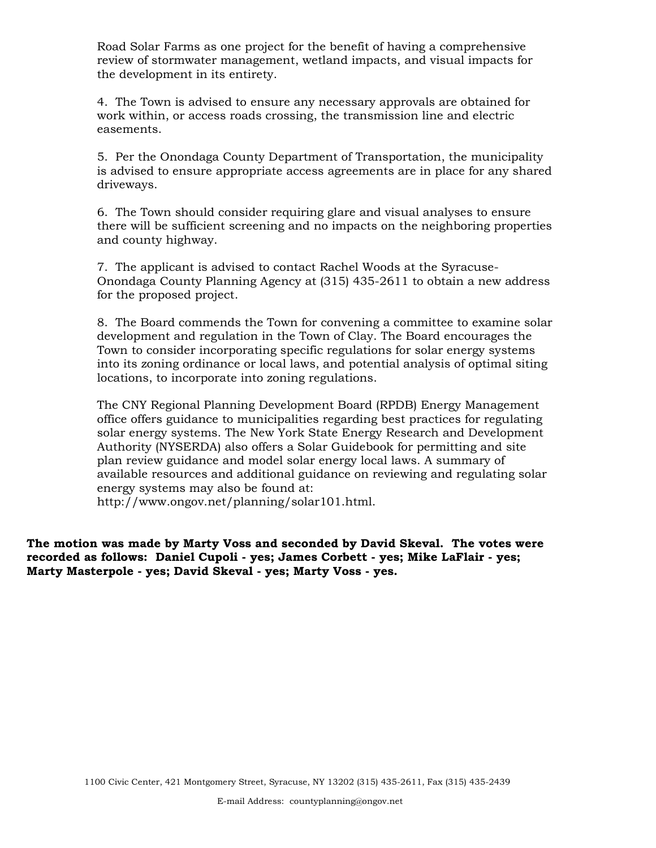Road Solar Farms as one project for the benefit of having a comprehensive review of stormwater management, wetland impacts, and visual impacts for the development in its entirety.

4. The Town is advised to ensure any necessary approvals are obtained for work within, or access roads crossing, the transmission line and electric easements.

5. Per the Onondaga County Department of Transportation, the municipality is advised to ensure appropriate access agreements are in place for any shared driveways.

6. The Town should consider requiring glare and visual analyses to ensure there will be sufficient screening and no impacts on the neighboring properties and county highway.

7. The applicant is advised to contact Rachel Woods at the Syracuse-Onondaga County Planning Agency at (315) 435-2611 to obtain a new address for the proposed project.

8. The Board commends the Town for convening a committee to examine solar development and regulation in the Town of Clay. The Board encourages the Town to consider incorporating specific regulations for solar energy systems into its zoning ordinance or local laws, and potential analysis of optimal siting locations, to incorporate into zoning regulations.

The CNY Regional Planning Development Board (RPDB) Energy Management office offers guidance to municipalities regarding best practices for regulating solar energy systems. The New York State Energy Research and Development Authority (NYSERDA) also offers a Solar Guidebook for permitting and site plan review guidance and model solar energy local laws. A summary of available resources and additional guidance on reviewing and regulating solar energy systems may also be found at:

http://www.ongov.net/planning/solar101.html.

**The motion was made by Marty Voss and seconded by David Skeval. The votes were recorded as follows: Daniel Cupoli - yes; James Corbett - yes; Mike LaFlair - yes; Marty Masterpole - yes; David Skeval - yes; Marty Voss - yes.**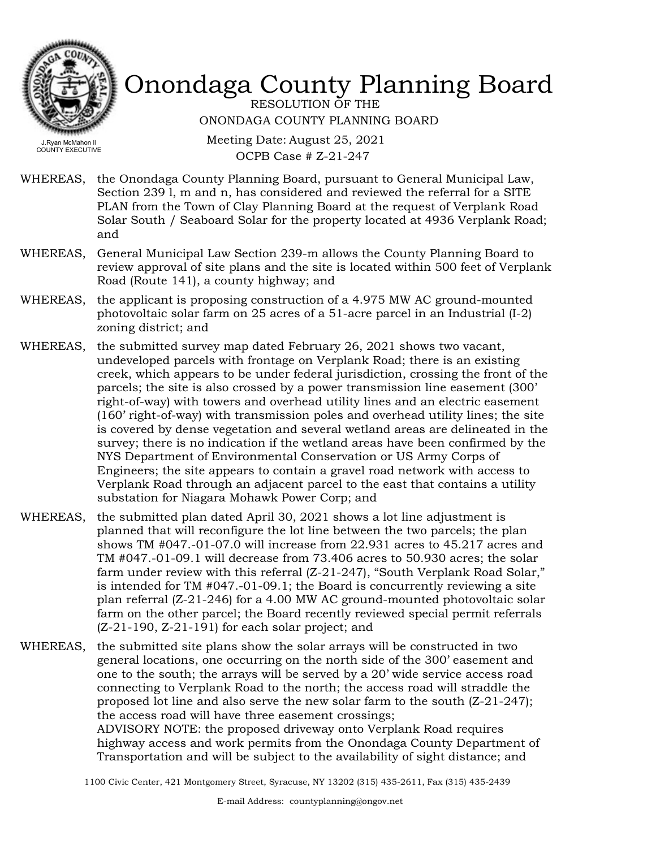

RESOLUTION OF THE ONONDAGA COUNTY PLANNING BOARD

Meeting Date: August 25, 2021 OCPB Case # Z-21-247

- WHEREAS, the Onondaga County Planning Board, pursuant to General Municipal Law, Section 239 l, m and n, has considered and reviewed the referral for a SITE PLAN from the Town of Clay Planning Board at the request of Verplank Road Solar South / Seaboard Solar for the property located at 4936 Verplank Road; and
- WHEREAS, General Municipal Law Section 239-m allows the County Planning Board to review approval of site plans and the site is located within 500 feet of Verplank Road (Route 141), a county highway; and
- WHEREAS, the applicant is proposing construction of a 4.975 MW AC ground-mounted photovoltaic solar farm on 25 acres of a 51-acre parcel in an Industrial (I-2) zoning district; and
- WHEREAS, the submitted survey map dated February 26, 2021 shows two vacant, undeveloped parcels with frontage on Verplank Road; there is an existing creek, which appears to be under federal jurisdiction, crossing the front of the parcels; the site is also crossed by a power transmission line easement (300' right-of-way) with towers and overhead utility lines and an electric easement (160' right-of-way) with transmission poles and overhead utility lines; the site is covered by dense vegetation and several wetland areas are delineated in the survey; there is no indication if the wetland areas have been confirmed by the NYS Department of Environmental Conservation or US Army Corps of Engineers; the site appears to contain a gravel road network with access to Verplank Road through an adjacent parcel to the east that contains a utility substation for Niagara Mohawk Power Corp; and
- the submitted plan dated April 30, 2021 shows a lot line adjustment is planned that will reconfigure the lot line between the two parcels; the plan shows TM #047.-01-07.0 will increase from 22.931 acres to 45.217 acres and TM #047.-01-09.1 will decrease from 73.406 acres to 50.930 acres; the solar farm under review with this referral (Z-21-247), "South Verplank Road Solar," is intended for TM #047.-01-09.1; the Board is concurrently reviewing a site plan referral (Z-21-246) for a 4.00 MW AC ground-mounted photovoltaic solar farm on the other parcel; the Board recently reviewed special permit referrals (Z-21-190, Z-21-191) for each solar project; and WHEREAS,
- WHEREAS, the submitted site plans show the solar arrays will be constructed in two general locations, one occurring on the north side of the 300' easement and one to the south; the arrays will be served by a 20' wide service access road connecting to Verplank Road to the north; the access road will straddle the proposed lot line and also serve the new solar farm to the south (Z-21-247); the access road will have three easement crossings; ADVISORY NOTE: the proposed driveway onto Verplank Road requires highway access and work permits from the Onondaga County Department of Transportation and will be subject to the availability of sight distance; and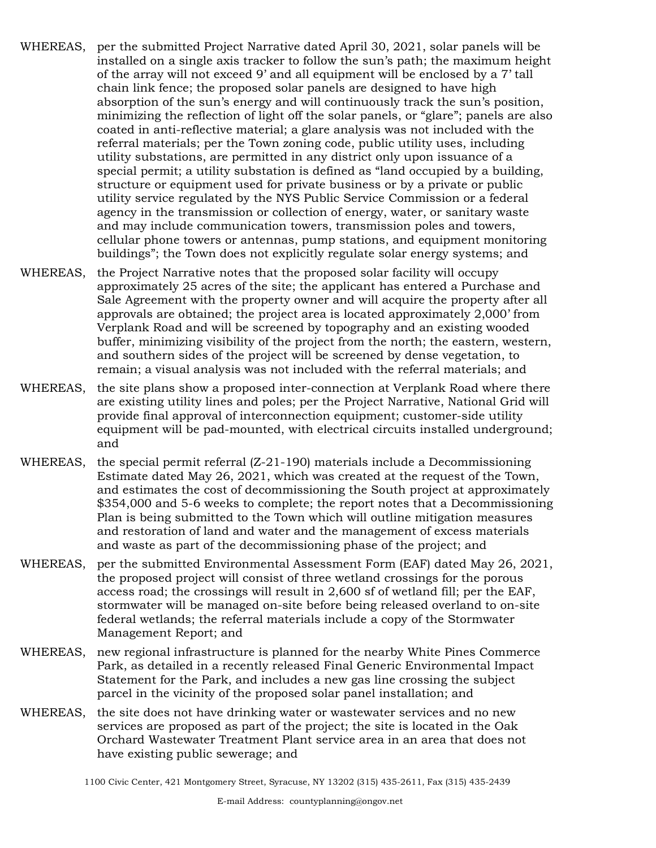- WHEREAS, per the submitted Project Narrative dated April 30, 2021, solar panels will be installed on a single axis tracker to follow the sun's path; the maximum height of the array will not exceed 9' and all equipment will be enclosed by a 7' tall chain link fence; the proposed solar panels are designed to have high absorption of the sun's energy and will continuously track the sun's position, minimizing the reflection of light off the solar panels, or "glare"; panels are also coated in anti-reflective material; a glare analysis was not included with the referral materials; per the Town zoning code, public utility uses, including utility substations, are permitted in any district only upon issuance of a special permit; a utility substation is defined as "land occupied by a building, structure or equipment used for private business or by a private or public utility service regulated by the NYS Public Service Commission or a federal agency in the transmission or collection of energy, water, or sanitary waste and may include communication towers, transmission poles and towers, cellular phone towers or antennas, pump stations, and equipment monitoring buildings"; the Town does not explicitly regulate solar energy systems; and
- WHEREAS, the Project Narrative notes that the proposed solar facility will occupy approximately 25 acres of the site; the applicant has entered a Purchase and Sale Agreement with the property owner and will acquire the property after all approvals are obtained; the project area is located approximately 2,000' from Verplank Road and will be screened by topography and an existing wooded buffer, minimizing visibility of the project from the north; the eastern, western, and southern sides of the project will be screened by dense vegetation, to remain; a visual analysis was not included with the referral materials; and
- WHEREAS, the site plans show a proposed inter-connection at Verplank Road where there are existing utility lines and poles; per the Project Narrative, National Grid will provide final approval of interconnection equipment; customer-side utility equipment will be pad-mounted, with electrical circuits installed underground; and
- WHEREAS, the special permit referral (Z-21-190) materials include a Decommissioning Estimate dated May 26, 2021, which was created at the request of the Town, and estimates the cost of decommissioning the South project at approximately \$354,000 and 5-6 weeks to complete; the report notes that a Decommissioning Plan is being submitted to the Town which will outline mitigation measures and restoration of land and water and the management of excess materials and waste as part of the decommissioning phase of the project; and
- WHEREAS, per the submitted Environmental Assessment Form (EAF) dated May 26, 2021, the proposed project will consist of three wetland crossings for the porous access road; the crossings will result in 2,600 sf of wetland fill; per the EAF, stormwater will be managed on-site before being released overland to on-site federal wetlands; the referral materials include a copy of the Stormwater Management Report; and
- WHEREAS, new regional infrastructure is planned for the nearby White Pines Commerce Park, as detailed in a recently released Final Generic Environmental Impact Statement for the Park, and includes a new gas line crossing the subject parcel in the vicinity of the proposed solar panel installation; and
- WHEREAS, the site does not have drinking water or wastewater services and no new services are proposed as part of the project; the site is located in the Oak Orchard Wastewater Treatment Plant service area in an area that does not have existing public sewerage; and

<sup>1100</sup> Civic Center, 421 Montgomery Street, Syracuse, NY 13202 (315) 435-2611, Fax (315) 435-2439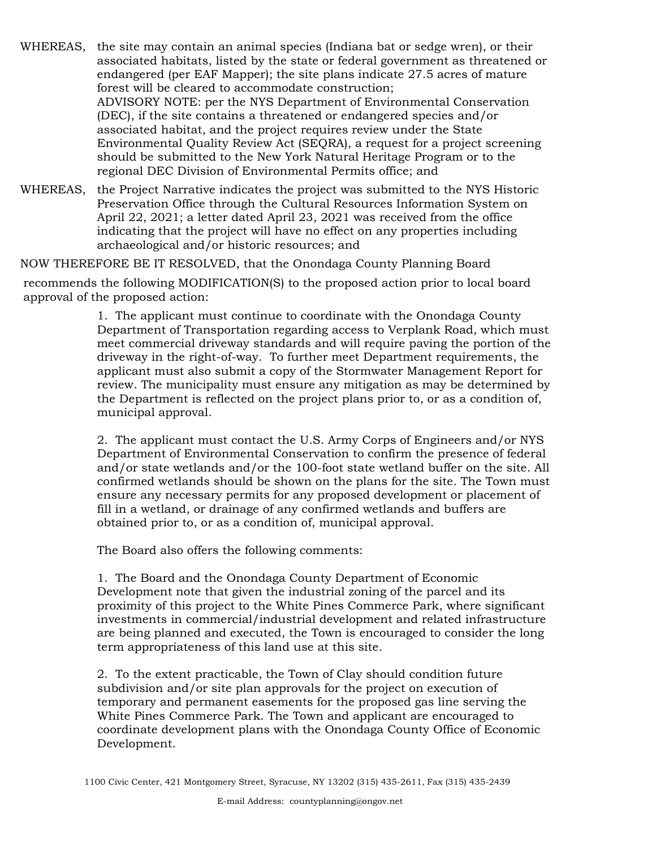WHEREAS, the site may contain an animal species (Indiana bat or sedge wren), or their associated habitats, listed by the state or federal government as threatened or endangered (per EAF Mapper); the site plans indicate 27.5 acres of mature forest will be cleared to accommodate construction; ADVISORY NOTE: per the NYS Department of Environmental Conservation (DEC), if the site contains a threatened or endangered species and/or associated habitat, and the project requires review under the State Environmental Quality Review Act (SEQRA), a request for a project screening should be submitted to the New York Natural Heritage Program or to the regional DEC Division of Environmental Permits office; and

WHEREAS, the Project Narrative indicates the project was submitted to the NYS Historic Preservation Office through the Cultural Resources Information System on April 22, 2021; a letter dated April 23, 2021 was received from the office indicating that the project will have no effect on any properties including archaeological and/or historic resources; and

NOW THEREFORE BE IT RESOLVED, that the Onondaga County Planning Board

recommends the following MODIFICATION(S) to the proposed action prior to local board approval of the proposed action:

> 1. The applicant must continue to coordinate with the Onondaga County Department of Transportation regarding access to Verplank Road, which must meet commercial driveway standards and will require paving the portion of the driveway in the right-of-way. To further meet Department requirements, the applicant must also submit a copy of the Stormwater Management Report for review. The municipality must ensure any mitigation as may be determined by the Department is reflected on the project plans prior to, or as a condition of, municipal approval.

> 2. The applicant must contact the U.S. Army Corps of Engineers and/or NYS Department of Environmental Conservation to confirm the presence of federal and/or state wetlands and/or the 100-foot state wetland buffer on the site. All confirmed wetlands should be shown on the plans for the site. The Town must ensure any necessary permits for any proposed development or placement of fill in a wetland, or drainage of any confirmed wetlands and buffers are obtained prior to, or as a condition of, municipal approval.

The Board also offers the following comments:

1. The Board and the Onondaga County Department of Economic Development note that given the industrial zoning of the parcel and its proximity of this project to the White Pines Commerce Park, where significant investments in commercial/industrial development and related infrastructure are being planned and executed, the Town is encouraged to consider the long term appropriateness of this land use at this site.

2. To the extent practicable, the Town of Clay should condition future subdivision and/or site plan approvals for the project on execution of temporary and permanent easements for the proposed gas line serving the White Pines Commerce Park. The Town and applicant are encouraged to coordinate development plans with the Onondaga County Office of Economic Development.

<sup>1100</sup> Civic Center, 421 Montgomery Street, Syracuse, NY 13202 (315) 435-2611, Fax (315) 435-2439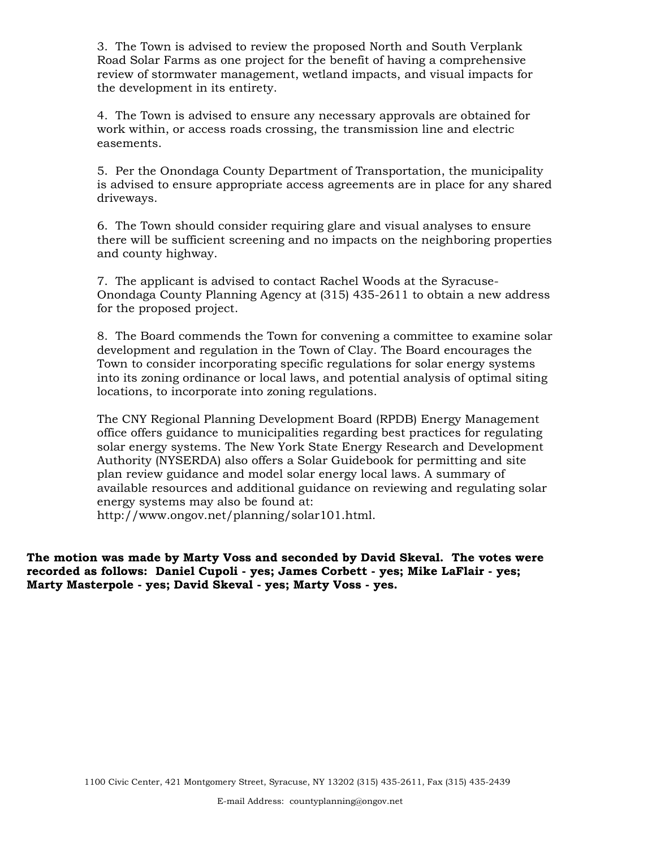3. The Town is advised to review the proposed North and South Verplank Road Solar Farms as one project for the benefit of having a comprehensive review of stormwater management, wetland impacts, and visual impacts for the development in its entirety.

4. The Town is advised to ensure any necessary approvals are obtained for work within, or access roads crossing, the transmission line and electric easements.

5. Per the Onondaga County Department of Transportation, the municipality is advised to ensure appropriate access agreements are in place for any shared driveways.

6. The Town should consider requiring glare and visual analyses to ensure there will be sufficient screening and no impacts on the neighboring properties and county highway.

7. The applicant is advised to contact Rachel Woods at the Syracuse-Onondaga County Planning Agency at (315) 435-2611 to obtain a new address for the proposed project.

8. The Board commends the Town for convening a committee to examine solar development and regulation in the Town of Clay. The Board encourages the Town to consider incorporating specific regulations for solar energy systems into its zoning ordinance or local laws, and potential analysis of optimal siting locations, to incorporate into zoning regulations.

The CNY Regional Planning Development Board (RPDB) Energy Management office offers guidance to municipalities regarding best practices for regulating solar energy systems. The New York State Energy Research and Development Authority (NYSERDA) also offers a Solar Guidebook for permitting and site plan review guidance and model solar energy local laws. A summary of available resources and additional guidance on reviewing and regulating solar energy systems may also be found at:

http://www.ongov.net/planning/solar101.html.

**The motion was made by Marty Voss and seconded by David Skeval. The votes were recorded as follows: Daniel Cupoli - yes; James Corbett - yes; Mike LaFlair - yes; Marty Masterpole - yes; David Skeval - yes; Marty Voss - yes.**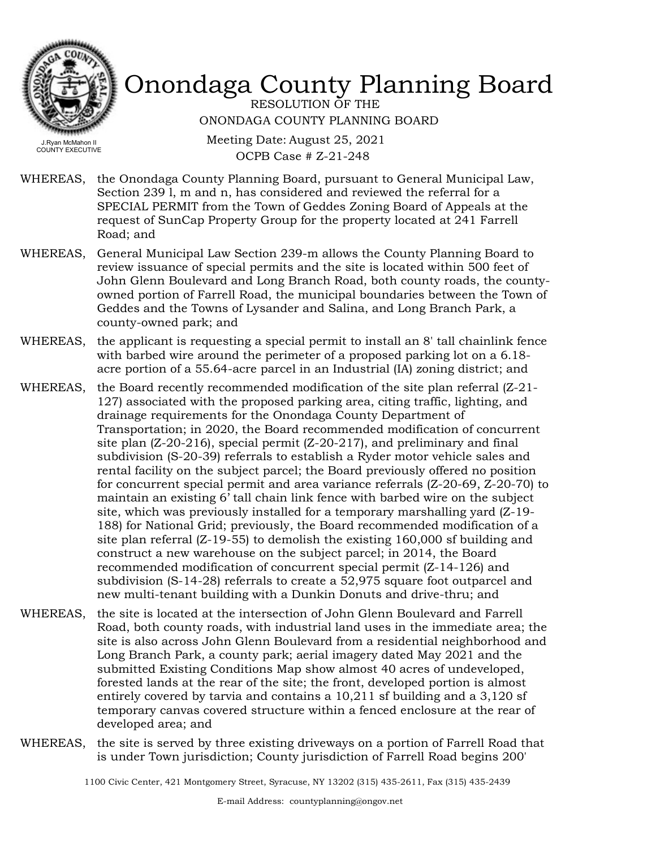

RESOLUTION OF THE ONONDAGA COUNTY PLANNING BOARD

Meeting Date: August 25, 2021 OCPB Case # Z-21-248

- WHEREAS, the Onondaga County Planning Board, pursuant to General Municipal Law, Section 239 l, m and n, has considered and reviewed the referral for a SPECIAL PERMIT from the Town of Geddes Zoning Board of Appeals at the request of SunCap Property Group for the property located at 241 Farrell Road; and
- General Municipal Law Section 239-m allows the County Planning Board to review issuance of special permits and the site is located within 500 feet of John Glenn Boulevard and Long Branch Road, both county roads, the countyowned portion of Farrell Road, the municipal boundaries between the Town of Geddes and the Towns of Lysander and Salina, and Long Branch Park, a county-owned park; and WHEREAS,
- WHEREAS, the applicant is requesting a special permit to install an 8' tall chainlink fence with barbed wire around the perimeter of a proposed parking lot on a 6.18 acre portion of a 55.64-acre parcel in an Industrial (IA) zoning district; and
- WHEREAS, the Board recently recommended modification of the site plan referral (Z-21-127) associated with the proposed parking area, citing traffic, lighting, and drainage requirements for the Onondaga County Department of Transportation; in 2020, the Board recommended modification of concurrent site plan  $(Z-20-216)$ , special permit  $(Z-20-217)$ , and preliminary and final subdivision (S-20-39) referrals to establish a Ryder motor vehicle sales and rental facility on the subject parcel; the Board previously offered no position for concurrent special permit and area variance referrals (Z-20-69, Z-20-70) to maintain an existing 6' tall chain link fence with barbed wire on the subject site, which was previously installed for a temporary marshalling yard (Z-19- 188) for National Grid; previously, the Board recommended modification of a site plan referral (Z-19-55) to demolish the existing 160,000 sf building and construct a new warehouse on the subject parcel; in 2014, the Board recommended modification of concurrent special permit (Z-14-126) and subdivision (S-14-28) referrals to create a 52,975 square foot outparcel and new multi-tenant building with a Dunkin Donuts and drive-thru; and
- WHEREAS, the site is located at the intersection of John Glenn Boulevard and Farrell Road, both county roads, with industrial land uses in the immediate area; the site is also across John Glenn Boulevard from a residential neighborhood and Long Branch Park, a county park; aerial imagery dated May 2021 and the submitted Existing Conditions Map show almost 40 acres of undeveloped, forested lands at the rear of the site; the front, developed portion is almost entirely covered by tarvia and contains a 10,211 sf building and a 3,120 sf temporary canvas covered structure within a fenced enclosure at the rear of developed area; and
- WHEREAS, the site is served by three existing driveways on a portion of Farrell Road that is under Town jurisdiction; County jurisdiction of Farrell Road begins 200'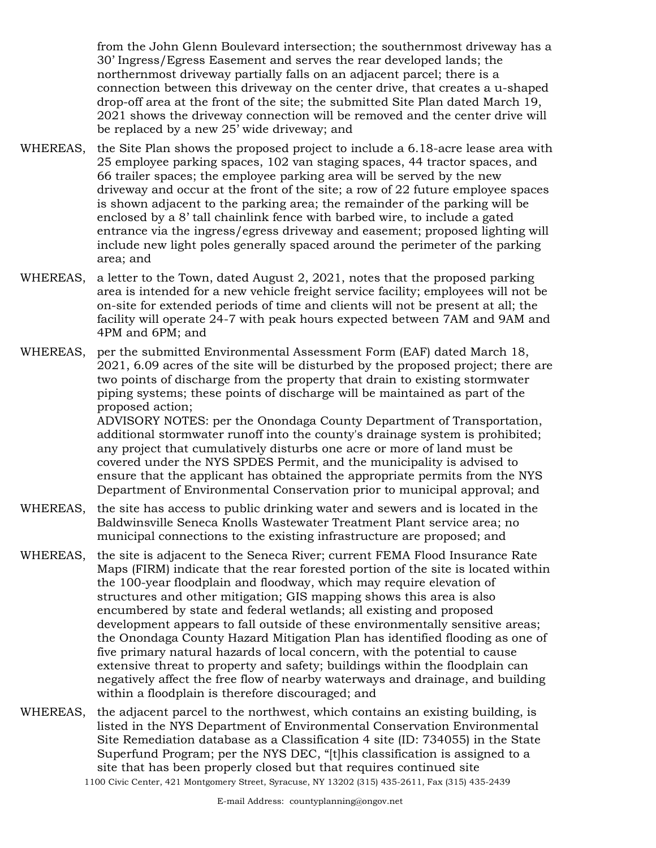from the John Glenn Boulevard intersection; the southernmost driveway has a 30' Ingress/Egress Easement and serves the rear developed lands; the northernmost driveway partially falls on an adjacent parcel; there is a connection between this driveway on the center drive, that creates a u-shaped drop-off area at the front of the site; the submitted Site Plan dated March 19, 2021 shows the driveway connection will be removed and the center drive will be replaced by a new 25' wide driveway; and

- WHEREAS, the Site Plan shows the proposed project to include a 6.18-acre lease area with 25 employee parking spaces, 102 van staging spaces, 44 tractor spaces, and 66 trailer spaces; the employee parking area will be served by the new driveway and occur at the front of the site; a row of 22 future employee spaces is shown adjacent to the parking area; the remainder of the parking will be enclosed by a 8' tall chainlink fence with barbed wire, to include a gated entrance via the ingress/egress driveway and easement; proposed lighting will include new light poles generally spaced around the perimeter of the parking area; and
- WHEREAS, a letter to the Town, dated August 2, 2021, notes that the proposed parking area is intended for a new vehicle freight service facility; employees will not be on-site for extended periods of time and clients will not be present at all; the facility will operate 24-7 with peak hours expected between 7AM and 9AM and 4PM and 6PM; and
- WHEREAS, per the submitted Environmental Assessment Form (EAF) dated March 18, 2021, 6.09 acres of the site will be disturbed by the proposed project; there are two points of discharge from the property that drain to existing stormwater piping systems; these points of discharge will be maintained as part of the proposed action;

ADVISORY NOTES: per the Onondaga County Department of Transportation, additional stormwater runoff into the county's drainage system is prohibited; any project that cumulatively disturbs one acre or more of land must be covered under the NYS SPDES Permit, and the municipality is advised to ensure that the applicant has obtained the appropriate permits from the NYS Department of Environmental Conservation prior to municipal approval; and

- WHEREAS, the site has access to public drinking water and sewers and is located in the Baldwinsville Seneca Knolls Wastewater Treatment Plant service area; no municipal connections to the existing infrastructure are proposed; and
- WHEREAS, the site is adjacent to the Seneca River; current FEMA Flood Insurance Rate Maps (FIRM) indicate that the rear forested portion of the site is located within the 100-year floodplain and floodway, which may require elevation of structures and other mitigation; GIS mapping shows this area is also encumbered by state and federal wetlands; all existing and proposed development appears to fall outside of these environmentally sensitive areas; the Onondaga County Hazard Mitigation Plan has identified flooding as one of five primary natural hazards of local concern, with the potential to cause extensive threat to property and safety; buildings within the floodplain can negatively affect the free flow of nearby waterways and drainage, and building within a floodplain is therefore discouraged; and
- WHEREAS, the adjacent parcel to the northwest, which contains an existing building, is listed in the NYS Department of Environmental Conservation Environmental Site Remediation database as a Classification 4 site (ID: 734055) in the State Superfund Program; per the NYS DEC, "[t]his classification is assigned to a site that has been properly closed but that requires continued site 1100 Civic Center, 421 Montgomery Street, Syracuse, NY 13202 (315) 435-2611, Fax (315) 435-2439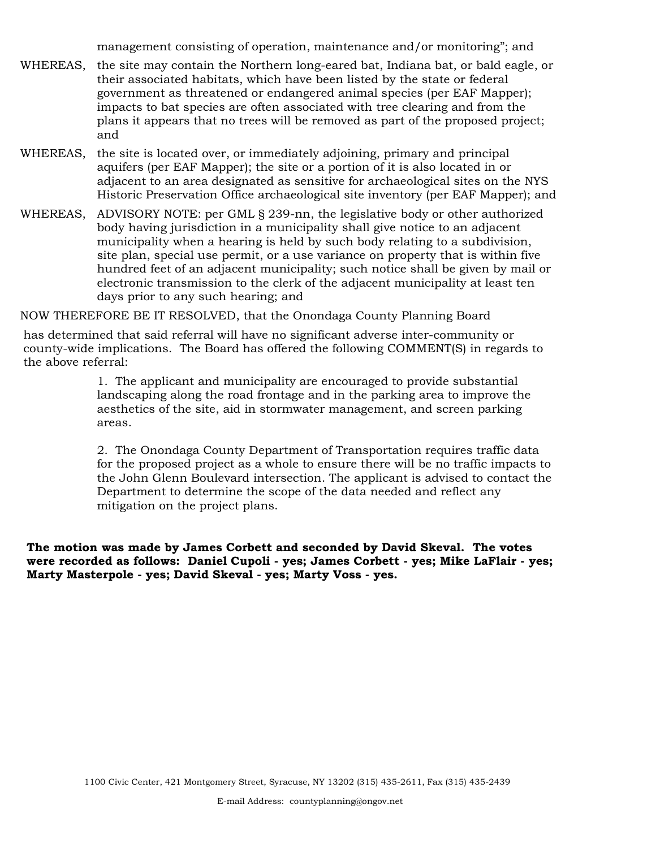management consisting of operation, maintenance and/or monitoring"; and

- WHEREAS, the site may contain the Northern long-eared bat, Indiana bat, or bald eagle, or their associated habitats, which have been listed by the state or federal government as threatened or endangered animal species (per EAF Mapper); impacts to bat species are often associated with tree clearing and from the plans it appears that no trees will be removed as part of the proposed project; and
- WHEREAS, the site is located over, or immediately adjoining, primary and principal aquifers (per EAF Mapper); the site or a portion of it is also located in or adjacent to an area designated as sensitive for archaeological sites on the NYS Historic Preservation Office archaeological site inventory (per EAF Mapper); and
- WHEREAS, ADVISORY NOTE: per GML § 239-nn, the legislative body or other authorized body having jurisdiction in a municipality shall give notice to an adjacent municipality when a hearing is held by such body relating to a subdivision, site plan, special use permit, or a use variance on property that is within five hundred feet of an adjacent municipality; such notice shall be given by mail or electronic transmission to the clerk of the adjacent municipality at least ten days prior to any such hearing; and

NOW THEREFORE BE IT RESOLVED, that the Onondaga County Planning Board

has determined that said referral will have no significant adverse inter-community or county-wide implications. The Board has offered the following COMMENT(S) in regards to the above referral:

> 1. The applicant and municipality are encouraged to provide substantial landscaping along the road frontage and in the parking area to improve the aesthetics of the site, aid in stormwater management, and screen parking areas.

2. The Onondaga County Department of Transportation requires traffic data for the proposed project as a whole to ensure there will be no traffic impacts to the John Glenn Boulevard intersection. The applicant is advised to contact the Department to determine the scope of the data needed and reflect any mitigation on the project plans.

**The motion was made by James Corbett and seconded by David Skeval. The votes were recorded as follows: Daniel Cupoli - yes; James Corbett - yes; Mike LaFlair - yes; Marty Masterpole - yes; David Skeval - yes; Marty Voss - yes.**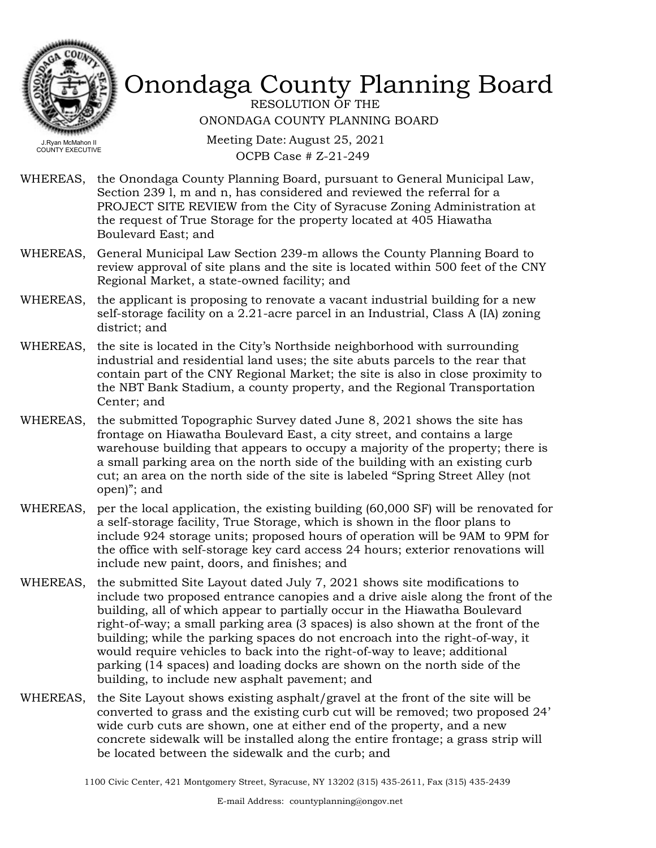

RESOLUTION OF THE ONONDAGA COUNTY PLANNING BOARD

Meeting Date: August 25, 2021 OCPB Case # Z-21-249

- WHEREAS, the Onondaga County Planning Board, pursuant to General Municipal Law, Section 239 l, m and n, has considered and reviewed the referral for a PROJECT SITE REVIEW from the City of Syracuse Zoning Administration at the request of True Storage for the property located at 405 Hiawatha Boulevard East; and
- WHEREAS, General Municipal Law Section 239-m allows the County Planning Board to review approval of site plans and the site is located within 500 feet of the CNY Regional Market, a state-owned facility; and
- WHEREAS, the applicant is proposing to renovate a vacant industrial building for a new self-storage facility on a 2.21-acre parcel in an Industrial, Class A (IA) zoning district; and
- WHEREAS, the site is located in the City's Northside neighborhood with surrounding industrial and residential land uses; the site abuts parcels to the rear that contain part of the CNY Regional Market; the site is also in close proximity to the NBT Bank Stadium, a county property, and the Regional Transportation Center; and
- WHEREAS, the submitted Topographic Survey dated June 8, 2021 shows the site has frontage on Hiawatha Boulevard East, a city street, and contains a large warehouse building that appears to occupy a majority of the property; there is a small parking area on the north side of the building with an existing curb cut; an area on the north side of the site is labeled "Spring Street Alley (not open)"; and
- WHEREAS, per the local application, the existing building (60,000 SF) will be renovated for a self-storage facility, True Storage, which is shown in the floor plans to include 924 storage units; proposed hours of operation will be 9AM to 9PM for the office with self-storage key card access 24 hours; exterior renovations will include new paint, doors, and finishes; and
- the submitted Site Layout dated July 7, 2021 shows site modifications to include two proposed entrance canopies and a drive aisle along the front of the building, all of which appear to partially occur in the Hiawatha Boulevard right-of-way; a small parking area (3 spaces) is also shown at the front of the building; while the parking spaces do not encroach into the right-of-way, it would require vehicles to back into the right-of-way to leave; additional parking (14 spaces) and loading docks are shown on the north side of the building, to include new asphalt pavement; and WHEREAS,
- WHEREAS, the Site Layout shows existing asphalt/gravel at the front of the site will be converted to grass and the existing curb cut will be removed; two proposed 24' wide curb cuts are shown, one at either end of the property, and a new concrete sidewalk will be installed along the entire frontage; a grass strip will be located between the sidewalk and the curb; and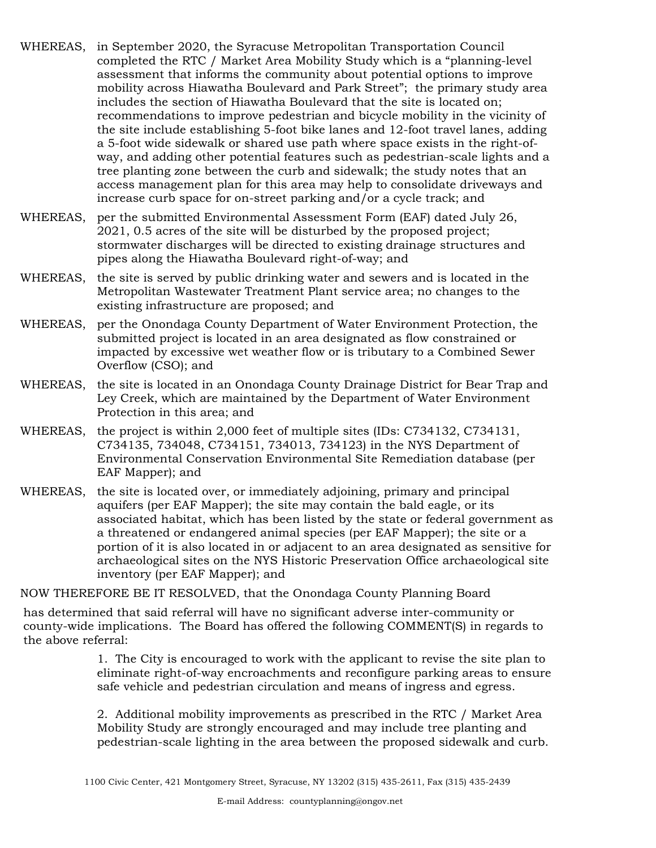- WHEREAS, in September 2020, the Syracuse Metropolitan Transportation Council completed the RTC / Market Area Mobility Study which is a "planning-level assessment that informs the community about potential options to improve mobility across Hiawatha Boulevard and Park Street"; the primary study area includes the section of Hiawatha Boulevard that the site is located on; recommendations to improve pedestrian and bicycle mobility in the vicinity of the site include establishing 5-foot bike lanes and 12-foot travel lanes, adding a 5-foot wide sidewalk or shared use path where space exists in the right-ofway, and adding other potential features such as pedestrian-scale lights and a tree planting zone between the curb and sidewalk; the study notes that an access management plan for this area may help to consolidate driveways and increase curb space for on-street parking and/or a cycle track; and
- WHEREAS, per the submitted Environmental Assessment Form (EAF) dated July 26, 2021, 0.5 acres of the site will be disturbed by the proposed project; stormwater discharges will be directed to existing drainage structures and pipes along the Hiawatha Boulevard right-of-way; and
- WHEREAS, the site is served by public drinking water and sewers and is located in the Metropolitan Wastewater Treatment Plant service area; no changes to the existing infrastructure are proposed; and
- WHEREAS, per the Onondaga County Department of Water Environment Protection, the submitted project is located in an area designated as flow constrained or impacted by excessive wet weather flow or is tributary to a Combined Sewer Overflow (CSO); and
- WHEREAS, the site is located in an Onondaga County Drainage District for Bear Trap and Ley Creek, which are maintained by the Department of Water Environment Protection in this area; and
- WHEREAS, the project is within 2,000 feet of multiple sites (IDs: C734132, C734131, C734135, 734048, C734151, 734013, 734123) in the NYS Department of Environmental Conservation Environmental Site Remediation database (per EAF Mapper); and
- WHEREAS, the site is located over, or immediately adjoining, primary and principal aquifers (per EAF Mapper); the site may contain the bald eagle, or its associated habitat, which has been listed by the state or federal government as a threatened or endangered animal species (per EAF Mapper); the site or a portion of it is also located in or adjacent to an area designated as sensitive for archaeological sites on the NYS Historic Preservation Office archaeological site inventory (per EAF Mapper); and

NOW THEREFORE BE IT RESOLVED, that the Onondaga County Planning Board

has determined that said referral will have no significant adverse inter-community or county-wide implications. The Board has offered the following COMMENT(S) in regards to the above referral:

> 1. The City is encouraged to work with the applicant to revise the site plan to eliminate right-of-way encroachments and reconfigure parking areas to ensure safe vehicle and pedestrian circulation and means of ingress and egress.

> 2. Additional mobility improvements as prescribed in the RTC / Market Area Mobility Study are strongly encouraged and may include tree planting and pedestrian-scale lighting in the area between the proposed sidewalk and curb.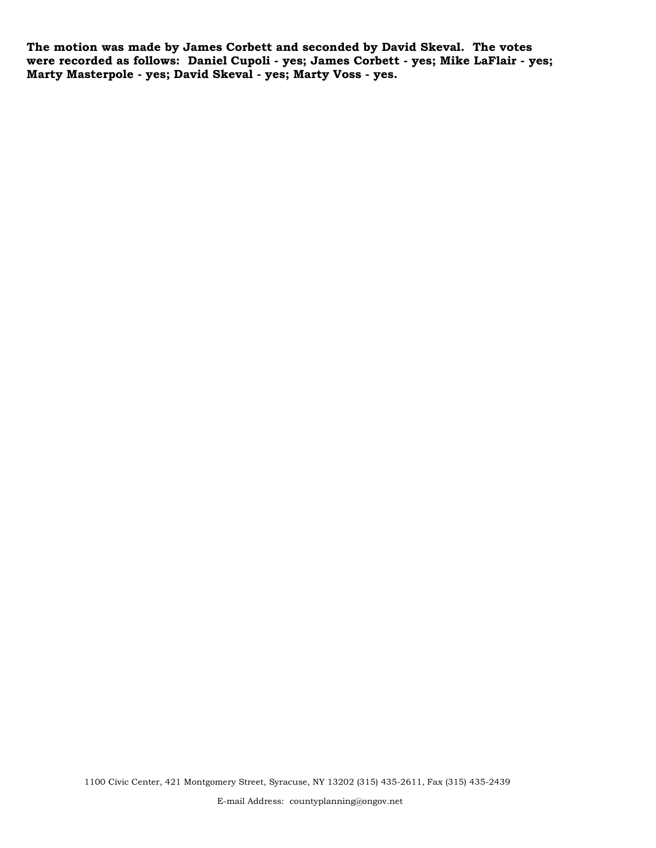**The motion was made by James Corbett and seconded by David Skeval. The votes were recorded as follows: Daniel Cupoli - yes; James Corbett - yes; Mike LaFlair - yes; Marty Masterpole - yes; David Skeval - yes; Marty Voss - yes.**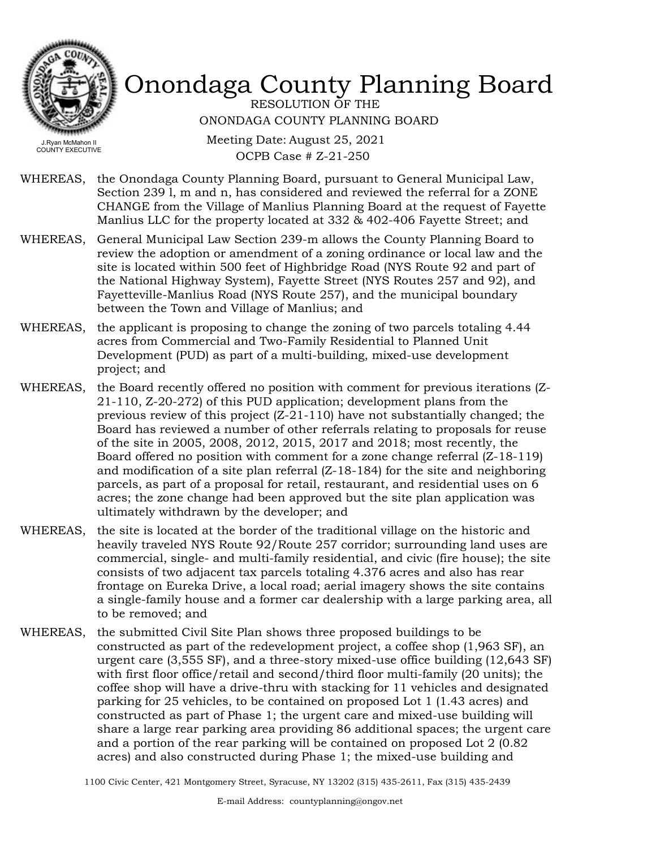

RESOLUTION OF THE ONONDAGA COUNTY PLANNING BOARD

Meeting Date: August 25, 2021 OCPB Case # Z-21-250

- WHEREAS, the Onondaga County Planning Board, pursuant to General Municipal Law, Section 239 l, m and n, has considered and reviewed the referral for a ZONE CHANGE from the Village of Manlius Planning Board at the request of Fayette Manlius LLC for the property located at 332 & 402-406 Fayette Street; and
- General Municipal Law Section 239-m allows the County Planning Board to review the adoption or amendment of a zoning ordinance or local law and the site is located within 500 feet of Highbridge Road (NYS Route 92 and part of the National Highway System), Fayette Street (NYS Routes 257 and 92), and Fayetteville-Manlius Road (NYS Route 257), and the municipal boundary between the Town and Village of Manlius; and WHEREAS,
- WHEREAS, the applicant is proposing to change the zoning of two parcels totaling 4.44 acres from Commercial and Two-Family Residential to Planned Unit Development (PUD) as part of a multi-building, mixed-use development project; and
- WHEREAS, the Board recently offered no position with comment for previous iterations (Z-21-110, Z-20-272) of this PUD application; development plans from the previous review of this project  $(Z-21-110)$  have not substantially changed; the Board has reviewed a number of other referrals relating to proposals for reuse of the site in 2005, 2008, 2012, 2015, 2017 and 2018; most recently, the Board offered no position with comment for a zone change referral (Z-18-119) and modification of a site plan referral (Z-18-184) for the site and neighboring parcels, as part of a proposal for retail, restaurant, and residential uses on 6 acres; the zone change had been approved but the site plan application was ultimately withdrawn by the developer; and
- WHEREAS, the site is located at the border of the traditional village on the historic and heavily traveled NYS Route 92/Route 257 corridor; surrounding land uses are commercial, single- and multi-family residential, and civic (fire house); the site consists of two adjacent tax parcels totaling 4.376 acres and also has rear frontage on Eureka Drive, a local road; aerial imagery shows the site contains a single-family house and a former car dealership with a large parking area, all to be removed; and
- WHEREAS, the submitted Civil Site Plan shows three proposed buildings to be constructed as part of the redevelopment project, a coffee shop (1,963 SF), an urgent care (3,555 SF), and a three-story mixed-use office building (12,643 SF) with first floor office/retail and second/third floor multi-family (20 units); the coffee shop will have a drive-thru with stacking for 11 vehicles and designated parking for 25 vehicles, to be contained on proposed Lot 1 (1.43 acres) and constructed as part of Phase 1; the urgent care and mixed-use building will share a large rear parking area providing 86 additional spaces; the urgent care and a portion of the rear parking will be contained on proposed Lot 2 (0.82 acres) and also constructed during Phase 1; the mixed-use building and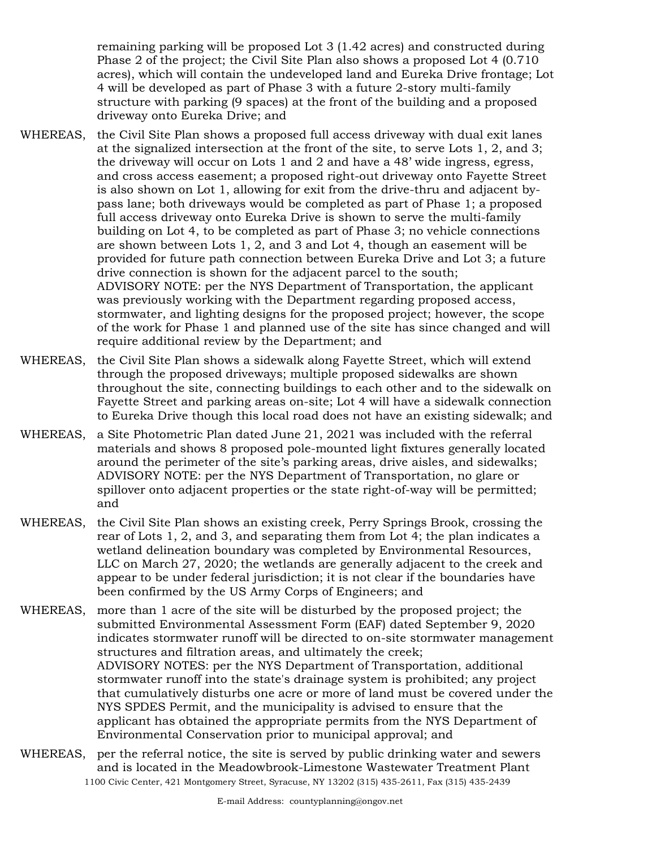remaining parking will be proposed Lot 3 (1.42 acres) and constructed during Phase 2 of the project; the Civil Site Plan also shows a proposed Lot 4 (0.710 acres), which will contain the undeveloped land and Eureka Drive frontage; Lot 4 will be developed as part of Phase 3 with a future 2-story multi-family structure with parking (9 spaces) at the front of the building and a proposed driveway onto Eureka Drive; and

- the Civil Site Plan shows a proposed full access driveway with dual exit lanes at the signalized intersection at the front of the site, to serve Lots 1, 2, and 3; the driveway will occur on Lots 1 and 2 and have a 48' wide ingress, egress, and cross access easement; a proposed right-out driveway onto Fayette Street is also shown on Lot 1, allowing for exit from the drive-thru and adjacent bypass lane; both driveways would be completed as part of Phase 1; a proposed full access driveway onto Eureka Drive is shown to serve the multi-family building on Lot 4, to be completed as part of Phase 3; no vehicle connections are shown between Lots 1, 2, and 3 and Lot 4, though an easement will be provided for future path connection between Eureka Drive and Lot 3; a future drive connection is shown for the adjacent parcel to the south; ADVISORY NOTE: per the NYS Department of Transportation, the applicant was previously working with the Department regarding proposed access, stormwater, and lighting designs for the proposed project; however, the scope of the work for Phase 1 and planned use of the site has since changed and will require additional review by the Department; and WHEREAS,
- the Civil Site Plan shows a sidewalk along Fayette Street, which will extend through the proposed driveways; multiple proposed sidewalks are shown throughout the site, connecting buildings to each other and to the sidewalk on Fayette Street and parking areas on-site; Lot 4 will have a sidewalk connection to Eureka Drive though this local road does not have an existing sidewalk; and WHEREAS,
- WHEREAS, a Site Photometric Plan dated June 21, 2021 was included with the referral materials and shows 8 proposed pole-mounted light fixtures generally located around the perimeter of the site's parking areas, drive aisles, and sidewalks; ADVISORY NOTE: per the NYS Department of Transportation, no glare or spillover onto adjacent properties or the state right-of-way will be permitted; and
- the Civil Site Plan shows an existing creek, Perry Springs Brook, crossing the rear of Lots 1, 2, and 3, and separating them from Lot 4; the plan indicates a wetland delineation boundary was completed by Environmental Resources, LLC on March 27, 2020; the wetlands are generally adjacent to the creek and appear to be under federal jurisdiction; it is not clear if the boundaries have been confirmed by the US Army Corps of Engineers; and WHEREAS,
- WHEREAS, more than 1 acre of the site will be disturbed by the proposed project; the submitted Environmental Assessment Form (EAF) dated September 9, 2020 indicates stormwater runoff will be directed to on-site stormwater management structures and filtration areas, and ultimately the creek; ADVISORY NOTES: per the NYS Department of Transportation, additional stormwater runoff into the state's drainage system is prohibited; any project that cumulatively disturbs one acre or more of land must be covered under the NYS SPDES Permit, and the municipality is advised to ensure that the applicant has obtained the appropriate permits from the NYS Department of Environmental Conservation prior to municipal approval; and
- WHEREAS, per the referral notice, the site is served by public drinking water and sewers and is located in the Meadowbrook-Limestone Wastewater Treatment Plant 1100 Civic Center, 421 Montgomery Street, Syracuse, NY 13202 (315) 435-2611, Fax (315) 435-2439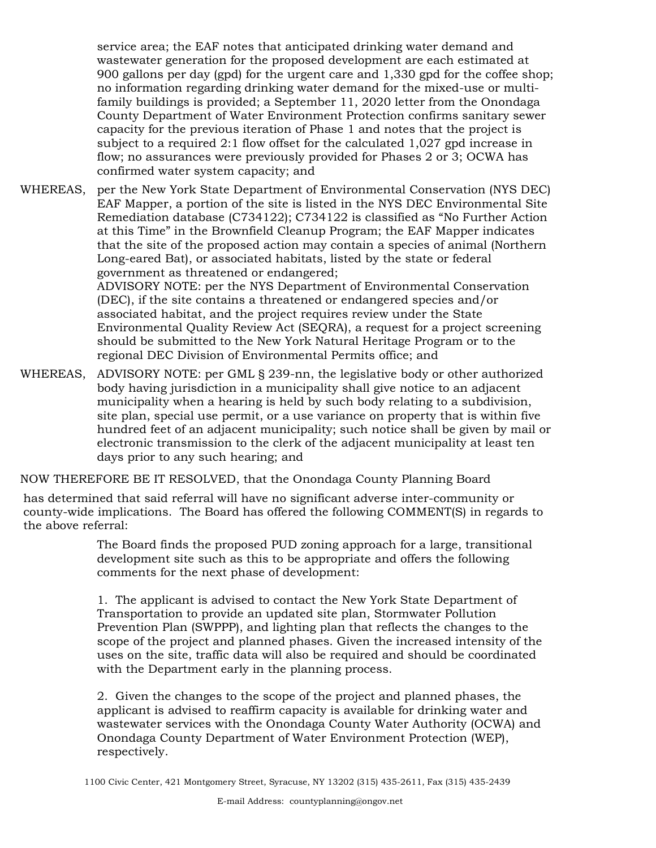service area; the EAF notes that anticipated drinking water demand and wastewater generation for the proposed development are each estimated at 900 gallons per day (gpd) for the urgent care and 1,330 gpd for the coffee shop; no information regarding drinking water demand for the mixed-use or multifamily buildings is provided; a September 11, 2020 letter from the Onondaga County Department of Water Environment Protection confirms sanitary sewer capacity for the previous iteration of Phase 1 and notes that the project is subject to a required 2:1 flow offset for the calculated 1,027 gpd increase in flow; no assurances were previously provided for Phases 2 or 3; OCWA has confirmed water system capacity; and

WHEREAS, per the New York State Department of Environmental Conservation (NYS DEC) EAF Mapper, a portion of the site is listed in the NYS DEC Environmental Site Remediation database (C734122); C734122 is classified as "No Further Action at this Time" in the Brownfield Cleanup Program; the EAF Mapper indicates that the site of the proposed action may contain a species of animal (Northern Long-eared Bat), or associated habitats, listed by the state or federal government as threatened or endangered; ADVISORY NOTE: per the NYS Department of Environmental Conservation (DEC), if the site contains a threatened or endangered species and/or associated habitat, and the project requires review under the State Environmental Quality Review Act (SEQRA), a request for a project screening should be submitted to the New York Natural Heritage Program or to the regional DEC Division of Environmental Permits office; and

WHEREAS, ADVISORY NOTE: per GML § 239-nn, the legislative body or other authorized body having jurisdiction in a municipality shall give notice to an adjacent municipality when a hearing is held by such body relating to a subdivision, site plan, special use permit, or a use variance on property that is within five hundred feet of an adjacent municipality; such notice shall be given by mail or electronic transmission to the clerk of the adjacent municipality at least ten days prior to any such hearing; and

NOW THEREFORE BE IT RESOLVED, that the Onondaga County Planning Board

has determined that said referral will have no significant adverse inter-community or county-wide implications. The Board has offered the following COMMENT(S) in regards to the above referral:

> The Board finds the proposed PUD zoning approach for a large, transitional development site such as this to be appropriate and offers the following comments for the next phase of development:

1. The applicant is advised to contact the New York State Department of Transportation to provide an updated site plan, Stormwater Pollution Prevention Plan (SWPPP), and lighting plan that reflects the changes to the scope of the project and planned phases. Given the increased intensity of the uses on the site, traffic data will also be required and should be coordinated with the Department early in the planning process.

2. Given the changes to the scope of the project and planned phases, the applicant is advised to reaffirm capacity is available for drinking water and wastewater services with the Onondaga County Water Authority (OCWA) and Onondaga County Department of Water Environment Protection (WEP), respectively.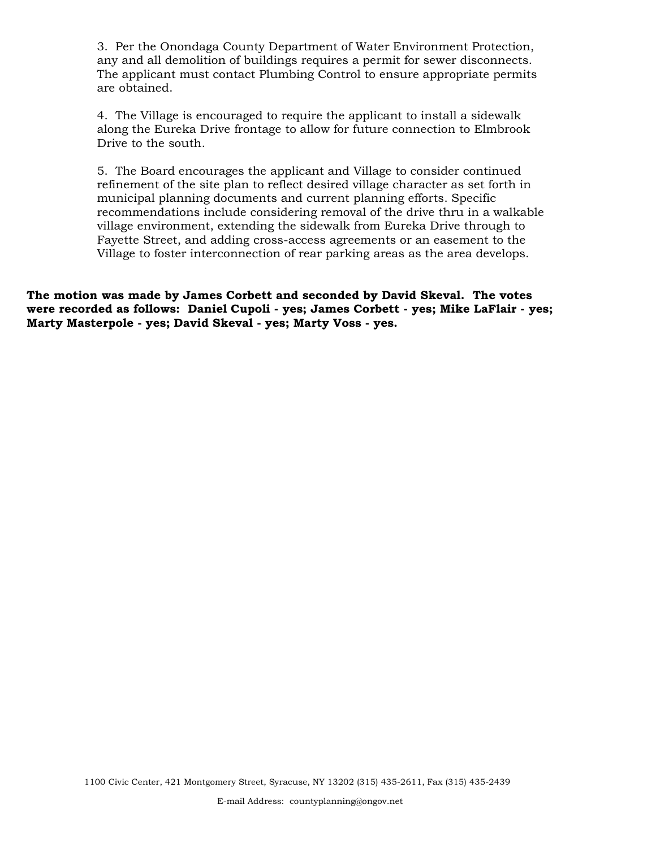3. Per the Onondaga County Department of Water Environment Protection, any and all demolition of buildings requires a permit for sewer disconnects. The applicant must contact Plumbing Control to ensure appropriate permits are obtained.

4. The Village is encouraged to require the applicant to install a sidewalk along the Eureka Drive frontage to allow for future connection to Elmbrook Drive to the south.

5. The Board encourages the applicant and Village to consider continued refinement of the site plan to reflect desired village character as set forth in municipal planning documents and current planning efforts. Specific recommendations include considering removal of the drive thru in a walkable village environment, extending the sidewalk from Eureka Drive through to Fayette Street, and adding cross-access agreements or an easement to the Village to foster interconnection of rear parking areas as the area develops.

**The motion was made by James Corbett and seconded by David Skeval. The votes were recorded as follows: Daniel Cupoli - yes; James Corbett - yes; Mike LaFlair - yes; Marty Masterpole - yes; David Skeval - yes; Marty Voss - yes.**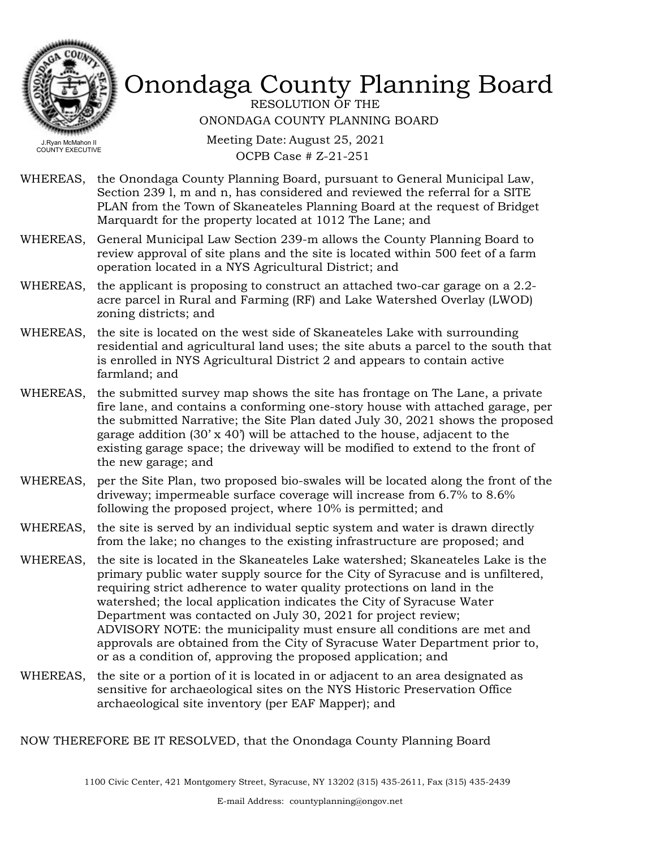

RESOLUTION OF THE ONONDAGA COUNTY PLANNING BOARD

Meeting Date: August 25, 2021 OCPB Case # Z-21-251

- WHEREAS, the Onondaga County Planning Board, pursuant to General Municipal Law, Section 239 l, m and n, has considered and reviewed the referral for a SITE PLAN from the Town of Skaneateles Planning Board at the request of Bridget Marquardt for the property located at 1012 The Lane; and
- WHEREAS, General Municipal Law Section 239-m allows the County Planning Board to review approval of site plans and the site is located within 500 feet of a farm operation located in a NYS Agricultural District; and
- WHEREAS, the applicant is proposing to construct an attached two-car garage on a 2.2acre parcel in Rural and Farming (RF) and Lake Watershed Overlay (LWOD) zoning districts; and
- WHEREAS, the site is located on the west side of Skaneateles Lake with surrounding residential and agricultural land uses; the site abuts a parcel to the south that is enrolled in NYS Agricultural District 2 and appears to contain active farmland; and
- WHEREAS, the submitted survey map shows the site has frontage on The Lane, a private fire lane, and contains a conforming one-story house with attached garage, per the submitted Narrative; the Site Plan dated July 30, 2021 shows the proposed garage addition  $(30 \times 40)$  will be attached to the house, adjacent to the existing garage space; the driveway will be modified to extend to the front of the new garage; and
- WHEREAS, per the Site Plan, two proposed bio-swales will be located along the front of the driveway; impermeable surface coverage will increase from 6.7% to 8.6% following the proposed project, where 10% is permitted; and
- WHEREAS, the site is served by an individual septic system and water is drawn directly from the lake; no changes to the existing infrastructure are proposed; and
- WHEREAS, the site is located in the Skaneateles Lake watershed; Skaneateles Lake is the primary public water supply source for the City of Syracuse and is unfiltered, requiring strict adherence to water quality protections on land in the watershed; the local application indicates the City of Syracuse Water Department was contacted on July 30, 2021 for project review; ADVISORY NOTE: the municipality must ensure all conditions are met and approvals are obtained from the City of Syracuse Water Department prior to, or as a condition of, approving the proposed application; and
- the site or a portion of it is located in or adjacent to an area designated as sensitive for archaeological sites on the NYS Historic Preservation Office archaeological site inventory (per EAF Mapper); and WHEREAS,

NOW THEREFORE BE IT RESOLVED, that the Onondaga County Planning Board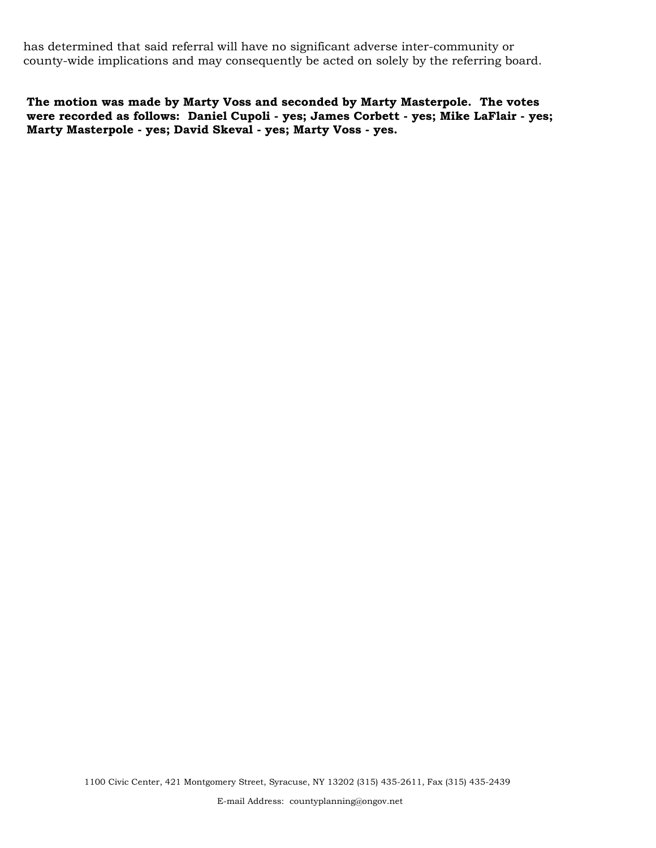has determined that said referral will have no significant adverse inter-community or county-wide implications and may consequently be acted on solely by the referring board.

**The motion was made by Marty Voss and seconded by Marty Masterpole. The votes were recorded as follows: Daniel Cupoli - yes; James Corbett - yes; Mike LaFlair - yes; Marty Masterpole - yes; David Skeval - yes; Marty Voss - yes.**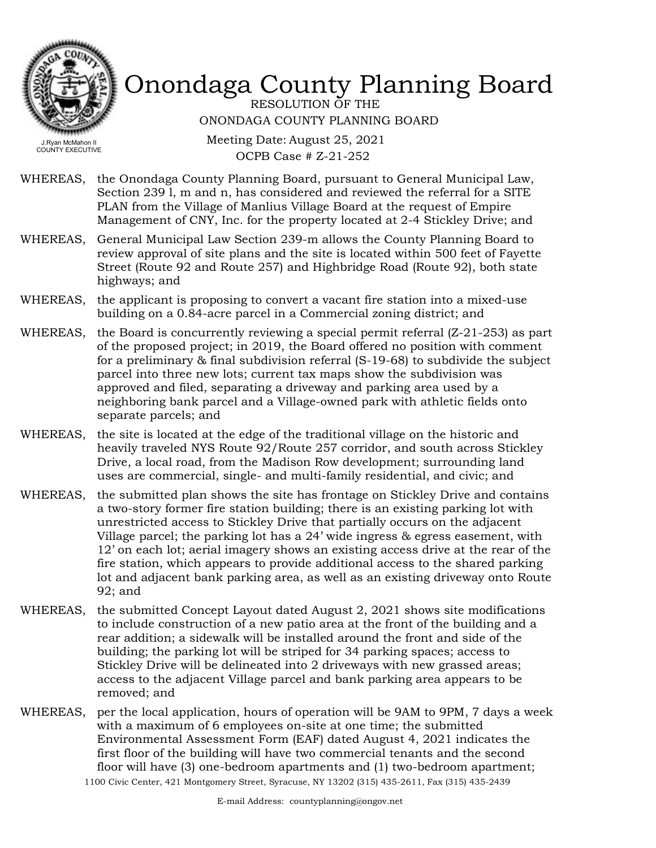

RESOLUTION OF THE ONONDAGA COUNTY PLANNING BOARD

COUNTY EXECUTIVE

Meeting Date: August 25, 2021 OCPB Case # Z-21-252

- WHEREAS, the Onondaga County Planning Board, pursuant to General Municipal Law, Section 239 l, m and n, has considered and reviewed the referral for a SITE PLAN from the Village of Manlius Village Board at the request of Empire Management of CNY, Inc. for the property located at 2-4 Stickley Drive; and
- WHEREAS, General Municipal Law Section 239-m allows the County Planning Board to review approval of site plans and the site is located within 500 feet of Fayette Street (Route 92 and Route 257) and Highbridge Road (Route 92), both state highways; and
- WHEREAS, the applicant is proposing to convert a vacant fire station into a mixed-use building on a 0.84-acre parcel in a Commercial zoning district; and
- the Board is concurrently reviewing a special permit referral (Z-21-253) as part of the proposed project; in 2019, the Board offered no position with comment for a preliminary & final subdivision referral (S-19-68) to subdivide the subject parcel into three new lots; current tax maps show the subdivision was approved and filed, separating a driveway and parking area used by a neighboring bank parcel and a Village-owned park with athletic fields onto separate parcels; and WHEREAS,
- WHEREAS, the site is located at the edge of the traditional village on the historic and heavily traveled NYS Route 92/Route 257 corridor, and south across Stickley Drive, a local road, from the Madison Row development; surrounding land uses are commercial, single- and multi-family residential, and civic; and
- WHEREAS, the submitted plan shows the site has frontage on Stickley Drive and contains a two-story former fire station building; there is an existing parking lot with unrestricted access to Stickley Drive that partially occurs on the adjacent Village parcel; the parking lot has a 24' wide ingress & egress easement, with 12' on each lot; aerial imagery shows an existing access drive at the rear of the fire station, which appears to provide additional access to the shared parking lot and adjacent bank parking area, as well as an existing driveway onto Route 92; and
- WHEREAS, the submitted Concept Layout dated August 2, 2021 shows site modifications to include construction of a new patio area at the front of the building and a rear addition; a sidewalk will be installed around the front and side of the building; the parking lot will be striped for 34 parking spaces; access to Stickley Drive will be delineated into 2 driveways with new grassed areas; access to the adjacent Village parcel and bank parking area appears to be removed; and
- WHEREAS, per the local application, hours of operation will be 9AM to 9PM, 7 days a week with a maximum of 6 employees on-site at one time; the submitted Environmental Assessment Form (EAF) dated August 4, 2021 indicates the first floor of the building will have two commercial tenants and the second floor will have (3) one-bedroom apartments and (1) two-bedroom apartment; 1100 Civic Center, 421 Montgomery Street, Syracuse, NY 13202 (315) 435-2611, Fax (315) 435-2439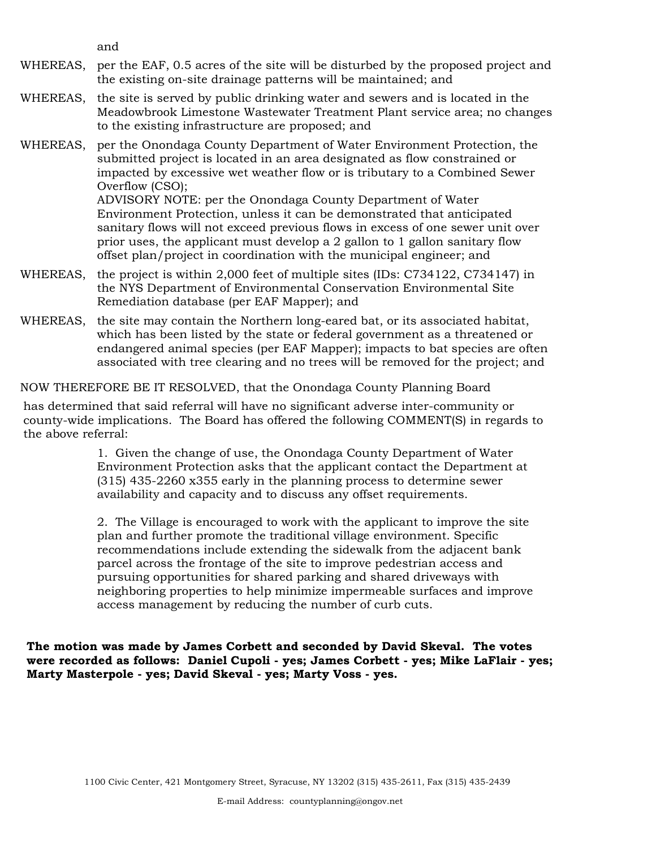and

- WHEREAS, per the EAF, 0.5 acres of the site will be disturbed by the proposed project and the existing on-site drainage patterns will be maintained; and
- WHEREAS, the site is served by public drinking water and sewers and is located in the Meadowbrook Limestone Wastewater Treatment Plant service area; no changes to the existing infrastructure are proposed; and
- WHEREAS, per the Onondaga County Department of Water Environment Protection, the submitted project is located in an area designated as flow constrained or impacted by excessive wet weather flow or is tributary to a Combined Sewer Overflow (CSO); ADVISORY NOTE: per the Onondaga County Department of Water Environment Protection, unless it can be demonstrated that anticipated

sanitary flows will not exceed previous flows in excess of one sewer unit over prior uses, the applicant must develop a 2 gallon to 1 gallon sanitary flow offset plan/project in coordination with the municipal engineer; and

- WHEREAS, the project is within 2,000 feet of multiple sites (IDs: C734122, C734147) in the NYS Department of Environmental Conservation Environmental Site Remediation database (per EAF Mapper); and
- WHEREAS, the site may contain the Northern long-eared bat, or its associated habitat, which has been listed by the state or federal government as a threatened or endangered animal species (per EAF Mapper); impacts to bat species are often associated with tree clearing and no trees will be removed for the project; and

NOW THEREFORE BE IT RESOLVED, that the Onondaga County Planning Board

has determined that said referral will have no significant adverse inter-community or county-wide implications. The Board has offered the following COMMENT(S) in regards to the above referral:

> 1. Given the change of use, the Onondaga County Department of Water Environment Protection asks that the applicant contact the Department at (315) 435-2260 x355 early in the planning process to determine sewer availability and capacity and to discuss any offset requirements.

2. The Village is encouraged to work with the applicant to improve the site plan and further promote the traditional village environment. Specific recommendations include extending the sidewalk from the adjacent bank parcel across the frontage of the site to improve pedestrian access and pursuing opportunities for shared parking and shared driveways with neighboring properties to help minimize impermeable surfaces and improve access management by reducing the number of curb cuts.

**The motion was made by James Corbett and seconded by David Skeval. The votes were recorded as follows: Daniel Cupoli - yes; James Corbett - yes; Mike LaFlair - yes; Marty Masterpole - yes; David Skeval - yes; Marty Voss - yes.**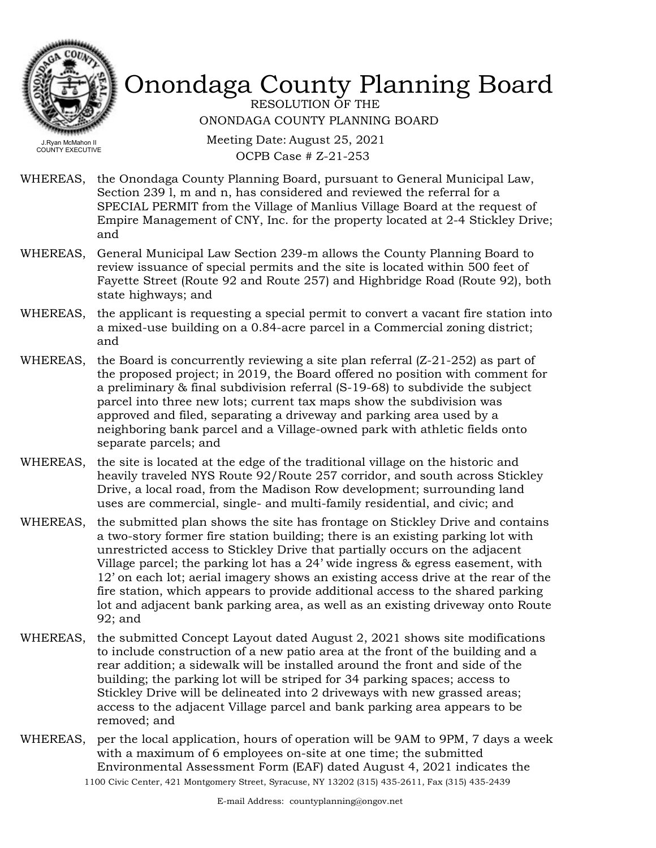

RESOLUTION OF THE ONONDAGA COUNTY PLANNING BOARD

Meeting Date: August 25, 2021 OCPB Case # Z-21-253

- WHEREAS, the Onondaga County Planning Board, pursuant to General Municipal Law, Section 239 l, m and n, has considered and reviewed the referral for a SPECIAL PERMIT from the Village of Manlius Village Board at the request of Empire Management of CNY, Inc. for the property located at 2-4 Stickley Drive; and
- WHEREAS, General Municipal Law Section 239-m allows the County Planning Board to review issuance of special permits and the site is located within 500 feet of Fayette Street (Route 92 and Route 257) and Highbridge Road (Route 92), both state highways; and
- the applicant is requesting a special permit to convert a vacant fire station into a mixed-use building on a 0.84-acre parcel in a Commercial zoning district; and WHEREAS,
- the Board is concurrently reviewing a site plan referral (Z-21-252) as part of the proposed project; in 2019, the Board offered no position with comment for a preliminary & final subdivision referral (S-19-68) to subdivide the subject parcel into three new lots; current tax maps show the subdivision was approved and filed, separating a driveway and parking area used by a neighboring bank parcel and a Village-owned park with athletic fields onto separate parcels; and WHEREAS,
- WHEREAS, the site is located at the edge of the traditional village on the historic and heavily traveled NYS Route 92/Route 257 corridor, and south across Stickley Drive, a local road, from the Madison Row development; surrounding land uses are commercial, single- and multi-family residential, and civic; and
- WHEREAS, the submitted plan shows the site has frontage on Stickley Drive and contains a two-story former fire station building; there is an existing parking lot with unrestricted access to Stickley Drive that partially occurs on the adjacent Village parcel; the parking lot has a 24' wide ingress & egress easement, with 12' on each lot; aerial imagery shows an existing access drive at the rear of the fire station, which appears to provide additional access to the shared parking lot and adjacent bank parking area, as well as an existing driveway onto Route 92; and
- WHEREAS, the submitted Concept Layout dated August 2, 2021 shows site modifications to include construction of a new patio area at the front of the building and a rear addition; a sidewalk will be installed around the front and side of the building; the parking lot will be striped for 34 parking spaces; access to Stickley Drive will be delineated into 2 driveways with new grassed areas; access to the adjacent Village parcel and bank parking area appears to be removed; and
- WHEREAS, per the local application, hours of operation will be 9AM to 9PM, 7 days a week with a maximum of 6 employees on-site at one time; the submitted Environmental Assessment Form (EAF) dated August 4, 2021 indicates the 1100 Civic Center, 421 Montgomery Street, Syracuse, NY 13202 (315) 435-2611, Fax (315) 435-2439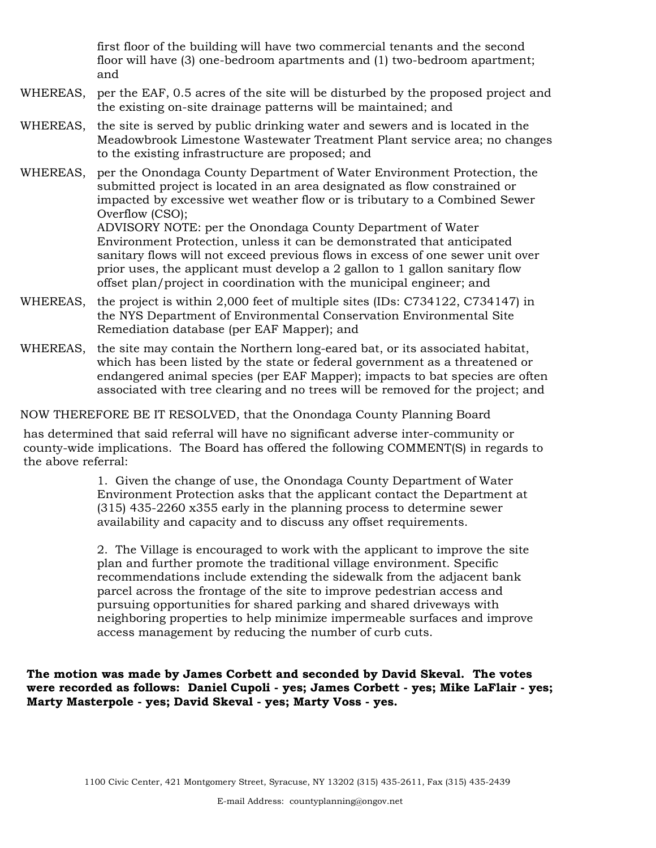first floor of the building will have two commercial tenants and the second floor will have (3) one-bedroom apartments and (1) two-bedroom apartment; and

- WHEREAS, per the EAF, 0.5 acres of the site will be disturbed by the proposed project and the existing on-site drainage patterns will be maintained; and
- WHEREAS, the site is served by public drinking water and sewers and is located in the Meadowbrook Limestone Wastewater Treatment Plant service area; no changes to the existing infrastructure are proposed; and
- WHEREAS, per the Onondaga County Department of Water Environment Protection, the submitted project is located in an area designated as flow constrained or impacted by excessive wet weather flow or is tributary to a Combined Sewer Overflow (CSO);

ADVISORY NOTE: per the Onondaga County Department of Water Environment Protection, unless it can be demonstrated that anticipated sanitary flows will not exceed previous flows in excess of one sewer unit over prior uses, the applicant must develop a 2 gallon to 1 gallon sanitary flow offset plan/project in coordination with the municipal engineer; and

- WHEREAS, the project is within 2,000 feet of multiple sites (IDs: C734122, C734147) in the NYS Department of Environmental Conservation Environmental Site Remediation database (per EAF Mapper); and
- WHEREAS, the site may contain the Northern long-eared bat, or its associated habitat, which has been listed by the state or federal government as a threatened or endangered animal species (per EAF Mapper); impacts to bat species are often associated with tree clearing and no trees will be removed for the project; and

NOW THEREFORE BE IT RESOLVED, that the Onondaga County Planning Board

has determined that said referral will have no significant adverse inter-community or county-wide implications. The Board has offered the following COMMENT(S) in regards to the above referral:

> 1. Given the change of use, the Onondaga County Department of Water Environment Protection asks that the applicant contact the Department at (315) 435-2260 x355 early in the planning process to determine sewer availability and capacity and to discuss any offset requirements.

> 2. The Village is encouraged to work with the applicant to improve the site plan and further promote the traditional village environment. Specific recommendations include extending the sidewalk from the adjacent bank parcel across the frontage of the site to improve pedestrian access and pursuing opportunities for shared parking and shared driveways with neighboring properties to help minimize impermeable surfaces and improve access management by reducing the number of curb cuts.

**The motion was made by James Corbett and seconded by David Skeval. The votes were recorded as follows: Daniel Cupoli - yes; James Corbett - yes; Mike LaFlair - yes; Marty Masterpole - yes; David Skeval - yes; Marty Voss - yes.**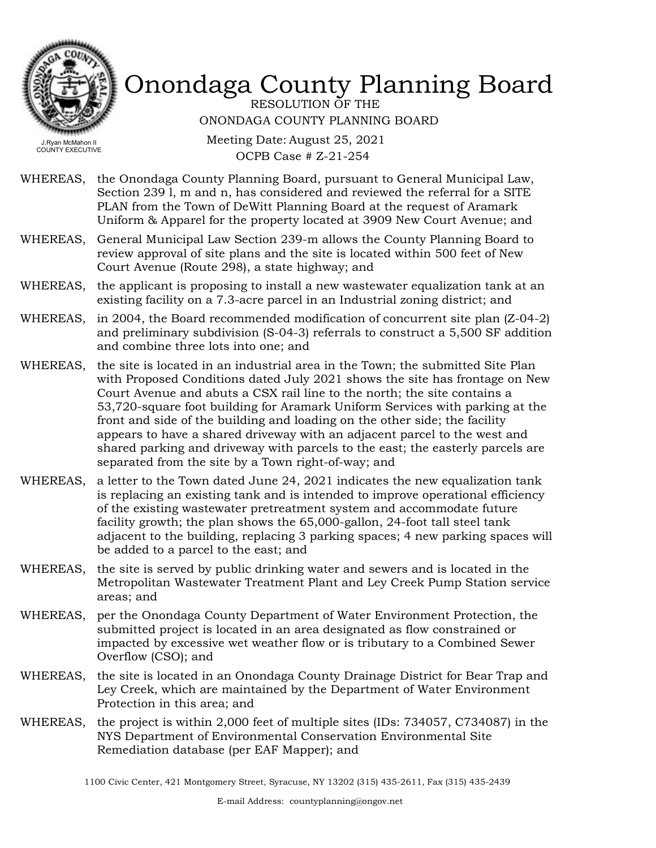

RESOLUTION OF THE ONONDAGA COUNTY PLANNING BOARD

COUNTY EXECUTIVE

Meeting Date: August 25, 2021 OCPB Case # Z-21-254

- WHEREAS, the Onondaga County Planning Board, pursuant to General Municipal Law, Section 239 l, m and n, has considered and reviewed the referral for a SITE PLAN from the Town of DeWitt Planning Board at the request of Aramark Uniform & Apparel for the property located at 3909 New Court Avenue; and
- WHEREAS, General Municipal Law Section 239-m allows the County Planning Board to review approval of site plans and the site is located within 500 feet of New Court Avenue (Route 298), a state highway; and
- WHEREAS, the applicant is proposing to install a new wastewater equalization tank at an existing facility on a 7.3-acre parcel in an Industrial zoning district; and
- WHEREAS, in 2004, the Board recommended modification of concurrent site plan (Z-04-2) and preliminary subdivision (S-04-3) referrals to construct a 5,500 SF addition and combine three lots into one; and
- WHEREAS, the site is located in an industrial area in the Town; the submitted Site Plan with Proposed Conditions dated July 2021 shows the site has frontage on New Court Avenue and abuts a CSX rail line to the north; the site contains a 53,720-square foot building for Aramark Uniform Services with parking at the front and side of the building and loading on the other side; the facility appears to have a shared driveway with an adjacent parcel to the west and shared parking and driveway with parcels to the east; the easterly parcels are separated from the site by a Town right-of-way; and
- WHEREAS, a letter to the Town dated June 24, 2021 indicates the new equalization tank is replacing an existing tank and is intended to improve operational efficiency of the existing wastewater pretreatment system and accommodate future facility growth; the plan shows the 65,000-gallon, 24-foot tall steel tank adjacent to the building, replacing 3 parking spaces; 4 new parking spaces will be added to a parcel to the east; and
- WHEREAS, the site is served by public drinking water and sewers and is located in the Metropolitan Wastewater Treatment Plant and Ley Creek Pump Station service areas; and
- WHEREAS, per the Onondaga County Department of Water Environment Protection, the submitted project is located in an area designated as flow constrained or impacted by excessive wet weather flow or is tributary to a Combined Sewer Overflow (CSO); and
- the site is located in an Onondaga County Drainage District for Bear Trap and Ley Creek, which are maintained by the Department of Water Environment Protection in this area; and WHEREAS,
- WHEREAS, the project is within 2,000 feet of multiple sites (IDs: 734057, C734087) in the NYS Department of Environmental Conservation Environmental Site Remediation database (per EAF Mapper); and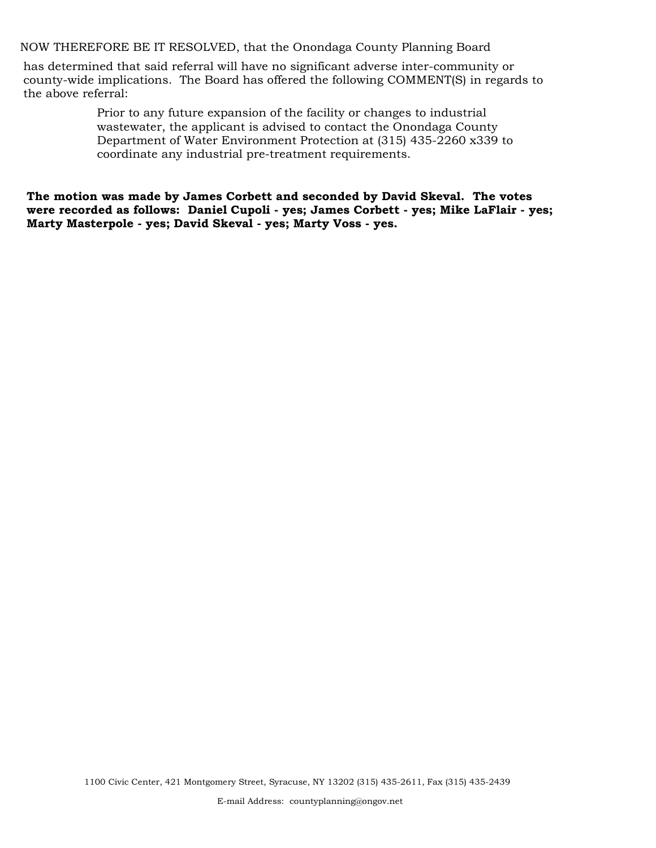NOW THEREFORE BE IT RESOLVED, that the Onondaga County Planning Board

has determined that said referral will have no significant adverse inter-community or county-wide implications. The Board has offered the following COMMENT(S) in regards to the above referral:

> Prior to any future expansion of the facility or changes to industrial wastewater, the applicant is advised to contact the Onondaga County Department of Water Environment Protection at (315) 435-2260 x339 to coordinate any industrial pre-treatment requirements.

**The motion was made by James Corbett and seconded by David Skeval. The votes were recorded as follows: Daniel Cupoli - yes; James Corbett - yes; Mike LaFlair - yes; Marty Masterpole - yes; David Skeval - yes; Marty Voss - yes.**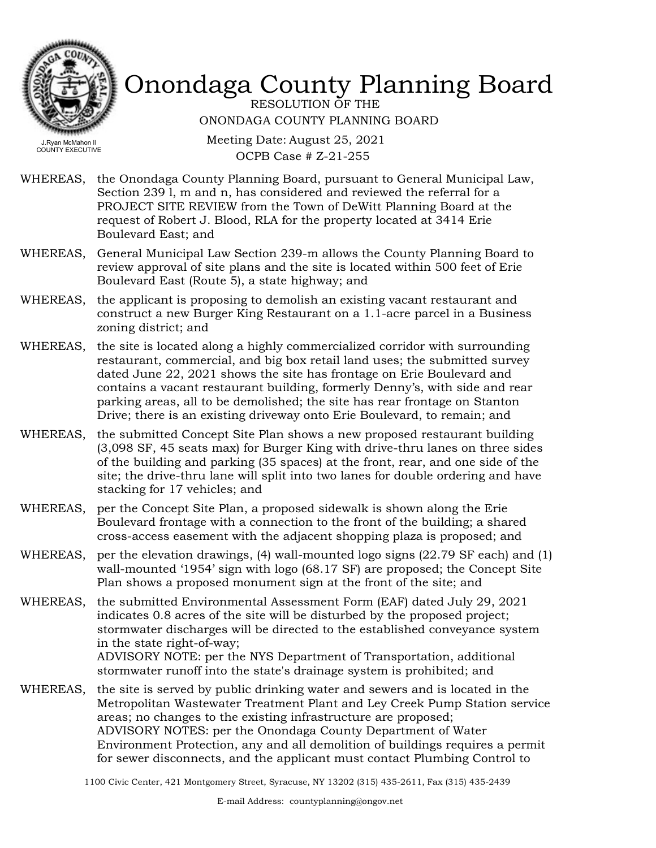

RESOLUTION OF THE ONONDAGA COUNTY PLANNING BOARD

Meeting Date: August 25, 2021 OCPB Case # Z-21-255

- WHEREAS, the Onondaga County Planning Board, pursuant to General Municipal Law, Section 239 l, m and n, has considered and reviewed the referral for a PROJECT SITE REVIEW from the Town of DeWitt Planning Board at the request of Robert J. Blood, RLA for the property located at 3414 Erie Boulevard East; and
- WHEREAS, General Municipal Law Section 239-m allows the County Planning Board to review approval of site plans and the site is located within 500 feet of Erie Boulevard East (Route 5), a state highway; and
- WHEREAS, the applicant is proposing to demolish an existing vacant restaurant and construct a new Burger King Restaurant on a 1.1-acre parcel in a Business zoning district; and
- WHEREAS, the site is located along a highly commercialized corridor with surrounding restaurant, commercial, and big box retail land uses; the submitted survey dated June 22, 2021 shows the site has frontage on Erie Boulevard and contains a vacant restaurant building, formerly Denny's, with side and rear parking areas, all to be demolished; the site has rear frontage on Stanton Drive; there is an existing driveway onto Erie Boulevard, to remain; and
- WHEREAS, the submitted Concept Site Plan shows a new proposed restaurant building (3,098 SF, 45 seats max) for Burger King with drive-thru lanes on three sides of the building and parking (35 spaces) at the front, rear, and one side of the site; the drive-thru lane will split into two lanes for double ordering and have stacking for 17 vehicles; and
- WHEREAS, per the Concept Site Plan, a proposed sidewalk is shown along the Erie Boulevard frontage with a connection to the front of the building; a shared cross-access easement with the adjacent shopping plaza is proposed; and
- WHEREAS, per the elevation drawings, (4) wall-mounted logo signs (22.79 SF each) and (1) wall-mounted '1954' sign with logo (68.17 SF) are proposed; the Concept Site Plan shows a proposed monument sign at the front of the site; and
- the submitted Environmental Assessment Form (EAF) dated July 29, 2021 indicates 0.8 acres of the site will be disturbed by the proposed project; stormwater discharges will be directed to the established conveyance system in the state right-of-way; ADVISORY NOTE: per the NYS Department of Transportation, additional stormwater runoff into the state's drainage system is prohibited; and WHEREAS,
- WHEREAS, the site is served by public drinking water and sewers and is located in the Metropolitan Wastewater Treatment Plant and Ley Creek Pump Station service areas; no changes to the existing infrastructure are proposed; ADVISORY NOTES: per the Onondaga County Department of Water Environment Protection, any and all demolition of buildings requires a permit for sewer disconnects, and the applicant must contact Plumbing Control to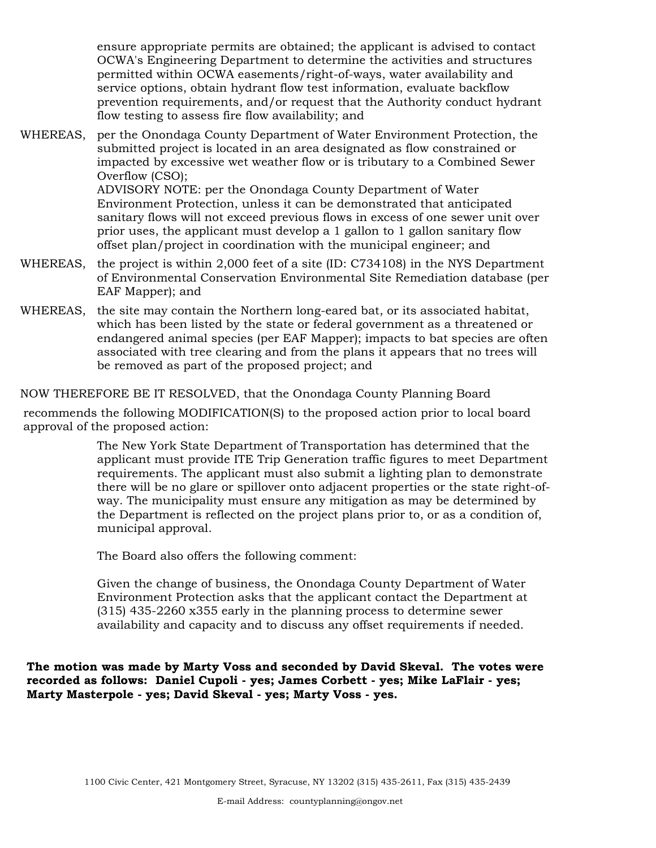ensure appropriate permits are obtained; the applicant is advised to contact OCWA's Engineering Department to determine the activities and structures permitted within OCWA easements/right-of-ways, water availability and service options, obtain hydrant flow test information, evaluate backflow prevention requirements, and/or request that the Authority conduct hydrant flow testing to assess fire flow availability; and

- per the Onondaga County Department of Water Environment Protection, the submitted project is located in an area designated as flow constrained or impacted by excessive wet weather flow or is tributary to a Combined Sewer Overflow (CSO); ADVISORY NOTE: per the Onondaga County Department of Water Environment Protection, unless it can be demonstrated that anticipated sanitary flows will not exceed previous flows in excess of one sewer unit over prior uses, the applicant must develop a 1 gallon to 1 gallon sanitary flow offset plan/project in coordination with the municipal engineer; and WHEREAS,
- WHEREAS, the project is within 2,000 feet of a site (ID: C734108) in the NYS Department of Environmental Conservation Environmental Site Remediation database (per EAF Mapper); and
- WHEREAS, the site may contain the Northern long-eared bat, or its associated habitat, which has been listed by the state or federal government as a threatened or endangered animal species (per EAF Mapper); impacts to bat species are often associated with tree clearing and from the plans it appears that no trees will be removed as part of the proposed project; and

#### NOW THEREFORE BE IT RESOLVED, that the Onondaga County Planning Board

recommends the following MODIFICATION(S) to the proposed action prior to local board approval of the proposed action:

> The New York State Department of Transportation has determined that the applicant must provide ITE Trip Generation traffic figures to meet Department requirements. The applicant must also submit a lighting plan to demonstrate there will be no glare or spillover onto adjacent properties or the state right-ofway. The municipality must ensure any mitigation as may be determined by the Department is reflected on the project plans prior to, or as a condition of, municipal approval.

The Board also offers the following comment:

Given the change of business, the Onondaga County Department of Water Environment Protection asks that the applicant contact the Department at (315) 435-2260 x355 early in the planning process to determine sewer availability and capacity and to discuss any offset requirements if needed.

**The motion was made by Marty Voss and seconded by David Skeval. The votes were recorded as follows: Daniel Cupoli - yes; James Corbett - yes; Mike LaFlair - yes; Marty Masterpole - yes; David Skeval - yes; Marty Voss - yes.**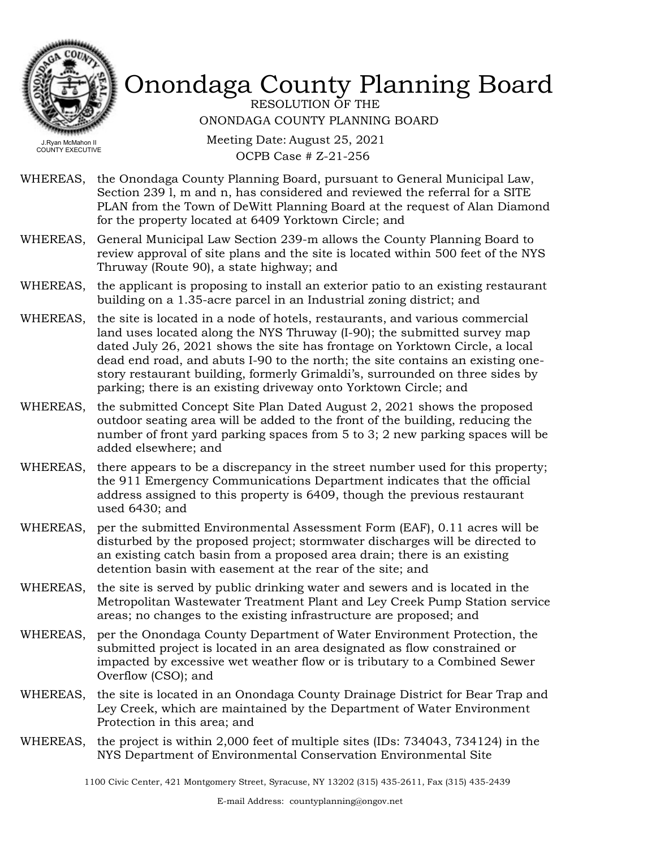

RESOLUTION OF THE ONONDAGA COUNTY PLANNING BOARD

COUNTY EXECUTIVE

Meeting Date: August 25, 2021 OCPB Case # Z-21-256

- WHEREAS, the Onondaga County Planning Board, pursuant to General Municipal Law, Section 239 l, m and n, has considered and reviewed the referral for a SITE PLAN from the Town of DeWitt Planning Board at the request of Alan Diamond for the property located at 6409 Yorktown Circle; and
- WHEREAS, General Municipal Law Section 239-m allows the County Planning Board to review approval of site plans and the site is located within 500 feet of the NYS Thruway (Route 90), a state highway; and
- WHEREAS, the applicant is proposing to install an exterior patio to an existing restaurant building on a 1.35-acre parcel in an Industrial zoning district; and
- WHEREAS, the site is located in a node of hotels, restaurants, and various commercial land uses located along the NYS Thruway (I-90); the submitted survey map dated July 26, 2021 shows the site has frontage on Yorktown Circle, a local dead end road, and abuts I-90 to the north; the site contains an existing onestory restaurant building, formerly Grimaldi's, surrounded on three sides by parking; there is an existing driveway onto Yorktown Circle; and
- the submitted Concept Site Plan Dated August 2, 2021 shows the proposed outdoor seating area will be added to the front of the building, reducing the number of front yard parking spaces from 5 to 3; 2 new parking spaces will be added elsewhere; and WHEREAS,
- WHEREAS, there appears to be a discrepancy in the street number used for this property; the 911 Emergency Communications Department indicates that the official address assigned to this property is 6409, though the previous restaurant used 6430; and
- WHEREAS, per the submitted Environmental Assessment Form (EAF), 0.11 acres will be disturbed by the proposed project; stormwater discharges will be directed to an existing catch basin from a proposed area drain; there is an existing detention basin with easement at the rear of the site; and
- the site is served by public drinking water and sewers and is located in the Metropolitan Wastewater Treatment Plant and Ley Creek Pump Station service areas; no changes to the existing infrastructure are proposed; and WHEREAS,
- WHEREAS, per the Onondaga County Department of Water Environment Protection, the submitted project is located in an area designated as flow constrained or impacted by excessive wet weather flow or is tributary to a Combined Sewer Overflow (CSO); and
- WHEREAS, the site is located in an Onondaga County Drainage District for Bear Trap and Ley Creek, which are maintained by the Department of Water Environment Protection in this area; and
- WHEREAS, the project is within 2,000 feet of multiple sites (IDs: 734043, 734124) in the NYS Department of Environmental Conservation Environmental Site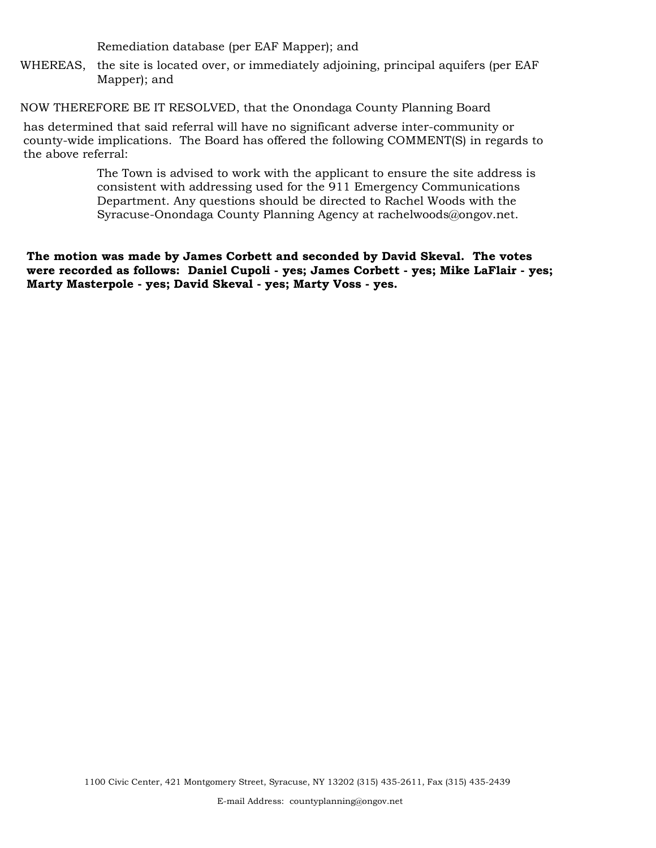Remediation database (per EAF Mapper); and

WHEREAS, the site is located over, or immediately adjoining, principal aquifers (per EAF Mapper); and

NOW THEREFORE BE IT RESOLVED, that the Onondaga County Planning Board

has determined that said referral will have no significant adverse inter-community or county-wide implications. The Board has offered the following COMMENT(S) in regards to the above referral:

> The Town is advised to work with the applicant to ensure the site address is consistent with addressing used for the 911 Emergency Communications Department. Any questions should be directed to Rachel Woods with the Syracuse-Onondaga County Planning Agency at rachelwoods@ongov.net.

**The motion was made by James Corbett and seconded by David Skeval. The votes were recorded as follows: Daniel Cupoli - yes; James Corbett - yes; Mike LaFlair - yes; Marty Masterpole - yes; David Skeval - yes; Marty Voss - yes.**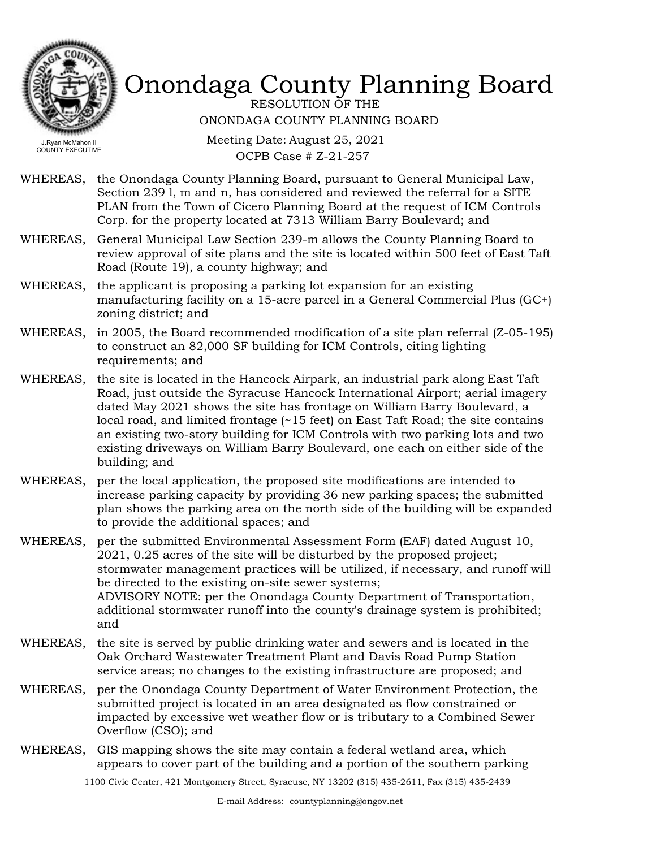

RESOLUTION OF THE ONONDAGA COUNTY PLANNING BOARD

COUNTY EXECUTIVE

Meeting Date: August 25, 2021 OCPB Case # Z-21-257

- WHEREAS, the Onondaga County Planning Board, pursuant to General Municipal Law, Section 239 l, m and n, has considered and reviewed the referral for a SITE PLAN from the Town of Cicero Planning Board at the request of ICM Controls Corp. for the property located at 7313 William Barry Boulevard; and
- WHEREAS, General Municipal Law Section 239-m allows the County Planning Board to review approval of site plans and the site is located within 500 feet of East Taft Road (Route 19), a county highway; and
- WHEREAS, the applicant is proposing a parking lot expansion for an existing manufacturing facility on a 15-acre parcel in a General Commercial Plus (GC+) zoning district; and
- WHEREAS, in 2005, the Board recommended modification of a site plan referral (Z-05-195) to construct an 82,000 SF building for ICM Controls, citing lighting requirements; and
- the site is located in the Hancock Airpark, an industrial park along East Taft Road, just outside the Syracuse Hancock International Airport; aerial imagery dated May 2021 shows the site has frontage on William Barry Boulevard, a local road, and limited frontage (~15 feet) on East Taft Road; the site contains an existing two-story building for ICM Controls with two parking lots and two existing driveways on William Barry Boulevard, one each on either side of the building; and WHEREAS,
- WHEREAS, per the local application, the proposed site modifications are intended to increase parking capacity by providing 36 new parking spaces; the submitted plan shows the parking area on the north side of the building will be expanded to provide the additional spaces; and
- per the submitted Environmental Assessment Form (EAF) dated August 10, 2021, 0.25 acres of the site will be disturbed by the proposed project; stormwater management practices will be utilized, if necessary, and runoff will be directed to the existing on-site sewer systems; ADVISORY NOTE: per the Onondaga County Department of Transportation, additional stormwater runoff into the county's drainage system is prohibited; and WHEREAS,
- WHEREAS, the site is served by public drinking water and sewers and is located in the Oak Orchard Wastewater Treatment Plant and Davis Road Pump Station service areas; no changes to the existing infrastructure are proposed; and
- WHEREAS, per the Onondaga County Department of Water Environment Protection, the submitted project is located in an area designated as flow constrained or impacted by excessive wet weather flow or is tributary to a Combined Sewer Overflow (CSO); and
- WHEREAS, GIS mapping shows the site may contain a federal wetland area, which appears to cover part of the building and a portion of the southern parking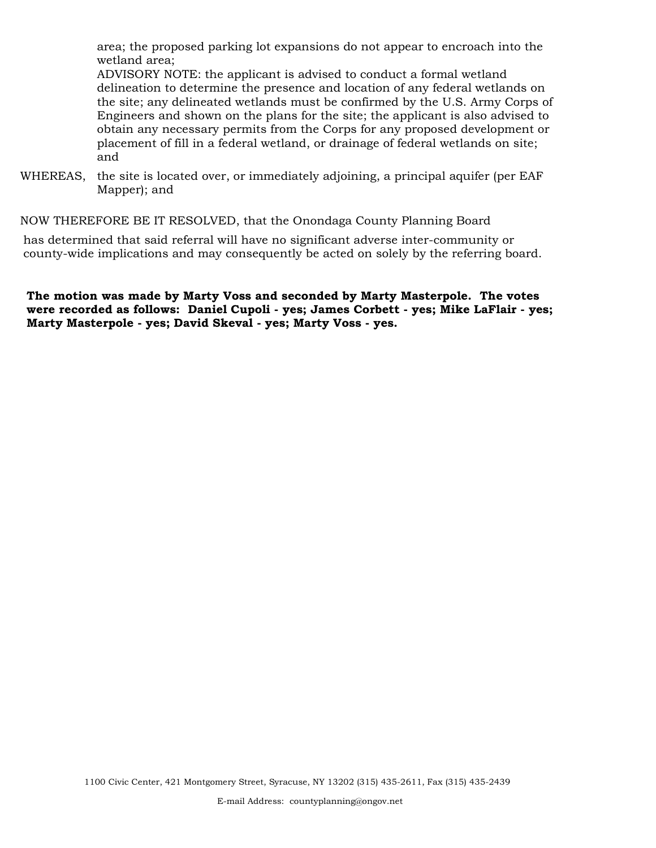area; the proposed parking lot expansions do not appear to encroach into the wetland area;

ADVISORY NOTE: the applicant is advised to conduct a formal wetland delineation to determine the presence and location of any federal wetlands on the site; any delineated wetlands must be confirmed by the U.S. Army Corps of Engineers and shown on the plans for the site; the applicant is also advised to obtain any necessary permits from the Corps for any proposed development or placement of fill in a federal wetland, or drainage of federal wetlands on site; and

WHEREAS, the site is located over, or immediately adjoining, a principal aquifer (per EAF Mapper); and

NOW THEREFORE BE IT RESOLVED, that the Onondaga County Planning Board

has determined that said referral will have no significant adverse inter-community or county-wide implications and may consequently be acted on solely by the referring board.

**The motion was made by Marty Voss and seconded by Marty Masterpole. The votes were recorded as follows: Daniel Cupoli - yes; James Corbett - yes; Mike LaFlair - yes; Marty Masterpole - yes; David Skeval - yes; Marty Voss - yes.**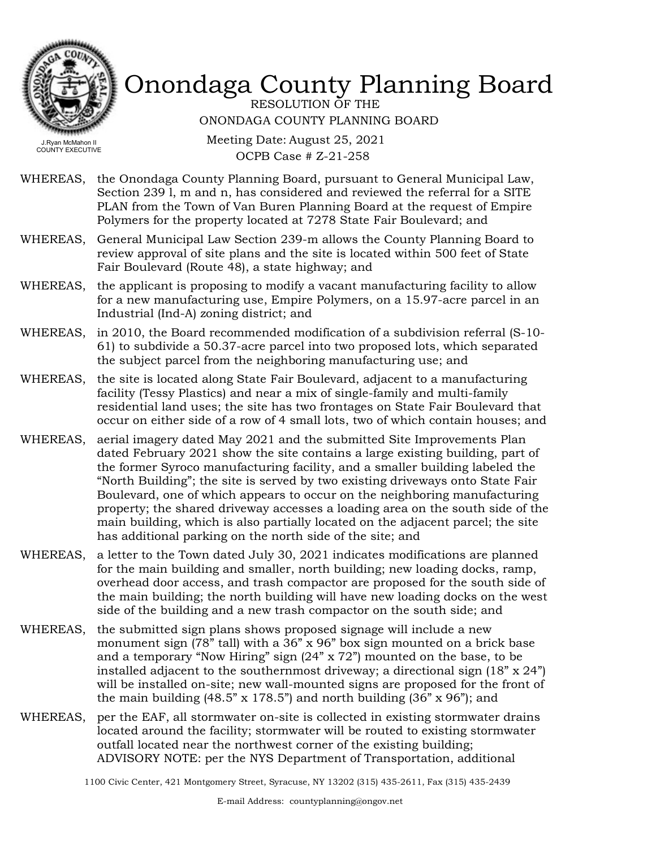

RESOLUTION OF THE ONONDAGA COUNTY PLANNING BOARD

COUNTY EXECUTIVE

Meeting Date: August 25, 2021 OCPB Case # Z-21-258

- WHEREAS, the Onondaga County Planning Board, pursuant to General Municipal Law, Section 239 l, m and n, has considered and reviewed the referral for a SITE PLAN from the Town of Van Buren Planning Board at the request of Empire Polymers for the property located at 7278 State Fair Boulevard; and
- WHEREAS, General Municipal Law Section 239-m allows the County Planning Board to review approval of site plans and the site is located within 500 feet of State Fair Boulevard (Route 48), a state highway; and
- WHEREAS, the applicant is proposing to modify a vacant manufacturing facility to allow for a new manufacturing use, Empire Polymers, on a 15.97-acre parcel in an Industrial (Ind-A) zoning district; and
- in 2010, the Board recommended modification of a subdivision referral (S-10- 61) to subdivide a 50.37-acre parcel into two proposed lots, which separated the subject parcel from the neighboring manufacturing use; and WHEREAS,
- the site is located along State Fair Boulevard, adjacent to a manufacturing facility (Tessy Plastics) and near a mix of single-family and multi-family residential land uses; the site has two frontages on State Fair Boulevard that occur on either side of a row of 4 small lots, two of which contain houses; and WHEREAS,
- WHEREAS, aerial imagery dated May 2021 and the submitted Site Improvements Plan dated February 2021 show the site contains a large existing building, part of the former Syroco manufacturing facility, and a smaller building labeled the "North Building"; the site is served by two existing driveways onto State Fair Boulevard, one of which appears to occur on the neighboring manufacturing property; the shared driveway accesses a loading area on the south side of the main building, which is also partially located on the adjacent parcel; the site has additional parking on the north side of the site; and
- WHEREAS, a letter to the Town dated July 30, 2021 indicates modifications are planned for the main building and smaller, north building; new loading docks, ramp, overhead door access, and trash compactor are proposed for the south side of the main building; the north building will have new loading docks on the west side of the building and a new trash compactor on the south side; and
- the submitted sign plans shows proposed signage will include a new monument sign (78" tall) with a 36" x 96" box sign mounted on a brick base and a temporary "Now Hiring" sign (24" x 72") mounted on the base, to be installed adjacent to the southernmost driveway; a directional sign  $(18" \times 24")$ will be installed on-site; new wall-mounted signs are proposed for the front of the main building  $(48.5" \times 178.5")$  and north building  $(36" \times 96")$ ; and WHEREAS,
- per the EAF, all stormwater on-site is collected in existing stormwater drains located around the facility; stormwater will be routed to existing stormwater outfall located near the northwest corner of the existing building; ADVISORY NOTE: per the NYS Department of Transportation, additional WHEREAS,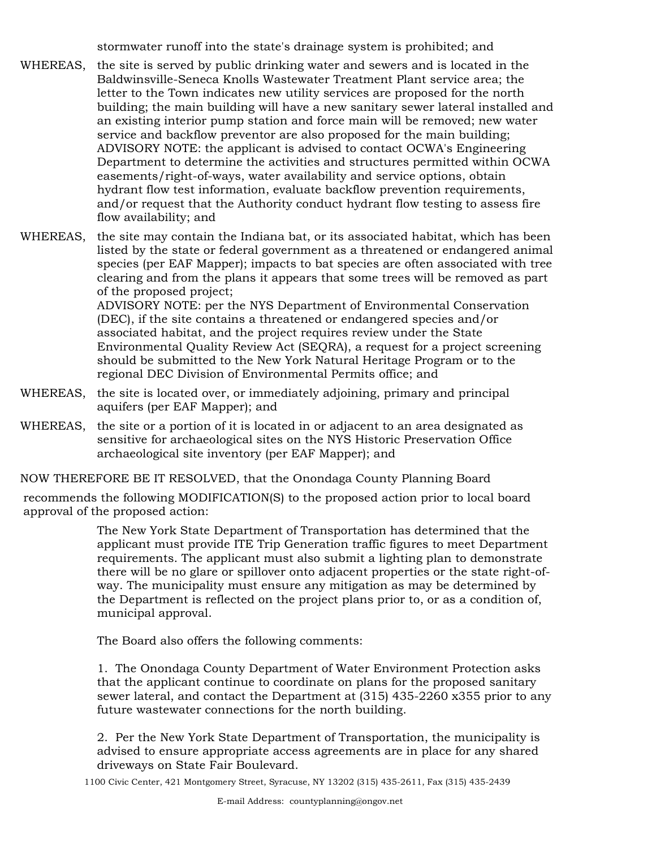stormwater runoff into the state's drainage system is prohibited; and

the site is served by public drinking water and sewers and is located in the Baldwinsville-Seneca Knolls Wastewater Treatment Plant service area; the letter to the Town indicates new utility services are proposed for the north building; the main building will have a new sanitary sewer lateral installed and an existing interior pump station and force main will be removed; new water service and backflow preventor are also proposed for the main building; ADVISORY NOTE: the applicant is advised to contact OCWA's Engineering Department to determine the activities and structures permitted within OCWA easements/right-of-ways, water availability and service options, obtain hydrant flow test information, evaluate backflow prevention requirements, and/or request that the Authority conduct hydrant flow testing to assess fire flow availability; and WHEREAS,

WHEREAS, the site may contain the Indiana bat, or its associated habitat, which has been listed by the state or federal government as a threatened or endangered animal species (per EAF Mapper); impacts to bat species are often associated with tree clearing and from the plans it appears that some trees will be removed as part of the proposed project; ADVISORY NOTE: per the NYS Department of Environmental Conservation (DEC), if the site contains a threatened or endangered species and/or associated habitat, and the project requires review under the State Environmental Quality Review Act (SEQRA), a request for a project screening should be submitted to the New York Natural Heritage Program or to the regional DEC Division of Environmental Permits office; and

- WHEREAS, the site is located over, or immediately adjoining, primary and principal aquifers (per EAF Mapper); and
- WHEREAS, the site or a portion of it is located in or adjacent to an area designated as sensitive for archaeological sites on the NYS Historic Preservation Office archaeological site inventory (per EAF Mapper); and

NOW THEREFORE BE IT RESOLVED, that the Onondaga County Planning Board

recommends the following MODIFICATION(S) to the proposed action prior to local board approval of the proposed action:

> The New York State Department of Transportation has determined that the applicant must provide ITE Trip Generation traffic figures to meet Department requirements. The applicant must also submit a lighting plan to demonstrate there will be no glare or spillover onto adjacent properties or the state right-ofway. The municipality must ensure any mitigation as may be determined by the Department is reflected on the project plans prior to, or as a condition of, municipal approval.

The Board also offers the following comments:

1. The Onondaga County Department of Water Environment Protection asks that the applicant continue to coordinate on plans for the proposed sanitary sewer lateral, and contact the Department at (315) 435-2260 x355 prior to any future wastewater connections for the north building.

2. Per the New York State Department of Transportation, the municipality is advised to ensure appropriate access agreements are in place for any shared driveways on State Fair Boulevard.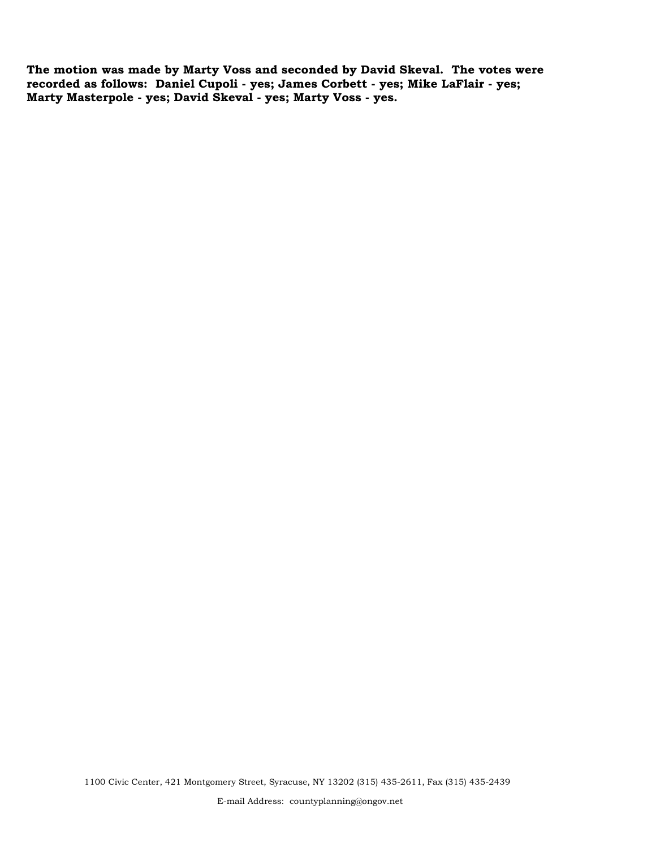**The motion was made by Marty Voss and seconded by David Skeval. The votes were recorded as follows: Daniel Cupoli - yes; James Corbett - yes; Mike LaFlair - yes; Marty Masterpole - yes; David Skeval - yes; Marty Voss - yes.**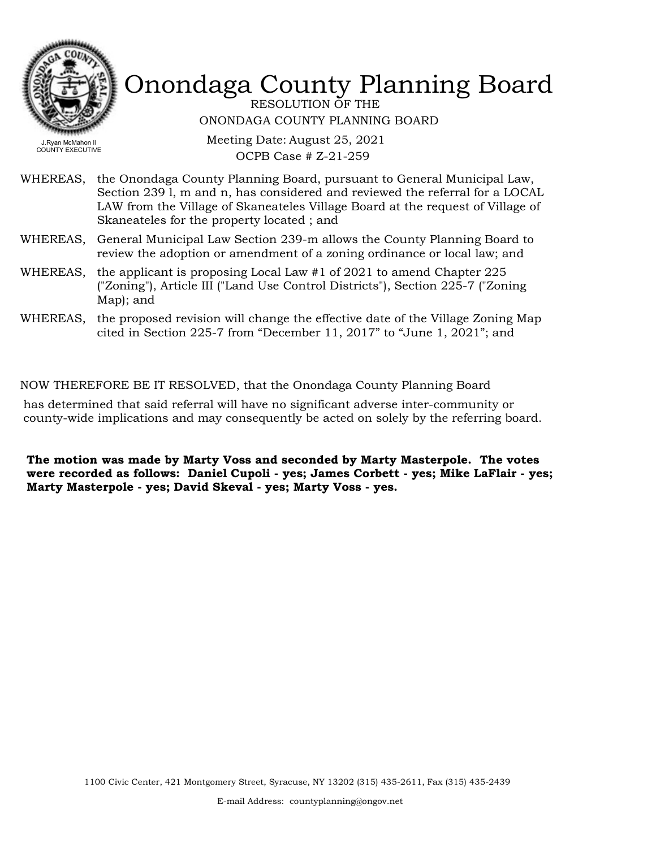

RESOLUTION OF THE ONONDAGA COUNTY PLANNING BOARD

Meeting Date: August 25, 2021 OCPB Case # Z-21-259

- WHEREAS, the Onondaga County Planning Board, pursuant to General Municipal Law, Section 239 l, m and n, has considered and reviewed the referral for a LOCAL LAW from the Village of Skaneateles Village Board at the request of Village of Skaneateles for the property located ; and
- WHEREAS, General Municipal Law Section 239-m allows the County Planning Board to review the adoption or amendment of a zoning ordinance or local law; and
- WHEREAS, the applicant is proposing Local Law  $#1$  of 2021 to amend Chapter 225 ("Zoning"), Article III ("Land Use Control Districts"), Section 225-7 ("Zoning Map); and
- WHEREAS, the proposed revision will change the effective date of the Village Zoning Map cited in Section 225-7 from "December 11, 2017" to "June 1, 2021"; and

#### NOW THEREFORE BE IT RESOLVED, that the Onondaga County Planning Board

has determined that said referral will have no significant adverse inter-community or county-wide implications and may consequently be acted on solely by the referring board.

**The motion was made by Marty Voss and seconded by Marty Masterpole. The votes were recorded as follows: Daniel Cupoli - yes; James Corbett - yes; Mike LaFlair - yes; Marty Masterpole - yes; David Skeval - yes; Marty Voss - yes.**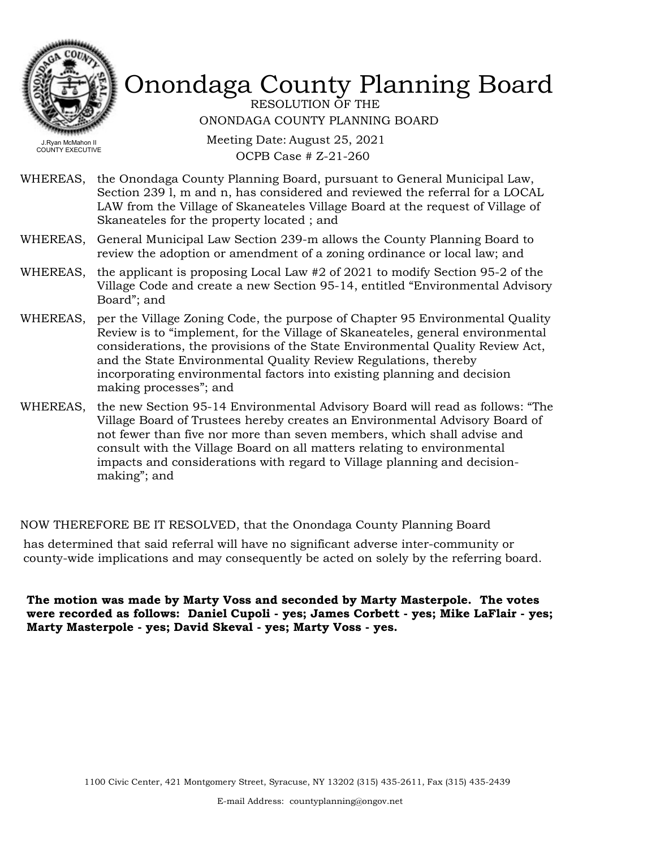

RESOLUTION OF THE ONONDAGA COUNTY PLANNING BOARD

Meeting Date: August 25, 2021 OCPB Case # Z-21-260

- WHEREAS, the Onondaga County Planning Board, pursuant to General Municipal Law, Section 239 l, m and n, has considered and reviewed the referral for a LOCAL LAW from the Village of Skaneateles Village Board at the request of Village of Skaneateles for the property located ; and
- WHEREAS, General Municipal Law Section 239-m allows the County Planning Board to review the adoption or amendment of a zoning ordinance or local law; and
- WHEREAS, the applicant is proposing Local Law  $#2$  of 2021 to modify Section 95-2 of the Village Code and create a new Section 95-14, entitled "Environmental Advisory Board"; and
- WHEREAS, per the Village Zoning Code, the purpose of Chapter 95 Environmental Quality Review is to "implement, for the Village of Skaneateles, general environmental considerations, the provisions of the State Environmental Quality Review Act, and the State Environmental Quality Review Regulations, thereby incorporating environmental factors into existing planning and decision making processes"; and
- WHEREAS, the new Section 95-14 Environmental Advisory Board will read as follows: "The Village Board of Trustees hereby creates an Environmental Advisory Board of not fewer than five nor more than seven members, which shall advise and consult with the Village Board on all matters relating to environmental impacts and considerations with regard to Village planning and decisionmaking"; and

#### NOW THEREFORE BE IT RESOLVED, that the Onondaga County Planning Board

has determined that said referral will have no significant adverse inter-community or county-wide implications and may consequently be acted on solely by the referring board.

**The motion was made by Marty Voss and seconded by Marty Masterpole. The votes were recorded as follows: Daniel Cupoli - yes; James Corbett - yes; Mike LaFlair - yes; Marty Masterpole - yes; David Skeval - yes; Marty Voss - yes.**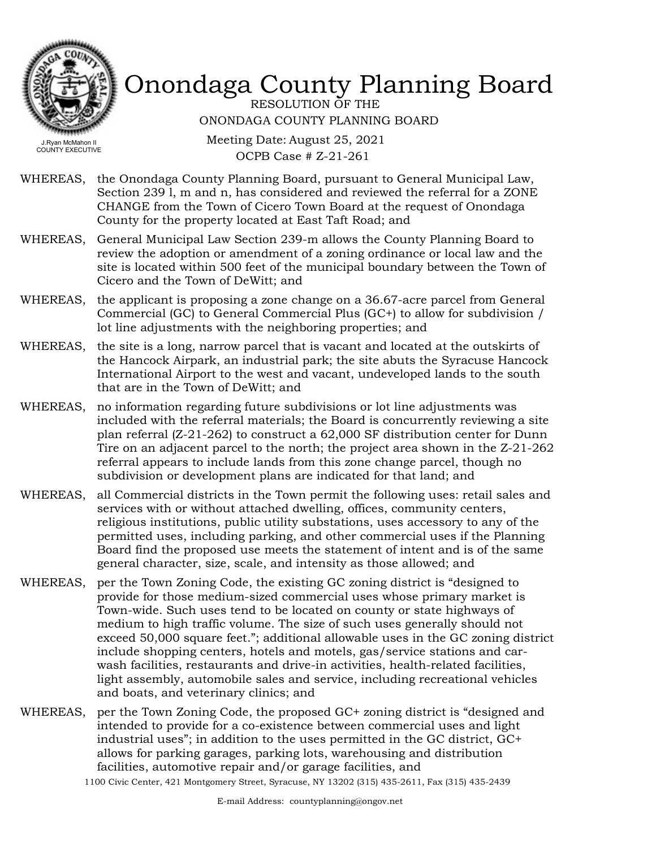

RESOLUTION OF THE ONONDAGA COUNTY PLANNING BOARD

Meeting Date: August 25, 2021 OCPB Case # Z-21-261

- WHEREAS, the Onondaga County Planning Board, pursuant to General Municipal Law, Section 239 l, m and n, has considered and reviewed the referral for a ZONE CHANGE from the Town of Cicero Town Board at the request of Onondaga County for the property located at East Taft Road; and
- WHEREAS, General Municipal Law Section 239-m allows the County Planning Board to review the adoption or amendment of a zoning ordinance or local law and the site is located within 500 feet of the municipal boundary between the Town of Cicero and the Town of DeWitt; and
- WHEREAS, the applicant is proposing a zone change on a 36.67-acre parcel from General Commercial (GC) to General Commercial Plus (GC+) to allow for subdivision / lot line adjustments with the neighboring properties; and
- WHEREAS, the site is a long, narrow parcel that is vacant and located at the outskirts of the Hancock Airpark, an industrial park; the site abuts the Syracuse Hancock International Airport to the west and vacant, undeveloped lands to the south that are in the Town of DeWitt; and
- WHEREAS, no information regarding future subdivisions or lot line adjustments was included with the referral materials; the Board is concurrently reviewing a site plan referral (Z-21-262) to construct a 62,000 SF distribution center for Dunn Tire on an adjacent parcel to the north; the project area shown in the Z-21-262 referral appears to include lands from this zone change parcel, though no subdivision or development plans are indicated for that land; and
- WHEREAS, all Commercial districts in the Town permit the following uses: retail sales and services with or without attached dwelling, offices, community centers, religious institutions, public utility substations, uses accessory to any of the permitted uses, including parking, and other commercial uses if the Planning Board find the proposed use meets the statement of intent and is of the same general character, size, scale, and intensity as those allowed; and
- per the Town Zoning Code, the existing GC zoning district is "designed to provide for those medium-sized commercial uses whose primary market is Town-wide. Such uses tend to be located on county or state highways of medium to high traffic volume. The size of such uses generally should not exceed 50,000 square feet."; additional allowable uses in the GC zoning district include shopping centers, hotels and motels, gas/service stations and carwash facilities, restaurants and drive-in activities, health-related facilities, light assembly, automobile sales and service, including recreational vehicles and boats, and veterinary clinics; and WHEREAS,
- WHEREAS, per the Town Zoning Code, the proposed GC+ zoning district is "designed and intended to provide for a co-existence between commercial uses and light industrial uses"; in addition to the uses permitted in the GC district, GC+ allows for parking garages, parking lots, warehousing and distribution facilities, automotive repair and/or garage facilities, and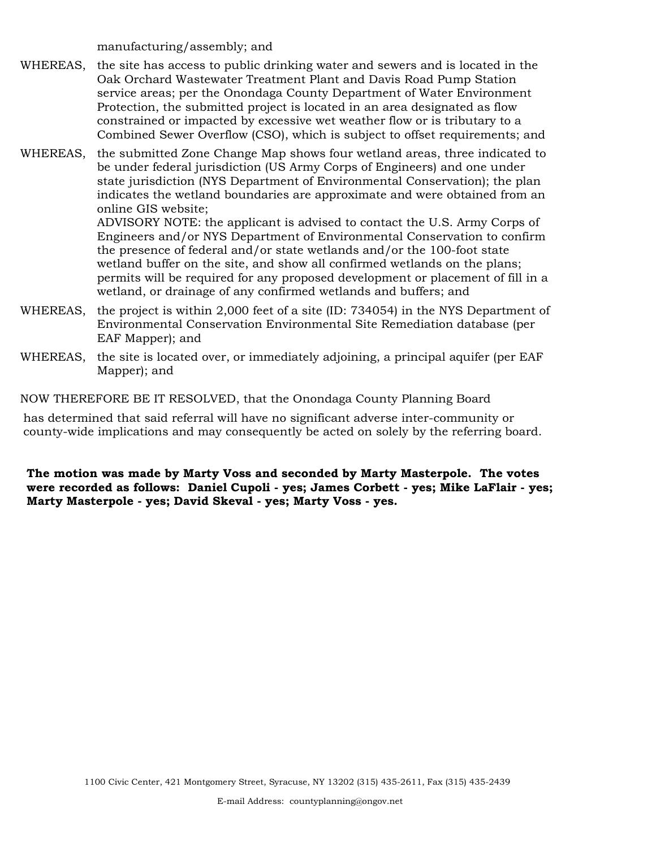manufacturing/assembly; and

- the site has access to public drinking water and sewers and is located in the Oak Orchard Wastewater Treatment Plant and Davis Road Pump Station service areas; per the Onondaga County Department of Water Environment Protection, the submitted project is located in an area designated as flow constrained or impacted by excessive wet weather flow or is tributary to a Combined Sewer Overflow (CSO), which is subject to offset requirements; and WHEREAS,
- the submitted Zone Change Map shows four wetland areas, three indicated to be under federal jurisdiction (US Army Corps of Engineers) and one under state jurisdiction (NYS Department of Environmental Conservation); the plan indicates the wetland boundaries are approximate and were obtained from an online GIS website; WHEREAS,

ADVISORY NOTE: the applicant is advised to contact the U.S. Army Corps of Engineers and/or NYS Department of Environmental Conservation to confirm the presence of federal and/or state wetlands and/or the 100-foot state wetland buffer on the site, and show all confirmed wetlands on the plans; permits will be required for any proposed development or placement of fill in a wetland, or drainage of any confirmed wetlands and buffers; and

- WHEREAS, the project is within 2,000 feet of a site (ID: 734054) in the NYS Department of Environmental Conservation Environmental Site Remediation database (per EAF Mapper); and
- WHEREAS, the site is located over, or immediately adjoining, a principal aquifer (per EAF Mapper); and

NOW THEREFORE BE IT RESOLVED, that the Onondaga County Planning Board

has determined that said referral will have no significant adverse inter-community or county-wide implications and may consequently be acted on solely by the referring board.

**The motion was made by Marty Voss and seconded by Marty Masterpole. The votes were recorded as follows: Daniel Cupoli - yes; James Corbett - yes; Mike LaFlair - yes; Marty Masterpole - yes; David Skeval - yes; Marty Voss - yes.**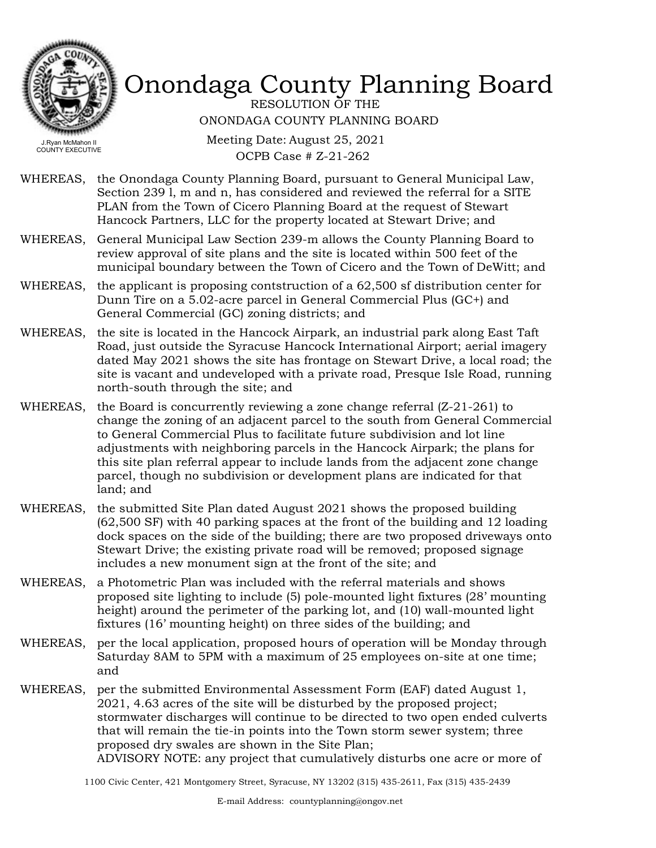

RESOLUTION OF THE ONONDAGA COUNTY PLANNING BOARD

Meeting Date: August 25, 2021 OCPB Case # Z-21-262

- WHEREAS, the Onondaga County Planning Board, pursuant to General Municipal Law, Section 239 l, m and n, has considered and reviewed the referral for a SITE PLAN from the Town of Cicero Planning Board at the request of Stewart Hancock Partners, LLC for the property located at Stewart Drive; and
- WHEREAS, General Municipal Law Section 239-m allows the County Planning Board to review approval of site plans and the site is located within 500 feet of the municipal boundary between the Town of Cicero and the Town of DeWitt; and
- WHEREAS, the applicant is proposing contstruction of a  $62,500$  sf distribution center for Dunn Tire on a 5.02-acre parcel in General Commercial Plus (GC+) and General Commercial (GC) zoning districts; and
- the site is located in the Hancock Airpark, an industrial park along East Taft Road, just outside the Syracuse Hancock International Airport; aerial imagery dated May 2021 shows the site has frontage on Stewart Drive, a local road; the site is vacant and undeveloped with a private road, Presque Isle Road, running north-south through the site; and WHEREAS,
- WHEREAS, the Board is concurrently reviewing a zone change referral  $(Z-21-261)$  to change the zoning of an adjacent parcel to the south from General Commercial to General Commercial Plus to facilitate future subdivision and lot line adjustments with neighboring parcels in the Hancock Airpark; the plans for this site plan referral appear to include lands from the adjacent zone change parcel, though no subdivision or development plans are indicated for that land; and
- WHEREAS, the submitted Site Plan dated August 2021 shows the proposed building (62,500 SF) with 40 parking spaces at the front of the building and 12 loading dock spaces on the side of the building; there are two proposed driveways onto Stewart Drive; the existing private road will be removed; proposed signage includes a new monument sign at the front of the site; and
- a Photometric Plan was included with the referral materials and shows proposed site lighting to include (5) pole-mounted light fixtures (28' mounting height) around the perimeter of the parking lot, and (10) wall-mounted light fixtures (16' mounting height) on three sides of the building; and WHEREAS,
- WHEREAS, per the local application, proposed hours of operation will be Monday through Saturday 8AM to 5PM with a maximum of 25 employees on-site at one time; and
- WHEREAS, per the submitted Environmental Assessment Form (EAF) dated August 1, 2021, 4.63 acres of the site will be disturbed by the proposed project; stormwater discharges will continue to be directed to two open ended culverts that will remain the tie-in points into the Town storm sewer system; three proposed dry swales are shown in the Site Plan; ADVISORY NOTE: any project that cumulatively disturbs one acre or more of